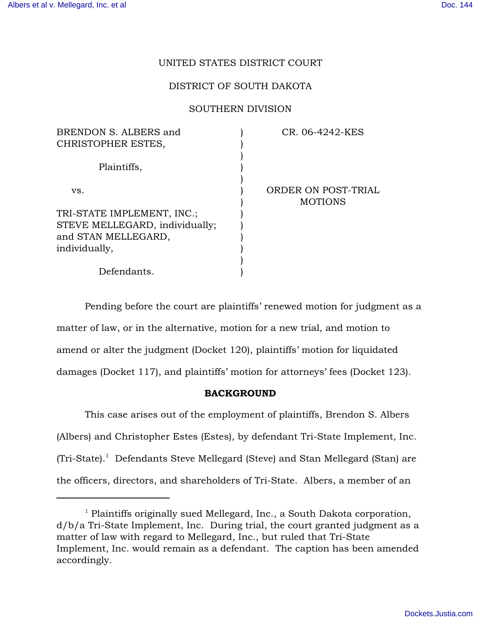## UNITED STATES DISTRICT COURT

### DISTRICT OF SOUTH DAKOTA

#### SOUTHERN DIVISION

| BRENDON S. ALBERS and          | CR. 06-4242-KES                       |
|--------------------------------|---------------------------------------|
| CHRISTOPHER ESTES,             |                                       |
| Plaintiffs,                    |                                       |
| VS.                            | ORDER ON POST-TRIAL<br><b>MOTIONS</b> |
| TRI-STATE IMPLEMENT, INC.;     |                                       |
| STEVE MELLEGARD, individually; |                                       |
| and STAN MELLEGARD,            |                                       |
| individually,                  |                                       |
|                                |                                       |
| Defendants.                    |                                       |

Pending before the court are plaintiffs' renewed motion for judgment as a matter of law, or in the alternative, motion for a new trial, and motion to amend or alter the judgment (Docket 120), plaintiffs' motion for liquidated damages (Docket 117), and plaintiffs' motion for attorneys' fees (Docket 123).

## BACKGROUND

This case arises out of the employment of plaintiffs, Brendon S. Albers (Albers) and Christopher Estes (Estes), by defendant Tri-State Implement, Inc.  $(Tri-State).$ <sup>1</sup> Defendants Steve Mellegard (Steve) and Stan Mellegard (Stan) are the officers, directors, and shareholders of Tri-State. Albers, a member of an

 $<sup>1</sup>$  Plaintiffs originally sued Mellegard, Inc., a South Dakota corporation,</sup> d/b/a Tri-State Implement, Inc. During trial, the court granted judgment as a matter of law with regard to Mellegard, Inc., but ruled that Tri-State Implement, Inc. would remain as a defendant. The caption has been amended accordingly.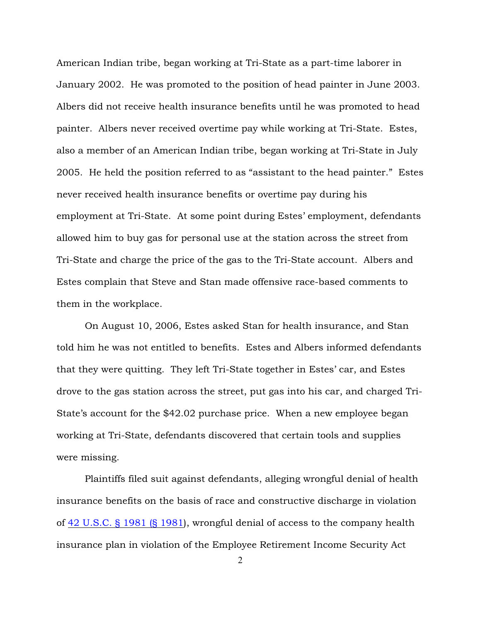American Indian tribe, began working at Tri-State as a part-time laborer in January 2002. He was promoted to the position of head painter in June 2003. Albers did not receive health insurance benefits until he was promoted to head painter. Albers never received overtime pay while working at Tri-State. Estes, also a member of an American Indian tribe, began working at Tri-State in July 2005. He held the position referred to as "assistant to the head painter." Estes never received health insurance benefits or overtime pay during his employment at Tri-State. At some point during Estes' employment, defendants allowed him to buy gas for personal use at the station across the street from Tri-State and charge the price of the gas to the Tri-State account. Albers and Estes complain that Steve and Stan made offensive race-based comments to them in the workplace.

On August 10, 2006, Estes asked Stan for health insurance, and Stan told him he was not entitled to benefits. Estes and Albers informed defendants that they were quitting. They left Tri-State together in Estes' car, and Estes drove to the gas station across the street, put gas into his car, and charged Tri-State's account for the \$42.02 purchase price. When a new employee began working at Tri-State, defendants discovered that certain tools and supplies were missing.

Plaintiffs filed suit against defendants, alleging wrongful denial of health insurance benefits on the basis of race and constructive discharge in violation of [42 U.S.C. § 1981 \(§ 1981](http://www.westlaw.com/find/default.wl?rs=ap2.0&ifm=NotSet&forceto=web2.westlaw.com&fn=_top&findtype=L&ft=L&docname=42USCAS1981&db=1000546&vr=2.0&rp=%2ffind%2fdefault.wl&wbtoolsId=42USCAS1981&HistoryType=F)), wrongful denial of access to the company health insurance plan in violation of the Employee Retirement Income Security Act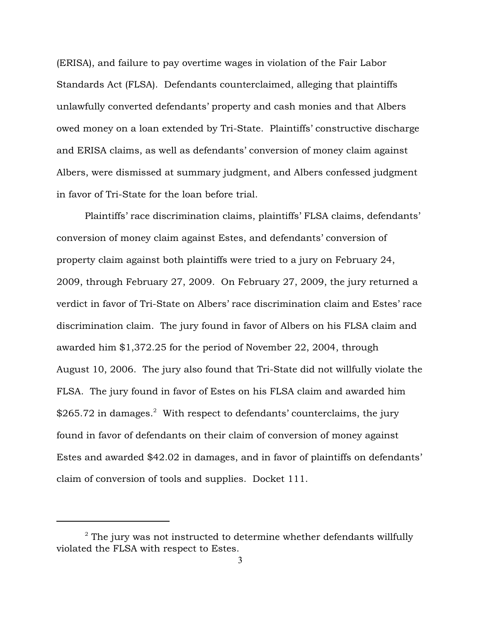(ERISA), and failure to pay overtime wages in violation of the Fair Labor Standards Act (FLSA). Defendants counterclaimed, alleging that plaintiffs unlawfully converted defendants' property and cash monies and that Albers owed money on a loan extended by Tri-State. Plaintiffs' constructive discharge and ERISA claims, as well as defendants' conversion of money claim against Albers, were dismissed at summary judgment, and Albers confessed judgment in favor of Tri-State for the loan before trial.

Plaintiffs' race discrimination claims, plaintiffs' FLSA claims, defendants' conversion of money claim against Estes, and defendants' conversion of property claim against both plaintiffs were tried to a jury on February 24, 2009, through February 27, 2009. On February 27, 2009, the jury returned a verdict in favor of Tri-State on Albers' race discrimination claim and Estes' race discrimination claim. The jury found in favor of Albers on his FLSA claim and awarded him \$1,372.25 for the period of November 22, 2004, through August 10, 2006. The jury also found that Tri-State did not willfully violate the FLSA. The jury found in favor of Estes on his FLSA claim and awarded him  $$265.72$  in damages.<sup>2</sup> With respect to defendants' counterclaims, the jury found in favor of defendants on their claim of conversion of money against Estes and awarded \$42.02 in damages, and in favor of plaintiffs on defendants' claim of conversion of tools and supplies. Docket 111.

 $2$  The jury was not instructed to determine whether defendants willfully violated the FLSA with respect to Estes.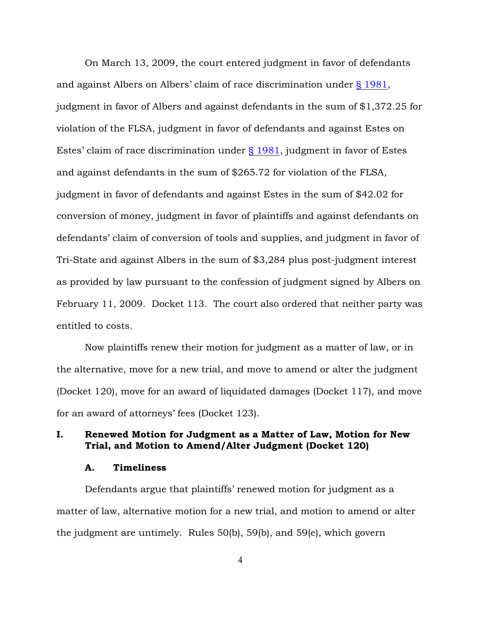On March 13, 2009, the court entered judgment in favor of defendants and against Albers on Albers' claim of race discrimination under [§ 1981](http://www.westlaw.com/find/default.wl?rs=ap2.0&ifm=NotSet&forceto=web2.westlaw.com&fn=_top&findtype=L&ft=L&docname=42USCAS1981&db=1000546&vr=2.0&rp=%2ffind%2fdefault.wl&wbtoolsId=42USCAS1981&HistoryType=F), judgment in favor of Albers and against defendants in the sum of \$1,372.25 for violation of the FLSA, judgment in favor of defendants and against Estes on Estes' claim of race discrimination under [§ 1981](http://www.westlaw.com/find/default.wl?rs=ap2.0&ifm=NotSet&forceto=web2.westlaw.com&fn=_top&findtype=L&ft=L&docname=42USCAS1981&db=1000546&vr=2.0&rp=%2ffind%2fdefault.wl&wbtoolsId=42USCAS1981&HistoryType=F), judgment in favor of Estes and against defendants in the sum of \$265.72 for violation of the FLSA, judgment in favor of defendants and against Estes in the sum of \$42.02 for conversion of money, judgment in favor of plaintiffs and against defendants on defendants' claim of conversion of tools and supplies, and judgment in favor of Tri-State and against Albers in the sum of \$3,284 plus post-judgment interest as provided by law pursuant to the confession of judgment signed by Albers on February 11, 2009. Docket 113. The court also ordered that neither party was entitled to costs.

Now plaintiffs renew their motion for judgment as a matter of law, or in the alternative, move for a new trial, and move to amend or alter the judgment (Docket 120), move for an award of liquidated damages (Docket 117), and move for an award of attorneys' fees (Docket 123).

## I. Renewed Motion for Judgment as a Matter of Law, Motion for New Trial, and Motion to Amend/Alter Judgment (Docket 120)

## A. Timeliness

Defendants argue that plaintiffs' renewed motion for judgment as a matter of law, alternative motion for a new trial, and motion to amend or alter the judgment are untimely. Rules 50(b), 59(b), and 59(e), which govern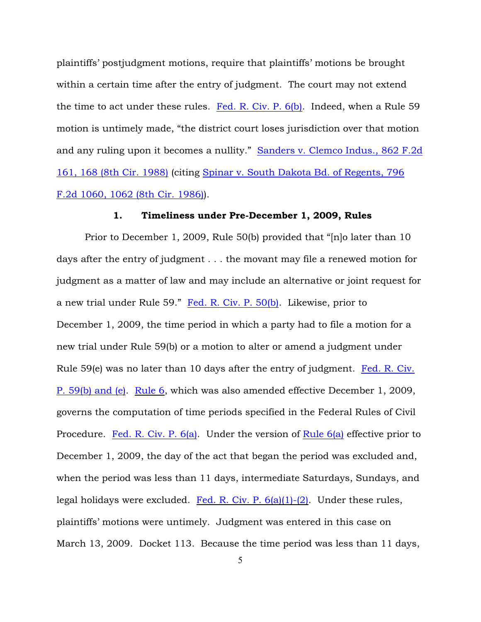plaintiffs' postjudgment motions, require that plaintiffs' motions be brought within a certain time after the entry of judgment. The court may not extend the time to act under these rules. [Fed. R. Civ. P. 6\(b\)](http://www.westlaw.com/find/default.wl?rs=ap2.0&ifm=NotSet&forceto=web2.westlaw.com&fn=_top&findtype=L&ft=L&docname=USFRCPR6&db=1000600&vr=2.0&rp=%2ffind%2fdefault.wl&wbtoolsId=USFRCPR6&HistoryType=F). Indeed, when a Rule 59 motion is untimely made, "the district court loses jurisdiction over that motion and any ruling upon it becomes a nullity." [Sanders v. Clemco Indus., 862 F.2d](http://www.westlaw.com/find/default.wl?rs=ap2.0&ifm=NotSet&forceto=web2.westlaw.com&fn=_top&serialnum=1988153172&ft=Y&findtype=Y&db=0000350&vr=2.0&rp=%2ffind%2fdefault.wl&wbtoolsId=1988153172&HistoryType=F) [161, 168 \(8th Cir. 1988\)](http://www.westlaw.com/find/default.wl?rs=ap2.0&ifm=NotSet&forceto=web2.westlaw.com&fn=_top&serialnum=1988153172&ft=Y&findtype=Y&db=0000350&vr=2.0&rp=%2ffind%2fdefault.wl&wbtoolsId=1988153172&HistoryType=F) (citing [Spinar v. South Dakota Bd. of Regents, 796](http://www.westlaw.com/find/default.wl?rs=ap2.0&ifm=NotSet&forceto=web2.westlaw.com&fn=_top&serialnum=1986138066&ft=Y&findtype=Y&db=0000350&vr=2.0&rp=%2ffind%2fdefault.wl&wbtoolsId=1986138066&HistoryType=F) [F.2d 1060, 1062 \(8th Cir. 1986\)](http://www.westlaw.com/find/default.wl?rs=ap2.0&ifm=NotSet&forceto=web2.westlaw.com&fn=_top&serialnum=1986138066&ft=Y&findtype=Y&db=0000350&vr=2.0&rp=%2ffind%2fdefault.wl&wbtoolsId=1986138066&HistoryType=F)).

### 1. Timeliness under Pre-December 1, 2009, Rules

Prior to December 1, 2009, Rule 50(b) provided that "[n]o later than 10 days after the entry of judgment . . . the movant may file a renewed motion for judgment as a matter of law and may include an alternative or joint request for a new trial under Rule 59." [Fed. R. Civ. P. 50\(b\)](http://www.westlaw.com/find/default.wl?forceto=web2.westlaw.com&ifm=NotSet&rp=%2ffind%2fdefault.wl&rs=ap2.0&db=1000600&findtype=L&fn=_top&docname=USFRCPR50&vr=2.0&ft=L&wbtoolsId=USFRCPR50&HistoryType=F). Likewise, prior to December 1, 2009, the time period in which a party had to file a motion for a new trial under Rule 59(b) or a motion to alter or amend a judgment under Rule 59(e) was no later than 10 days after the entry of judgment. [Fed. R. Civ.](http://www.westlaw.com/find/default.wl?rs=ap2.0&ifm=NotSet&forceto=web2.westlaw.com&fn=_top&findtype=L&ft=L&docname=USFRCPR59&db=1000600&vr=2.0&rp=%2ffind%2fdefault.wl&wbtoolsId=USFRCPR59&HistoryType=F) [P. 59\(b\) and \(e\)](http://www.westlaw.com/find/default.wl?rs=ap2.0&ifm=NotSet&forceto=web2.westlaw.com&fn=_top&findtype=L&ft=L&docname=USFRCPR59&db=1000600&vr=2.0&rp=%2ffind%2fdefault.wl&wbtoolsId=USFRCPR59&HistoryType=F). [Rule 6](http://www.westlaw.com/find/default.wl?rs=ap2.0&ifm=NotSet&forceto=web2.westlaw.com&fn=_top&findtype=L&ft=L&docname=USFRCPR6&db=1000600&vr=2.0&rp=%2ffind%2fdefault.wl&wbtoolsId=USFRCPR6&HistoryType=F), which was also amended effective December 1, 2009, governs the computation of time periods specified in the Federal Rules of Civil Procedure. [Fed. R. Civ. P. 6\(a\)](http://www.westlaw.com/find/default.wl?rs=ap2.0&ifm=NotSet&forceto=web2.westlaw.com&fn=_top&findtype=L&ft=L&docname=USFRCPR6&db=1000600&vr=2.0&rp=%2ffind%2fdefault.wl&wbtoolsId=USFRCPR6&HistoryType=F). Under the version of [Rule 6\(a\)](http://www.westlaw.com/find/default.wl?rs=ap2.0&ifm=NotSet&forceto=web2.westlaw.com&fn=_top&findtype=L&ft=L&docname=USFRCPR6&db=1000600&vr=2.0&rp=%2ffind%2fdefault.wl&wbtoolsId=USFRCPR6&HistoryType=F) effective prior to December 1, 2009, the day of the act that began the period was excluded and, when the period was less than 11 days, intermediate Saturdays, Sundays, and legal holidays were excluded. Fed. R. Civ. P.  $6(a)(1)-(2)$ . Under these rules, plaintiffs' motions were untimely. Judgment was entered in this case on March 13, 2009. Docket 113. Because the time period was less than 11 days,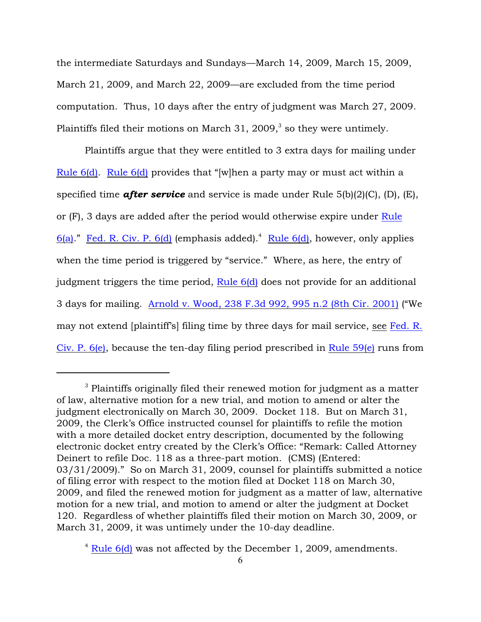the intermediate Saturdays and Sundays—March 14, 2009, March 15, 2009, March 21, 2009, and March 22, 2009—are excluded from the time period computation. Thus, 10 days after the entry of judgment was March 27, 2009. Plaintiffs filed their motions on March 31, 2009, $3$  so they were untimely.

Plaintiffs argue that they were entitled to 3 extra days for mailing under [Rule 6\(d\)](http://www.westlaw.com/find/default.wl?rs=ap2.0&ifm=NotSet&forceto=web2.westlaw.com&fn=_top&findtype=L&ft=L&docname=USFRCPR6&db=1000600&vr=2.0&rp=%2ffind%2fdefault.wl&wbtoolsId=USFRCPR6&HistoryType=F). [Rule 6\(d\)](http://www.westlaw.com/find/default.wl?rs=ap2.0&ifm=NotSet&forceto=web2.westlaw.com&fn=_top&findtype=L&ft=L&docname=USFRCPR6&db=1000600&vr=2.0&rp=%2ffind%2fdefault.wl&wbtoolsId=USFRCPR6&HistoryType=F) provides that "[w]hen a party may or must act within a specified time *after service* and service is made under Rule 5(b)(2)(C), (D), (E), or (F), 3 days are added after the period would otherwise expire under [Rule](http://www.westlaw.com/find/default.wl?rs=ap2.0&ifm=NotSet&forceto=web2.westlaw.com&fn=_top&findtype=L&ft=L&docname=USFRCPR6&db=1000600&vr=2.0&rp=%2ffind%2fdefault.wl&wbtoolsId=USFRCPR6&HistoryType=F) [6\(a\)](http://www.westlaw.com/find/default.wl?rs=ap2.0&ifm=NotSet&forceto=web2.westlaw.com&fn=_top&findtype=L&ft=L&docname=USFRCPR6&db=1000600&vr=2.0&rp=%2ffind%2fdefault.wl&wbtoolsId=USFRCPR6&HistoryType=F)." [Fed. R. Civ. P. 6\(d\)](http://www.westlaw.com/find/default.wl?rs=ap2.0&ifm=NotSet&forceto=web2.westlaw.com&fn=_top&findtype=L&ft=L&docname=USFRCPR6&db=1000600&vr=2.0&rp=%2ffind%2fdefault.wl&wbtoolsId=USFRCPR6&HistoryType=F) (emphasis added).<sup>4</sup> [Rule 6\(d\)](http://www.westlaw.com/find/default.wl?rs=ap2.0&ifm=NotSet&forceto=web2.westlaw.com&fn=_top&findtype=L&ft=L&docname=USFRCPR6&db=1000600&vr=2.0&rp=%2ffind%2fdefault.wl&wbtoolsId=USFRCPR6&HistoryType=F), however, only applies when the time period is triggered by "service." Where, as here, the entry of judgment triggers the time period, [Rule 6\(d\)](http://www.westlaw.com/find/default.wl?rs=ap2.0&ifm=NotSet&forceto=web2.westlaw.com&fn=_top&findtype=L&ft=L&docname=USFRCPR6&db=1000600&vr=2.0&rp=%2ffind%2fdefault.wl&wbtoolsId=USFRCPR6&HistoryType=F) does not provide for an additional 3 days for mailing. [Arnold v. Wood, 238 F.3d 992, 995 n.2 \(8th Cir. 2001\)](http://www.westlaw.com/find/default.wl?rs=ap2.0&ifm=NotSet&forceto=web2.westlaw.com&fn=_top&serialnum=2001093765&ft=Y&findtype=Y&db=0000506&vr=2.0&rp=%2ffind%2fdefault.wl&wbtoolsId=2001093765&HistoryType=F) ("We may not extend [plaintiff's] filing time by three days for mail service, see [Fed. R.](http://www.westlaw.com/find/default.wl?rs=ap2.0&ifm=NotSet&forceto=web2.westlaw.com&fn=_top&findtype=L&ft=L&docname=USFRCPR6&db=1000600&vr=2.0&rp=%2ffind%2fdefault.wl&wbtoolsId=USFRCPR6&HistoryType=F) [Civ. P. 6\(e\)](http://www.westlaw.com/find/default.wl?rs=ap2.0&ifm=NotSet&forceto=web2.westlaw.com&fn=_top&findtype=L&ft=L&docname=USFRCPR6&db=1000600&vr=2.0&rp=%2ffind%2fdefault.wl&wbtoolsId=USFRCPR6&HistoryType=F), because the ten-day filing period prescribed in [Rule 59\(e\)](http://www.westlaw.com/find/default.wl?rs=ap2.0&ifm=NotSet&forceto=web2.westlaw.com&fn=_top&findtype=L&ft=L&docname=USFRCPR59&db=1000600&vr=2.0&rp=%2ffind%2fdefault.wl&wbtoolsId=USFRCPR59&HistoryType=F) runs from

 $^3$  Plaintiffs originally filed their renewed motion for judgment as a matter  $\,$ of law, alternative motion for a new trial, and motion to amend or alter the judgment electronically on March 30, 2009. Docket 118. But on March 31, 2009, the Clerk's Office instructed counsel for plaintiffs to refile the motion with a more detailed docket entry description, documented by the following electronic docket entry created by the Clerk's Office: "Remark: Called Attorney Deinert to refile Doc. 118 as a three-part motion. (CMS) (Entered: 03/31/2009)." So on March 31, 2009, counsel for plaintiffs submitted a notice of filing error with respect to the motion filed at Docket 118 on March 30, 2009, and filed the renewed motion for judgment as a matter of law, alternative motion for a new trial, and motion to amend or alter the judgment at Docket 120. Regardless of whether plaintiffs filed their motion on March 30, 2009, or March 31, 2009, it was untimely under the 10-day deadline.

 $4$  [Rule 6\(d\)](http://www.westlaw.com/find/default.wl?rs=ap2.0&ifm=NotSet&forceto=web2.westlaw.com&fn=_top&findtype=L&ft=L&docname=USFRCPR6&db=1000600&vr=2.0&rp=%2ffind%2fdefault.wl&wbtoolsId=USFRCPR6&HistoryType=F) was not affected by the December 1, 2009, amendments.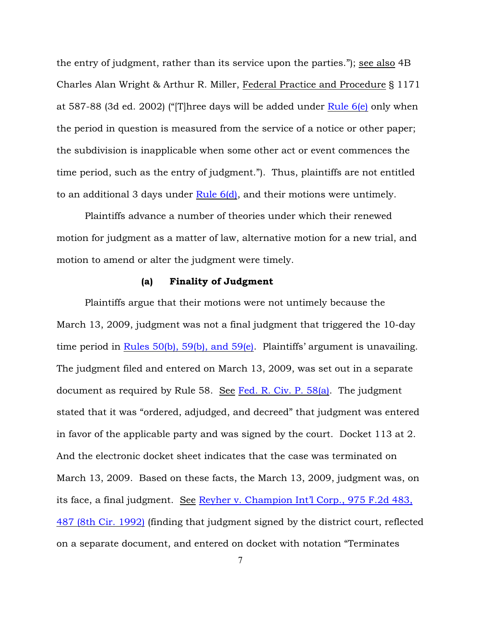the entry of judgment, rather than its service upon the parties."); see also 4B Charles Alan Wright & Arthur R. Miller, Federal Practice and Procedure § 1171 at 587-88 (3d ed. 2002) ("[T]hree days will be added under [Rule 6\(e\)](http://www.westlaw.com/find/default.wl?rs=ap2.0&ifm=NotSet&forceto=web2.westlaw.com&fn=_top&findtype=L&ft=L&docname=USFRCPR6&db=1000600&vr=2.0&rp=%2ffind%2fdefault.wl&wbtoolsId=USFRCPR6&HistoryType=F) only when the period in question is measured from the service of a notice or other paper; the subdivision is inapplicable when some other act or event commences the time period, such as the entry of judgment."). Thus, plaintiffs are not entitled to an additional 3 days under Rule  $6(d)$ , and their motions were untimely.

Plaintiffs advance a number of theories under which their renewed motion for judgment as a matter of law, alternative motion for a new trial, and motion to amend or alter the judgment were timely.

## (a) Finality of Judgment

Plaintiffs argue that their motions were not untimely because the March 13, 2009, judgment was not a final judgment that triggered the 10-day time period in [Rules 50\(b\), 59\(b\), and 59\(e\)](http://www.westlaw.com/find/default.wl?rs=ap2.0&ifm=NotSet&forceto=web2.westlaw.com&fn=_top&findtype=L&ft=L&docname=USFRCPR59&db=1000600&vr=2.0&rp=%2ffind%2fdefault.wl&wbtoolsId=USFRCPR59&HistoryType=F). Plaintiffs' argument is unavailing. The judgment filed and entered on March 13, 2009, was set out in a separate document as required by Rule 58. See [Fed. R. Civ. P. 58\(a\)](http://www.westlaw.com/find/default.wl?rs=ap2.0&ifm=NotSet&forceto=web2.westlaw.com&fn=_top&findtype=L&ft=L&docname=USFRCPR58&db=1000600&vr=2.0&rp=%2ffind%2fdefault.wl&wbtoolsId=USFRCPR58&HistoryType=F). The judgment stated that it was "ordered, adjudged, and decreed" that judgment was entered in favor of the applicable party and was signed by the court. Docket 113 at 2. And the electronic docket sheet indicates that the case was terminated on March 13, 2009. Based on these facts, the March 13, 2009, judgment was, on its face, a final judgment. See [Reyher v. Champion Int'l Corp., 975 F.2d 483,](http://www.westlaw.com/find/default.wl?rs=ap2.0&ifm=NotSet&forceto=web2.westlaw.com&fn=_top&serialnum=1992159672&ft=Y&findtype=Y&db=0000350&vr=2.0&rp=%2ffind%2fdefault.wl&wbtoolsId=1992159672&HistoryType=F) [487 \(8th Cir. 1992\)](http://www.westlaw.com/find/default.wl?rs=ap2.0&ifm=NotSet&forceto=web2.westlaw.com&fn=_top&serialnum=1992159672&ft=Y&findtype=Y&db=0000350&vr=2.0&rp=%2ffind%2fdefault.wl&wbtoolsId=1992159672&HistoryType=F) (finding that judgment signed by the district court, reflected on a separate document, and entered on docket with notation "Terminates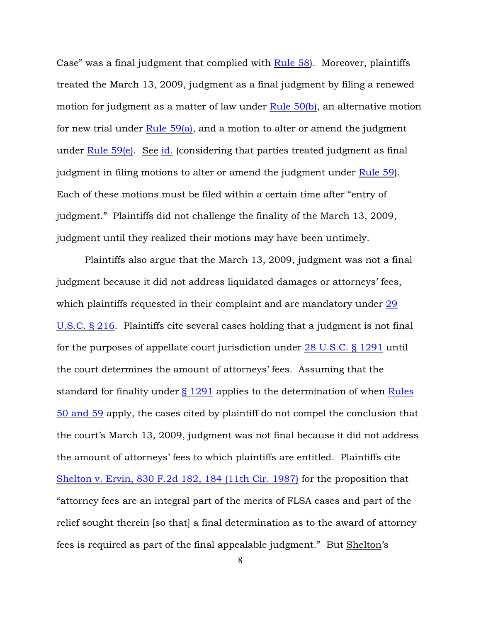Case" was a final judgment that complied with [Rule 58](http://www.westlaw.com/find/default.wl?rs=ap2.0&ifm=NotSet&forceto=web2.westlaw.com&fn=_top&findtype=L&ft=L&docname=USFRCPR58&db=1000600&vr=2.0&rp=%2ffind%2fdefault.wl&wbtoolsId=USFRCPR58&HistoryType=F)). Moreover, plaintiffs treated the March 13, 2009, judgment as a final judgment by filing a renewed motion for judgment as a matter of law under [Rule 50\(b\)](http://www.westlaw.com/find/default.wl?rs=ap2.0&ifm=NotSet&forceto=web2.westlaw.com&fn=_top&findtype=L&ft=L&docname=USFRCPR50&db=1000600&vr=2.0&rp=%2ffind%2fdefault.wl&wbtoolsId=USFRCPR50&HistoryType=F), an alternative motion for new trial under Rule  $59(a)$ , and a motion to alter or amend the judgment under Rule  $59(e)$ . See [id.](http://www.westlaw.com/find/default.wl?rs=ap2.0&ifm=NotSet&forceto=web2.westlaw.com&fn=_top&serialnum=1992159672&ft=Y&findtype=Y&db=0000350&vr=2.0&rp=%2ffind%2fdefault.wl&wbtoolsId=1992159672&HistoryType=F) (considering that parties treated judgment as final judgment in filing motions to alter or amend the judgment under [Rule 59](http://www.westlaw.com/find/default.wl?rs=ap2.0&ifm=NotSet&forceto=web2.westlaw.com&fn=_top&findtype=L&ft=L&docname=USFRCPR59&db=1000600&vr=2.0&rp=%2ffind%2fdefault.wl&wbtoolsId=USFRCPR59&HistoryType=F)). Each of these motions must be filed within a certain time after "entry of judgment." Plaintiffs did not challenge the finality of the March 13, 2009, judgment until they realized their motions may have been untimely.

Plaintiffs also argue that the March 13, 2009, judgment was not a final judgment because it did not address liquidated damages or attorneys' fees, which plaintiffs requested in their complaint and are mandatory under [29](http://www.westlaw.com/find/default.wl?rs=ap2.0&ifm=NotSet&forceto=web2.westlaw.com&fn=_top&findtype=L&ft=L&docname=29USCAS216&db=1000546&vr=2.0&rp=%2ffind%2fdefault.wl&wbtoolsId=29USCAS216&HistoryType=F) [U.S.C. § 216](http://www.westlaw.com/find/default.wl?rs=ap2.0&ifm=NotSet&forceto=web2.westlaw.com&fn=_top&findtype=L&ft=L&docname=29USCAS216&db=1000546&vr=2.0&rp=%2ffind%2fdefault.wl&wbtoolsId=29USCAS216&HistoryType=F). Plaintiffs cite several cases holding that a judgment is not final for the purposes of appellate court jurisdiction under [28 U.S.C. § 1291](http://www.westlaw.com/find/default.wl?rs=ap2.0&ifm=NotSet&forceto=web2.westlaw.com&fn=_top&findtype=L&ft=L&docname=28USCAS1291&db=1000546&vr=2.0&rp=%2ffind%2fdefault.wl&wbtoolsId=28USCAS1291&HistoryType=F) until the court determines the amount of attorneys' fees. Assuming that the standard for finality under [§ 1291](http://www.westlaw.com/find/default.wl?rs=ap2.0&ifm=NotSet&forceto=web2.westlaw.com&fn=_top&findtype=L&ft=L&docname=28USCAS1291&db=1000546&vr=2.0&rp=%2ffind%2fdefault.wl&wbtoolsId=28USCAS1291&HistoryType=F) applies to the determination of when [Rules](http://www.westlaw.com/find/default.wl?rs=ap2.0&ifm=NotSet&forceto=web2.westlaw.com&fn=_top&findtype=L&ft=L&docname=USFRCPR59&db=1000600&vr=2.0&rp=%2ffind%2fdefault.wl&wbtoolsId=USFRCPR59&HistoryType=F) [50 and 59](http://www.westlaw.com/find/default.wl?rs=ap2.0&ifm=NotSet&forceto=web2.westlaw.com&fn=_top&findtype=L&ft=L&docname=USFRCPR59&db=1000600&vr=2.0&rp=%2ffind%2fdefault.wl&wbtoolsId=USFRCPR59&HistoryType=F) apply, the cases cited by plaintiff do not compel the conclusion that the court's March 13, 2009, judgment was not final because it did not address the amount of attorneys' fees to which plaintiffs are entitled. Plaintiffs cite [Shelton v. Ervin, 830 F.2d 182, 184 \(11th Cir. 1987\)](http://www.westlaw.com/find/default.wl?rs=ap2.0&ifm=NotSet&forceto=web2.westlaw.com&fn=_top&serialnum=1987120572&ft=Y&findtype=Y&db=0000350&vr=2.0&rp=%2ffind%2fdefault.wl&wbtoolsId=1987120572&HistoryType=F) for the proposition that "attorney fees are an integral part of the merits of FLSA cases and part of the relief sought therein [so that] a final determination as to the award of attorney fees is required as part of the final appealable judgment." But Shelton's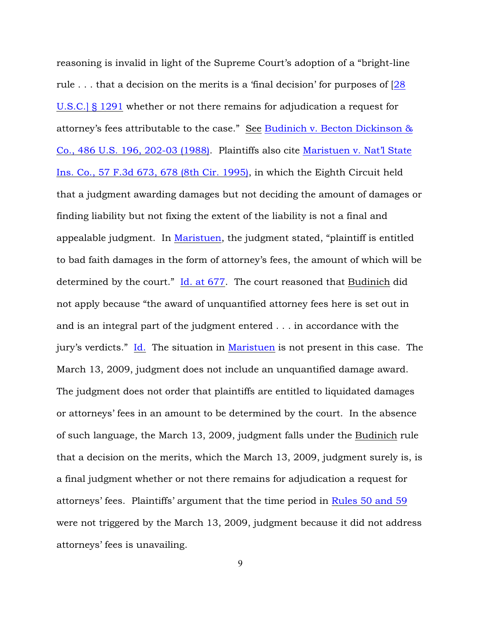reasoning is invalid in light of the Supreme Court's adoption of a "bright-line rule ... that a decision on the merits is a 'final decision' for purposes of  $\sqrt{28}$ [U.S.C.\] § 1291](http://www.westlaw.com/find/default.wl?rs=ap2.0&ifm=NotSet&forceto=web2.westlaw.com&fn=_top&findtype=L&ft=L&docname=28USCAS1291&db=1000546&vr=2.0&rp=%2ffind%2fdefault.wl&wbtoolsId=28USCAS1291&HistoryType=F) whether or not there remains for adjudication a request for attorney's fees attributable to the case." See [Budinich v. Becton Dickinson &](http://www.westlaw.com/find/default.wl?rs=ap2.0&ifm=NotSet&forceto=web2.westlaw.com&fn=_top&serialnum=1988066952&ft=Y&findtype=Y&db=0000780&vr=2.0&rp=%2ffind%2fdefault.wl&wbtoolsId=1988066952&HistoryType=F) [Co., 486 U.S. 196, 202-03 \(1988\)](http://www.westlaw.com/find/default.wl?rs=ap2.0&ifm=NotSet&forceto=web2.westlaw.com&fn=_top&serialnum=1988066952&ft=Y&findtype=Y&db=0000780&vr=2.0&rp=%2ffind%2fdefault.wl&wbtoolsId=1988066952&HistoryType=F). Plaintiffs also cite [Maristuen v. Nat'l State](http://www.westlaw.com/find/default.wl?rs=ap2.0&ifm=NotSet&forceto=web2.westlaw.com&fn=_top&serialnum=1995129607&ft=Y&findtype=Y&db=0000506&vr=2.0&rp=%2ffind%2fdefault.wl&wbtoolsId=1995129607&HistoryType=F) [Ins. Co., 57 F.3d 673, 678 \(8th Cir. 1995\)](http://www.westlaw.com/find/default.wl?rs=ap2.0&ifm=NotSet&forceto=web2.westlaw.com&fn=_top&serialnum=1995129607&ft=Y&findtype=Y&db=0000506&vr=2.0&rp=%2ffind%2fdefault.wl&wbtoolsId=1995129607&HistoryType=F), in which the Eighth Circuit held that a judgment awarding damages but not deciding the amount of damages or finding liability but not fixing the extent of the liability is not a final and appealable judgment. In [Maristuen](http://www.westlaw.com/find/default.wl?rs=ap2.0&ifm=NotSet&forceto=web2.westlaw.com&fn=_top&serialnum=1995129607&ft=Y&findtype=Y&db=0000506&vr=2.0&rp=%2ffind%2fdefault.wl&wbtoolsId=1995129607&HistoryType=F), the judgment stated, "plaintiff is entitled to bad faith damages in the form of attorney's fees, the amount of which will be determined by the court." [Id. at 677](http://www.westlaw.com/find/default.wl?rs=ap2.0&ifm=NotSet&forceto=web2.westlaw.com&fn=_top&serialnum=1995129607&ft=Y&findtype=Y&db=0000506&vr=2.0&rp=%2ffind%2fdefault.wl&wbtoolsId=1995129607&HistoryType=F). The court reasoned that Budinich did not apply because "the award of unquantified attorney fees here is set out in and is an integral part of the judgment entered . . . in accordance with the jury's verdicts." [Id.](http://www.westlaw.com/find/default.wl?rs=ap2.0&ifm=NotSet&forceto=web2.westlaw.com&fn=_top&serialnum=1995129607&ft=Y&findtype=Y&db=0000506&vr=2.0&rp=%2ffind%2fdefault.wl&wbtoolsId=1995129607&HistoryType=F) The situation in [Maristuen](http://www.westlaw.com/find/default.wl?rs=ap2.0&ifm=NotSet&forceto=web2.westlaw.com&fn=_top&serialnum=1995129607&ft=Y&findtype=Y&db=0000506&vr=2.0&rp=%2ffind%2fdefault.wl&wbtoolsId=1995129607&HistoryType=F) is not present in this case. The March 13, 2009, judgment does not include an unquantified damage award. The judgment does not order that plaintiffs are entitled to liquidated damages or attorneys' fees in an amount to be determined by the court. In the absence of such language, the March 13, 2009, judgment falls under the Budinich rule that a decision on the merits, which the March 13, 2009, judgment surely is, is a final judgment whether or not there remains for adjudication a request for attorneys' fees. Plaintiffs' argument that the time period in [Rules 50 and 59](http://www.westlaw.com/find/default.wl?rs=ap2.0&ifm=NotSet&forceto=web2.westlaw.com&fn=_top&findtype=L&ft=L&docname=USFRCPR59&db=1000600&vr=2.0&rp=%2ffind%2fdefault.wl&wbtoolsId=USFRCPR59&HistoryType=F) were not triggered by the March 13, 2009, judgment because it did not address attorneys' fees is unavailing.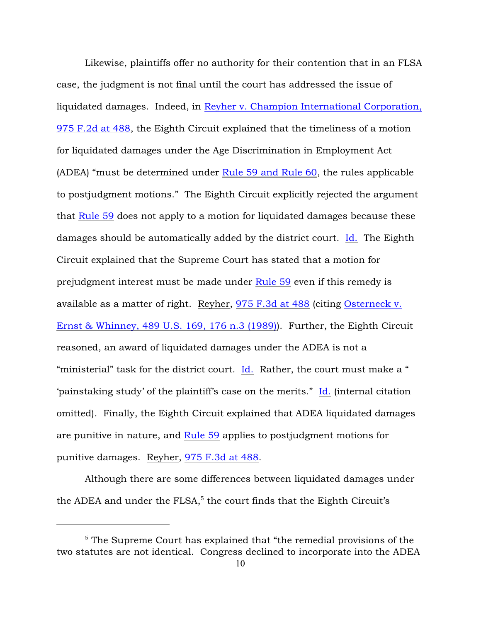Likewise, plaintiffs offer no authority for their contention that in an FLSA case, the judgment is not final until the court has addressed the issue of liquidated damages. Indeed, in [Reyher v. Champion International Corporation,](http://www.westlaw.com/find/default.wl?forceto=web2.westlaw.com&ifm=NotSet&rp=%2ffind%2fdefault.wl&rs=ap2.0&serialnum=1992159672&findtype=Y&fn=_top&vr=2.0&ft=Y&db=0000350&wbtoolsId=1992159672&HistoryType=F) [975 F.2d at 488](http://www.westlaw.com/find/default.wl?forceto=web2.westlaw.com&ifm=NotSet&rp=%2ffind%2fdefault.wl&rs=ap2.0&serialnum=1992159672&findtype=Y&fn=_top&vr=2.0&ft=Y&db=0000350&wbtoolsId=1992159672&HistoryType=F), the Eighth Circuit explained that the timeliness of a motion for liquidated damages under the Age Discrimination in Employment Act (ADEA) "must be determined under [Rule 59 and Rule 60](http://www.westlaw.com/find/default.wl?rs=ap2.0&ifm=NotSet&forceto=web2.westlaw.com&fn=_top&findtype=L&ft=L&docname=USFRCPR60&db=1000600&vr=2.0&rp=%2ffind%2fdefault.wl&wbtoolsId=USFRCPR60&HistoryType=F), the rules applicable to postjudgment motions." The Eighth Circuit explicitly rejected the argument that [Rule 59](http://www.westlaw.com/find/default.wl?forceto=web2.westlaw.com&ifm=NotSet&rp=%2ffind%2fdefault.wl&rs=ap2.0&db=1000600&findtype=L&fn=_top&docname=USFRCPR59&vr=2.0&ft=L&wbtoolsId=USFRCPR59&HistoryType=F) does not apply to a motion for liquidated damages because these damages should be automatically added by the district court. [Id.](http://www.westlaw.com/find/default.wl?forceto=web2.westlaw.com&ifm=NotSet&rp=%2ffind%2fdefault.wl&rs=ap2.0&serialnum=1992159672&findtype=Y&fn=_top&vr=2.0&ft=Y&db=0000350&wbtoolsId=1992159672&HistoryType=F) The Eighth Circuit explained that the Supreme Court has stated that a motion for prejudgment interest must be made under [Rule 59](http://www.westlaw.com/find/default.wl?forceto=web2.westlaw.com&ifm=NotSet&rp=%2ffind%2fdefault.wl&rs=ap2.0&db=1000600&findtype=L&fn=_top&docname=USFRCPR59&vr=2.0&ft=L&wbtoolsId=USFRCPR59&HistoryType=F) even if this remedy is available as a matter of right. Reyher, [975 F.3d at 488](http://www.westlaw.com/find/default.wl?forceto=web2.westlaw.com&ifm=NotSet&rp=%2ffind%2fdefault.wl&rs=ap2.0&db=0000506&cite=975+F.3dat+488&findtype=Y&fn=_top&vr=2.0&ft=Y&HistoryType=F) (citing [Osterneck v.](http://www.westlaw.com/find/default.wl?rs=ap2.0&ifm=NotSet&forceto=web2.westlaw.com&fn=_top&serialnum=1989026581&ft=Y&findtype=Y&db=0000780&vr=2.0&rp=%2ffind%2fdefault.wl&wbtoolsId=1989026581&HistoryType=F) [Ernst & Whinney, 489 U.S. 169, 176 n.3 \(1989\)](http://www.westlaw.com/find/default.wl?rs=ap2.0&ifm=NotSet&forceto=web2.westlaw.com&fn=_top&serialnum=1989026581&ft=Y&findtype=Y&db=0000780&vr=2.0&rp=%2ffind%2fdefault.wl&wbtoolsId=1989026581&HistoryType=F)). Further, the Eighth Circuit reasoned, an award of liquidated damages under the ADEA is not a "ministerial" task for the district court. [Id.](http://www.westlaw.com/find/default.wl?rs=ap2.0&ifm=NotSet&forceto=web2.westlaw.com&fn=_top&serialnum=1989026581&ft=Y&findtype=Y&db=0000780&vr=2.0&rp=%2ffind%2fdefault.wl&wbtoolsId=1989026581&HistoryType=F) Rather, the court must make a " 'painstaking study' of the plaintiff's case on the merits." [Id.](http://www.westlaw.com/find/default.wl?rs=ap2.0&ifm=NotSet&forceto=web2.westlaw.com&fn=_top&serialnum=1989026581&ft=Y&findtype=Y&db=0000780&vr=2.0&rp=%2ffind%2fdefault.wl&wbtoolsId=1989026581&HistoryType=F) (internal citation omitted). Finally, the Eighth Circuit explained that ADEA liquidated damages are punitive in nature, and [Rule 59](http://www.westlaw.com/find/default.wl?rs=ap2.0&ifm=NotSet&forceto=web2.westlaw.com&fn=_top&findtype=L&ft=L&docname=USFRCPR59&db=1000600&vr=2.0&rp=%2ffind%2fdefault.wl&wbtoolsId=USFRCPR59&HistoryType=F) applies to postjudgment motions for punitive damages. Reyher, [975 F.3d at 488](http://www.westlaw.com/find/default.wl?rs=ap2.0&ifm=NotSet&forceto=web2.westlaw.com&fn=_top&findtype=Y&ft=Y&db=0000506&vr=2.0&rp=%2ffind%2fdefault.wl&cite=975+F.3dat+488&HistoryType=F).

Although there are some differences between liquidated damages under the ADEA and under the FLSA, $5$  the court finds that the Eighth Circuit's

 $5$  The Supreme Court has explained that "the remedial provisions of the two statutes are not identical. Congress declined to incorporate into the ADEA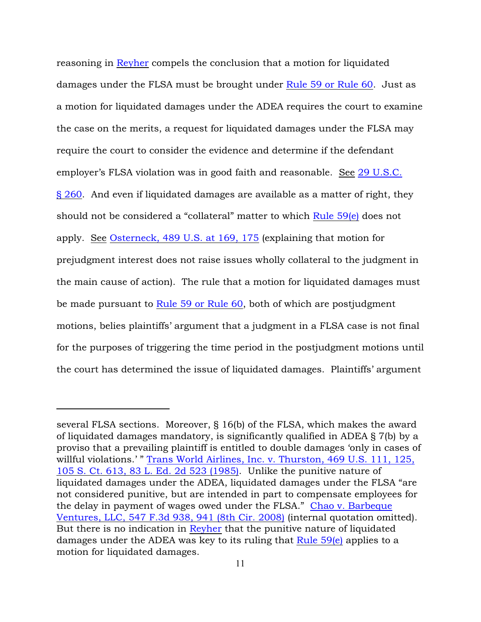reasoning in [Reyher](http://www.westlaw.com/find/default.wl?rs=ap2.0&ifm=NotSet&forceto=web2.westlaw.com&fn=_top&serialnum=1992159672&ft=Y&findtype=Y&db=0000350&vr=2.0&rp=%2ffind%2fdefault.wl&wbtoolsId=1992159672&HistoryType=F) compels the conclusion that a motion for liquidated damages under the FLSA must be brought under [Rule 59 or Rule 60](http://www.westlaw.com/find/default.wl?rs=ap2.0&ifm=NotSet&forceto=web2.westlaw.com&fn=_top&findtype=L&ft=L&docname=USFRCPR60&db=1000600&vr=2.0&rp=%2ffind%2fdefault.wl&wbtoolsId=USFRCPR60&HistoryType=F). Just as a motion for liquidated damages under the ADEA requires the court to examine the case on the merits, a request for liquidated damages under the FLSA may require the court to consider the evidence and determine if the defendant employer's FLSA violation was in good faith and reasonable. See [29 U.S.C.](http://www.westlaw.com/find/default.wl?rs=ap2.0&ifm=NotSet&forceto=web2.westlaw.com&fn=_top&findtype=L&ft=L&docname=29USCAS260&db=1000546&vr=2.0&rp=%2ffind%2fdefault.wl&wbtoolsId=29USCAS260&HistoryType=F) [§ 260](http://www.westlaw.com/find/default.wl?rs=ap2.0&ifm=NotSet&forceto=web2.westlaw.com&fn=_top&findtype=L&ft=L&docname=29USCAS260&db=1000546&vr=2.0&rp=%2ffind%2fdefault.wl&wbtoolsId=29USCAS260&HistoryType=F). And even if liquidated damages are available as a matter of right, they should not be considered a "collateral" matter to which [Rule 59\(e\)](http://www.westlaw.com/find/default.wl?rs=ap2.0&ifm=NotSet&forceto=web2.westlaw.com&fn=_top&findtype=L&ft=L&docname=USFRCPR59&db=1000600&vr=2.0&rp=%2ffind%2fdefault.wl&wbtoolsId=USFRCPR59&HistoryType=F) does not apply. See [Osterneck, 489 U.S. at 169, 175](http://www.westlaw.com/find/default.wl?rs=ap2.0&ifm=NotSet&forceto=web2.westlaw.com&fn=_top&serialnum=1989026581&ft=Y&findtype=Y&db=0000780&vr=2.0&rp=%2ffind%2fdefault.wl&wbtoolsId=1989026581&HistoryType=F) (explaining that motion for prejudgment interest does not raise issues wholly collateral to the judgment in the main cause of action). The rule that a motion for liquidated damages must be made pursuant to [Rule 59 or Rule 60](http://www.westlaw.com/find/default.wl?rs=ap2.0&ifm=NotSet&forceto=web2.westlaw.com&fn=_top&findtype=L&ft=L&docname=USFRCPR60&db=1000600&vr=2.0&rp=%2ffind%2fdefault.wl&wbtoolsId=USFRCPR60&HistoryType=F), both of which are postjudgment motions, belies plaintiffs' argument that a judgment in a FLSA case is not final for the purposes of triggering the time period in the postjudgment motions until the court has determined the issue of liquidated damages. Plaintiffs' argument

several FLSA sections. Moreover, § 16(b) of the FLSA, which makes the award of liquidated damages mandatory, is significantly qualified in ADEA § 7(b) by a proviso that a prevailing plaintiff is entitled to double damages 'only in cases of willful violations.'" [Trans World Airlines, Inc. v. Thurston, 469 U.S. 111, 125,](http://www.westlaw.com/find/default.wl?rs=ap2.0&ifm=NotSet&forceto=web2.westlaw.com&fn=_top&serialnum=1985101283&ft=Y&findtype=Y&db=0000471&vr=2.0&rp=%2ffind%2fdefault.wl&wbtoolsId=1985101283&HistoryType=F) [105 S. Ct. 613, 83 L. Ed. 2d 523 \(1985\)](http://www.westlaw.com/find/default.wl?rs=ap2.0&ifm=NotSet&forceto=web2.westlaw.com&fn=_top&serialnum=1985101283&ft=Y&findtype=Y&db=0000471&vr=2.0&rp=%2ffind%2fdefault.wl&wbtoolsId=1985101283&HistoryType=F). Unlike the punitive nature of liquidated damages under the ADEA, liquidated damages under the FLSA "are not considered punitive, but are intended in part to compensate employees for the delay in payment of wages owed under the FLSA." [Chao v. Barbeque](http://www.westlaw.com/find/default.wl?rs=ap2.0&ifm=NotSet&forceto=web2.westlaw.com&fn=_top&serialnum=2017556790&ft=Y&findtype=Y&db=0000506&vr=2.0&rp=%2ffind%2fdefault.wl&wbtoolsId=2017556790&HistoryType=F) [Ventures, LLC, 547 F.3d 938, 941 \(8th Cir. 2008\)](http://www.westlaw.com/find/default.wl?rs=ap2.0&ifm=NotSet&forceto=web2.westlaw.com&fn=_top&serialnum=2017556790&ft=Y&findtype=Y&db=0000506&vr=2.0&rp=%2ffind%2fdefault.wl&wbtoolsId=2017556790&HistoryType=F) (internal quotation omitted). But there is no indication in [Reyher](http://www.westlaw.com/find/default.wl?rs=ap2.0&ifm=NotSet&forceto=web2.westlaw.com&fn=_top&serialnum=1992159672&ft=Y&findtype=Y&db=0000350&vr=2.0&rp=%2ffind%2fdefault.wl&wbtoolsId=1992159672&HistoryType=F) that the punitive nature of liquidated damages under the ADEA was key to its ruling that [Rule 59\(e\)](http://www.westlaw.com/find/default.wl?rs=ap2.0&ifm=NotSet&forceto=web2.westlaw.com&fn=_top&findtype=L&ft=L&docname=USFRCPR59&db=1000600&vr=2.0&rp=%2ffind%2fdefault.wl&wbtoolsId=USFRCPR59&HistoryType=F) applies to a motion for liquidated damages.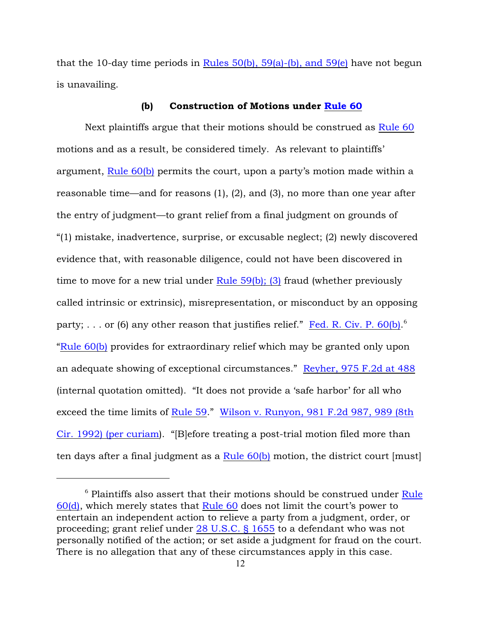that the 10-day time periods in Rules  $50(b)$ ,  $59(a)$ -(b), and  $59(e)$  have not begun is unavailing.

#### (b) Construction of Motions under [Rule 60](http://www.westlaw.com/find/default.wl?rs=ap2.0&ifm=NotSet&forceto=web2.westlaw.com&fn=_top&findtype=L&ft=L&docname=USFRCPR60&db=1000600&vr=2.0&rp=%2ffind%2fdefault.wl&wbtoolsId=USFRCPR60&HistoryType=F)

Next plaintiffs argue that their motions should be construed as [Rule 60](http://www.westlaw.com/find/default.wl?rs=ap2.0&ifm=NotSet&forceto=web2.westlaw.com&fn=_top&findtype=L&ft=L&docname=USFRCPR60&db=1000600&vr=2.0&rp=%2ffind%2fdefault.wl&wbtoolsId=USFRCPR60&HistoryType=F) motions and as a result, be considered timely. As relevant to plaintiffs' argument, [Rule 60\(b\)](http://www.westlaw.com/find/default.wl?rs=ap2.0&ifm=NotSet&forceto=web2.westlaw.com&fn=_top&findtype=L&ft=L&docname=USFRCPR60&db=1000600&vr=2.0&rp=%2ffind%2fdefault.wl&wbtoolsId=USFRCPR60&HistoryType=F) permits the court, upon a party's motion made within a reasonable time—and for reasons (1), (2), and (3), no more than one year after the entry of judgment—to grant relief from a final judgment on grounds of "(1) mistake, inadvertence, surprise, or excusable neglect; (2) newly discovered evidence that, with reasonable diligence, could not have been discovered in time to move for a new trial under [Rule 59\(b\); \(3\)](http://www.westlaw.com/find/default.wl?rs=ap2.0&ifm=NotSet&forceto=web2.westlaw.com&fn=_top&findtype=L&ft=L&docname=USFRCPR59&db=1000600&vr=2.0&rp=%2ffind%2fdefault.wl&wbtoolsId=USFRCPR59&HistoryType=F) fraud (whether previously called intrinsic or extrinsic), misrepresentation, or misconduct by an opposing party; . . . or (6) any other reason that justifies relief." [Fed. R. Civ. P. 60\(b\)](http://www.westlaw.com/find/default.wl?rs=ap2.0&ifm=NotSet&forceto=web2.westlaw.com&fn=_top&findtype=L&ft=L&docname=USFRCPR60&db=1000600&vr=2.0&rp=%2ffind%2fdefault.wl&wbtoolsId=USFRCPR60&HistoryType=F).<sup>6</sup> ["Rule 60\(b\)](http://www.westlaw.com/find/default.wl?rs=ap2.0&ifm=NotSet&forceto=web2.westlaw.com&fn=_top&findtype=L&ft=L&docname=USFRCPR60&db=1000600&vr=2.0&rp=%2ffind%2fdefault.wl&wbtoolsId=USFRCPR60&HistoryType=F) provides for extraordinary relief which may be granted only upon an adequate showing of exceptional circumstances." [Reyher, 975 F.2d at 488](http://www.westlaw.com/find/default.wl?rs=ap2.0&ifm=NotSet&forceto=web2.westlaw.com&fn=_top&serialnum=1992159672&ft=Y&findtype=Y&db=0000350&vr=2.0&rp=%2ffind%2fdefault.wl&wbtoolsId=1992159672&HistoryType=F) (internal quotation omitted). "It does not provide a 'safe harbor' for all who exceed the time limits of [Rule 59](http://www.westlaw.com/find/default.wl?rs=ap2.0&ifm=NotSet&forceto=web2.westlaw.com&fn=_top&findtype=L&ft=L&docname=USFRCPR59&db=1000600&vr=2.0&rp=%2ffind%2fdefault.wl&wbtoolsId=USFRCPR59&HistoryType=F)." [Wilson v. Runyon, 981 F.2d 987, 989 \(8th](http://www.westlaw.com/find/default.wl?rs=ap2.0&ifm=NotSet&forceto=web2.westlaw.com&fn=_top&serialnum=1992215224&ft=Y&findtype=Y&db=0000350&vr=2.0&rp=%2ffind%2fdefault.wl&wbtoolsId=1992215224&HistoryType=F) [Cir. 1992\) \(per curiam](http://www.westlaw.com/find/default.wl?rs=ap2.0&ifm=NotSet&forceto=web2.westlaw.com&fn=_top&serialnum=1992215224&ft=Y&findtype=Y&db=0000350&vr=2.0&rp=%2ffind%2fdefault.wl&wbtoolsId=1992215224&HistoryType=F)). "[B]efore treating a post-trial motion filed more than ten days after a final judgment as a Rule  $60(b)$  motion, the district court [must]

 $6$  Plaintiffs also assert that their motions should be construed under [Rule](http://www.westlaw.com/find/default.wl?rs=ap2.0&ifm=NotSet&forceto=web2.westlaw.com&fn=_top&findtype=L&ft=L&docname=USFRCPR60&db=1000600&vr=2.0&rp=%2ffind%2fdefault.wl&wbtoolsId=USFRCPR60&HistoryType=F) [60\(d\)](http://www.westlaw.com/find/default.wl?rs=ap2.0&ifm=NotSet&forceto=web2.westlaw.com&fn=_top&findtype=L&ft=L&docname=USFRCPR60&db=1000600&vr=2.0&rp=%2ffind%2fdefault.wl&wbtoolsId=USFRCPR60&HistoryType=F), which merely states that [Rule 60](http://www.westlaw.com/find/default.wl?rs=ap2.0&ifm=NotSet&forceto=web2.westlaw.com&fn=_top&findtype=L&ft=L&docname=USFRCPR60&db=1000600&vr=2.0&rp=%2ffind%2fdefault.wl&wbtoolsId=USFRCPR60&HistoryType=F) does not limit the court's power to entertain an independent action to relieve a party from a judgment, order, or proceeding; grant relief under [28 U.S.C. § 1655](http://www.westlaw.com/find/default.wl?rs=ap2.0&ifm=NotSet&forceto=web2.westlaw.com&fn=_top&findtype=L&ft=L&docname=28USCAS1655&db=1000546&vr=2.0&rp=%2ffind%2fdefault.wl&wbtoolsId=28USCAS1655&HistoryType=F) to a defendant who was not personally notified of the action; or set aside a judgment for fraud on the court. There is no allegation that any of these circumstances apply in this case.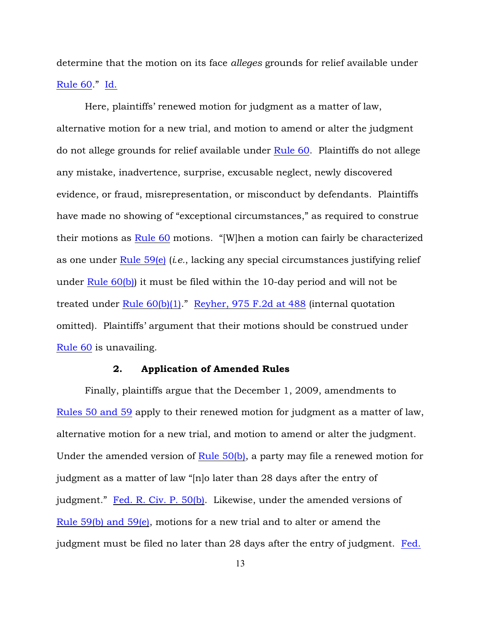determine that the motion on its face *alleges* grounds for relief available under [Rule 60](http://www.westlaw.com/find/default.wl?rs=ap2.0&ifm=NotSet&forceto=web2.westlaw.com&fn=_top&findtype=L&ft=L&docname=USFRCPR60&db=1000600&vr=2.0&rp=%2ffind%2fdefault.wl&wbtoolsId=USFRCPR60&HistoryType=F)." [Id.](http://www.westlaw.com/find/default.wl?rs=ap2.0&ifm=NotSet&forceto=web2.westlaw.com&fn=_top&serialnum=1992215224&ft=Y&findtype=Y&db=0000350&vr=2.0&rp=%2ffind%2fdefault.wl&wbtoolsId=1992215224&HistoryType=F)

Here, plaintiffs' renewed motion for judgment as a matter of law, alternative motion for a new trial, and motion to amend or alter the judgment do not allege grounds for relief available under [Rule 60](http://www.westlaw.com/find/default.wl?rs=ap2.0&ifm=NotSet&forceto=web2.westlaw.com&fn=_top&findtype=L&ft=L&docname=USFRCPR60&db=1000600&vr=2.0&rp=%2ffind%2fdefault.wl&wbtoolsId=USFRCPR60&HistoryType=F). Plaintiffs do not allege any mistake, inadvertence, surprise, excusable neglect, newly discovered evidence, or fraud, misrepresentation, or misconduct by defendants. Plaintiffs have made no showing of "exceptional circumstances," as required to construe their motions as [Rule 60](http://www.westlaw.com/find/default.wl?rs=ap2.0&ifm=NotSet&forceto=web2.westlaw.com&fn=_top&findtype=L&ft=L&docname=USFRCPR60&db=1000600&vr=2.0&rp=%2ffind%2fdefault.wl&wbtoolsId=USFRCPR60&HistoryType=F) motions. "[W]hen a motion can fairly be characterized as one under [Rule 59\(e\)](http://www.westlaw.com/find/default.wl?rs=ap2.0&ifm=NotSet&forceto=web2.westlaw.com&fn=_top&findtype=L&ft=L&docname=USFRCPR59&db=1000600&vr=2.0&rp=%2ffind%2fdefault.wl&wbtoolsId=USFRCPR59&HistoryType=F) (*i.e.*, lacking any special circumstances justifying relief under [Rule 60\(b\)](http://www.westlaw.com/find/default.wl?rs=ap2.0&ifm=NotSet&forceto=web2.westlaw.com&fn=_top&findtype=L&ft=L&docname=USFRCPR60&db=1000600&vr=2.0&rp=%2ffind%2fdefault.wl&wbtoolsId=USFRCPR60&HistoryType=F)) it must be filed within the 10-day period and will not be treated under [Rule 60\(b\)\(1\)](http://www.westlaw.com/find/default.wl?rs=ap2.0&ifm=NotSet&forceto=web2.westlaw.com&fn=_top&findtype=L&ft=L&docname=USFRCPR60&db=1000600&vr=2.0&rp=%2ffind%2fdefault.wl&wbtoolsId=USFRCPR60&HistoryType=F)." [Reyher, 975 F.2d at 488](http://www.westlaw.com/find/default.wl?rs=ap2.0&ifm=NotSet&forceto=web2.westlaw.com&fn=_top&serialnum=1992159672&ft=Y&findtype=Y&db=0000350&vr=2.0&rp=%2ffind%2fdefault.wl&wbtoolsId=1992159672&HistoryType=F) (internal quotation omitted). Plaintiffs' argument that their motions should be construed under [Rule 60](http://www.westlaw.com/find/default.wl?rs=ap2.0&ifm=NotSet&forceto=web2.westlaw.com&fn=_top&findtype=L&ft=L&docname=USFRCPR60&db=1000600&vr=2.0&rp=%2ffind%2fdefault.wl&wbtoolsId=USFRCPR60&HistoryType=F) is unavailing.

# 2. Application of Amended Rules

Finally, plaintiffs argue that the December 1, 2009, amendments to [Rules 50 and 59](http://www.westlaw.com/find/default.wl?rs=ap2.0&ifm=NotSet&forceto=web2.westlaw.com&fn=_top&findtype=L&ft=L&docname=USFRCPR59&db=1000600&vr=2.0&rp=%2ffind%2fdefault.wl&wbtoolsId=USFRCPR59&HistoryType=F) apply to their renewed motion for judgment as a matter of law, alternative motion for a new trial, and motion to amend or alter the judgment. Under the amended version of Rule  $50(b)$ , a party may file a renewed motion for judgment as a matter of law "[n]o later than 28 days after the entry of judgment." [Fed. R. Civ. P. 50\(b\)](http://www.westlaw.com/find/default.wl?rs=ap2.0&ifm=NotSet&forceto=web2.westlaw.com&fn=_top&findtype=L&ft=L&docname=USFRCPR50&db=1000600&vr=2.0&rp=%2ffind%2fdefault.wl&wbtoolsId=USFRCPR50&HistoryType=F). Likewise, under the amended versions of [Rule 59\(b\) and 59\(e\)](http://www.westlaw.com/find/default.wl?rs=ap2.0&ifm=NotSet&forceto=web2.westlaw.com&fn=_top&findtype=L&ft=L&docname=USFRCPR59&db=1000600&vr=2.0&rp=%2ffind%2fdefault.wl&wbtoolsId=USFRCPR59&HistoryType=F), motions for a new trial and to alter or amend the judgment must be filed no later than 28 days after the entry of judgment. [Fed.](http://www.westlaw.com/find/default.wl?rs=ap2.0&ifm=NotSet&forceto=web2.westlaw.com&fn=_top&findtype=L&ft=L&docname=USFRCPR59&db=1000600&vr=2.0&rp=%2ffind%2fdefault.wl&wbtoolsId=USFRCPR59&HistoryType=F)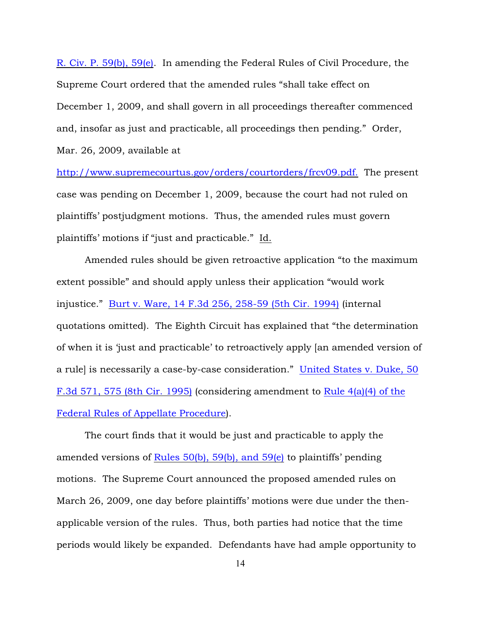R. Civ. P. 59(b), 59(e). In amending the Federal Rules of Civil Procedure, the Supreme Court ordered that the amended rules "shall take effect on December 1, 2009, and shall govern in all proceedings thereafter commenced and, insofar as just and practicable, all proceedings then pending." Order, Mar. 26, 2009, available at

[http://www.supremecourtus.gov/orders/courtorders/frcv09.pdf.](www.supremecourtus.gov/orders/courtorders/frcv09.pdf.) The present case was pending on December 1, 2009, because the court had not ruled on plaintiffs' postjudgment motions. Thus, the amended rules must govern plaintiffs' motions if "just and practicable." Id.

Amended rules should be given retroactive application "to the maximum extent possible" and should apply unless their application "would work injustice." [Burt v. Ware, 14 F.3d 256, 258-59 \(5th Cir. 1994\)](http://www.westlaw.com/find/default.wl?rs=ap2.0&ifm=NotSet&forceto=web2.westlaw.com&fn=_top&serialnum=1994038773&ft=Y&findtype=Y&db=0000506&vr=2.0&rp=%2ffind%2fdefault.wl&wbtoolsId=1994038773&HistoryType=F) (internal quotations omitted). The Eighth Circuit has explained that "the determination of when it is 'just and practicable' to retroactively apply [an amended version of a rule] is necessarily a case-by-case consideration." [United States v. Duke, 50](http://www.westlaw.com/find/default.wl?rs=ap2.0&ifm=NotSet&forceto=web2.westlaw.com&fn=_top&serialnum=1995068423&ft=Y&findtype=Y&db=0000506&vr=2.0&rp=%2ffind%2fdefault.wl&wbtoolsId=1995068423&HistoryType=F) [F.3d 571, 575 \(8th Cir. 1995\)](http://www.westlaw.com/find/default.wl?rs=ap2.0&ifm=NotSet&forceto=web2.westlaw.com&fn=_top&serialnum=1995068423&ft=Y&findtype=Y&db=0000506&vr=2.0&rp=%2ffind%2fdefault.wl&wbtoolsId=1995068423&HistoryType=F) (considering amendment to [Rule 4\(a\)\(4\) of the](http://www.westlaw.com/find/default.wl?rs=ap2.0&ifm=NotSet&forceto=web2.westlaw.com&fn=_top&findtype=L&ft=L&docname=USFRAPR4&db=1000599&vr=2.0&rp=%2ffind%2fdefault.wl&wbtoolsId=USFRAPR4&HistoryType=F) [Federal Rules of Appellate Procedure](http://www.westlaw.com/find/default.wl?rs=ap2.0&ifm=NotSet&forceto=web2.westlaw.com&fn=_top&findtype=L&ft=L&docname=USFRAPR4&db=1000599&vr=2.0&rp=%2ffind%2fdefault.wl&wbtoolsId=USFRAPR4&HistoryType=F)).

The court finds that it would be just and practicable to apply the amended versions of [Rules 50\(b\), 59\(b\), and 59\(e\)](http://www.westlaw.com/find/default.wl?rs=ap2.0&ifm=NotSet&forceto=web2.westlaw.com&fn=_top&findtype=L&ft=L&docname=USFRCPR59&db=1000600&vr=2.0&rp=%2ffind%2fdefault.wl&wbtoolsId=USFRCPR59&HistoryType=F) to plaintiffs' pending motions. The Supreme Court announced the proposed amended rules on March 26, 2009, one day before plaintiffs' motions were due under the thenapplicable version of the rules. Thus, both parties had notice that the time periods would likely be expanded. Defendants have had ample opportunity to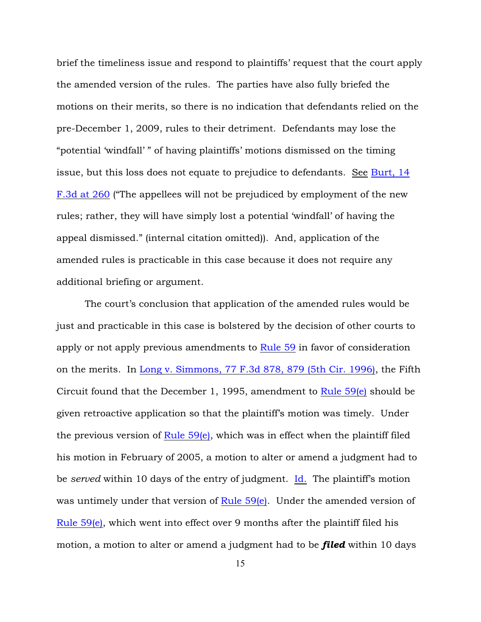brief the timeliness issue and respond to plaintiffs' request that the court apply the amended version of the rules. The parties have also fully briefed the motions on their merits, so there is no indication that defendants relied on the pre-December 1, 2009, rules to their detriment. Defendants may lose the "potential 'windfall' " of having plaintiffs' motions dismissed on the timing issue, but this loss does not equate to prejudice to defendants. See [Burt, 14](http://www.westlaw.com/find/default.wl?rs=ap2.0&ifm=NotSet&forceto=web2.westlaw.com&fn=_top&serialnum=1994038773&ft=Y&findtype=Y&db=0000506&vr=2.0&rp=%2ffind%2fdefault.wl&wbtoolsId=1994038773&HistoryType=F) [F.3d at 260](http://www.westlaw.com/find/default.wl?rs=ap2.0&ifm=NotSet&forceto=web2.westlaw.com&fn=_top&serialnum=1994038773&ft=Y&findtype=Y&db=0000506&vr=2.0&rp=%2ffind%2fdefault.wl&wbtoolsId=1994038773&HistoryType=F) ("The appellees will not be prejudiced by employment of the new rules; rather, they will have simply lost a potential 'windfall' of having the appeal dismissed." (internal citation omitted)). And, application of the amended rules is practicable in this case because it does not require any additional briefing or argument.

The court's conclusion that application of the amended rules would be just and practicable in this case is bolstered by the decision of other courts to apply or not apply previous amendments to [Rule 59](http://www.westlaw.com/find/default.wl?rs=ap2.0&ifm=NotSet&forceto=web2.westlaw.com&fn=_top&findtype=L&ft=L&docname=USFRCPR59&db=1000600&vr=2.0&rp=%2ffind%2fdefault.wl&wbtoolsId=USFRCPR59&HistoryType=F) in favor of consideration on the merits. In [Long v. Simmons, 77 F.3d 878, 879 \(5th Cir. 1996\)](http://www.westlaw.com/find/default.wl?rs=ap2.0&ifm=NotSet&forceto=web2.westlaw.com&fn=_top&serialnum=1996064109&ft=Y&findtype=Y&db=0000506&vr=2.0&rp=%2ffind%2fdefault.wl&wbtoolsId=1996064109&HistoryType=F), the Fifth Circuit found that the December 1, 1995, amendment to Rule  $59(e)$  should be given retroactive application so that the plaintiff's motion was timely. Under the previous version of  $Rule 59(e)$ , which was in effect when the plaintiff filed his motion in February of 2005, a motion to alter or amend a judgment had to be *served* within 10 days of the entry of judgment. [Id.](http://www.westlaw.com/find/default.wl?rs=ap2.0&ifm=NotSet&forceto=web2.westlaw.com&fn=_top&serialnum=1996064109&ft=Y&findtype=Y&db=0000506&vr=2.0&rp=%2ffind%2fdefault.wl&wbtoolsId=1996064109&HistoryType=F) The plaintiff's motion was untimely under that version of Rule  $59(e)$ . Under the amended version of [Rule 59\(e\)](http://www.westlaw.com/find/default.wl?rs=ap2.0&ifm=NotSet&forceto=web2.westlaw.com&fn=_top&findtype=L&ft=L&docname=USFRCPR59&db=1000600&vr=2.0&rp=%2ffind%2fdefault.wl&wbtoolsId=USFRCPR59&HistoryType=F), which went into effect over 9 months after the plaintiff filed his motion, a motion to alter or amend a judgment had to be *filed* within 10 days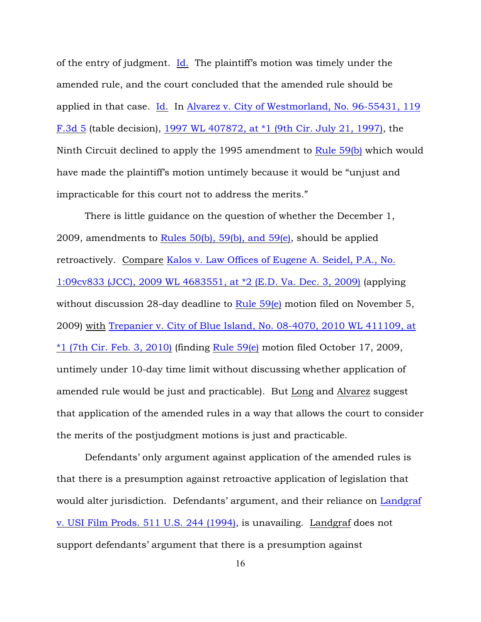of the entry of judgment. [Id.](http://www.westlaw.com/find/default.wl?rs=ap2.0&ifm=NotSet&forceto=web2.westlaw.com&fn=_top&serialnum=1996064109&ft=Y&findtype=Y&db=0000506&vr=2.0&rp=%2ffind%2fdefault.wl&wbtoolsId=1996064109&HistoryType=F) The plaintiff's motion was timely under the amended rule, and the court concluded that the amended rule should be applied in that case. [Id](http://www.westlaw.com/find/default.wl?rs=ap2.0&ifm=NotSet&forceto=web2.westlaw.com&fn=_top&serialnum=1996064109&ft=Y&findtype=Y&db=0000506&vr=2.0&rp=%2ffind%2fdefault.wl&wbtoolsId=1996064109&HistoryType=F). In [Alvarez v. City of Westmorland, No. 96-55431, 119](http://www.westlaw.com/find/default.wl?rs=ap2.0&ifm=NotSet&forceto=web2.westlaw.com&fn=_top&serialnum=1997154506&ft=Y&findtype=Y&db=0000506&vr=2.0&rp=%2ffind%2fdefault.wl&wbtoolsId=1997154506&HistoryType=F) [F.3d 5](http://www.westlaw.com/find/default.wl?rs=ap2.0&ifm=NotSet&forceto=web2.westlaw.com&fn=_top&serialnum=1997154506&ft=Y&findtype=Y&db=0000506&vr=2.0&rp=%2ffind%2fdefault.wl&wbtoolsId=1997154506&HistoryType=F) (table decision), [1997 WL 407872, at \\*1 \(9th Cir. July 21, 1997\)](http://www.westlaw.com/find/default.wl?rs=ap2.0&ifm=NotSet&forceto=web2.westlaw.com&fn=_top&serialnum=1997154506&ft=Y&findtype=Y&db=0000999&vr=2.0&rp=%2ffind%2fdefault.wl&wbtoolsId=1997154506&HistoryType=F), the Ninth Circuit declined to apply the 1995 amendment to [Rule 59\(b\)](http://www.westlaw.com/find/default.wl?rs=ap2.0&ifm=NotSet&forceto=web2.westlaw.com&fn=_top&findtype=L&ft=L&docname=USFRCPR59&db=1000600&vr=2.0&rp=%2ffind%2fdefault.wl&wbtoolsId=USFRCPR59&HistoryType=F) which would have made the plaintiff's motion untimely because it would be "unjust and impracticable for this court not to address the merits."

There is little guidance on the question of whether the December 1, 2009, amendments to Rules  $50(b)$ ,  $59(b)$ , and  $59(e)$ , should be applied retroactively. Compare [Kalos v. Law Offices of Eugene A. Seidel, P.A., No.](http://www.westlaw.com/find/default.wl?rs=ap2.0&ifm=NotSet&forceto=web2.westlaw.com&fn=_top&serialnum=2020677798&ft=Y&findtype=Y&db=0000999&vr=2.0&rp=%2ffind%2fdefault.wl&wbtoolsId=2020677798&HistoryType=F) [1:09cv833 \(JCC\), 2009 WL 4683551, at \\*2 \(E.D. Va. Dec. 3, 2009\)](http://www.westlaw.com/find/default.wl?rs=ap2.0&ifm=NotSet&forceto=web2.westlaw.com&fn=_top&serialnum=2020677798&ft=Y&findtype=Y&db=0000999&vr=2.0&rp=%2ffind%2fdefault.wl&wbtoolsId=2020677798&HistoryType=F) (applying without discussion 28-day deadline to [Rule 59\(e\)](http://www.westlaw.com/find/default.wl?rs=ap2.0&ifm=NotSet&forceto=web2.westlaw.com&fn=_top&findtype=L&ft=L&docname=USFRCPR59&db=1000600&vr=2.0&rp=%2ffind%2fdefault.wl&wbtoolsId=USFRCPR59&HistoryType=F) motion filed on November 5, 2009) with [Trepanier v. City of Blue Island, No. 08-4070, 2010 WL 411109, at](http://www.westlaw.com/find/default.wl?forceto=web2.westlaw.com&ifm=NotSet&rp=%2ffind%2fdefault.wl&rs=ap2.0&serialnum=2021292016&findtype=Y&fn=_top&vr=2.0&ft=Y&db=0000999&wbtoolsId=2021292016&HistoryType=F)  $*1$  (7th Cir. Feb. 3, 2010) (finding [Rule 59\(e\)](http://www.westlaw.com/find/default.wl?rs=ap2.0&ifm=NotSet&forceto=web2.westlaw.com&fn=_top&findtype=L&ft=L&docname=USFRCPR59&db=1000600&vr=2.0&rp=%2ffind%2fdefault.wl&wbtoolsId=USFRCPR59&HistoryType=F) motion filed October 17, 2009, untimely under 10-day time limit without discussing whether application of amended rule would be just and practicable). But Long and Alvarez suggest that application of the amended rules in a way that allows the court to consider the merits of the postjudgment motions is just and practicable.

Defendants' only argument against application of the amended rules is that there is a presumption against retroactive application of legislation that would alter jurisdiction. Defendants' argument, and their reliance on [Landgraf](http://www.westlaw.com/find/default.wl?forceto=web2.westlaw.com&ifm=NotSet&rp=%2ffind%2fdefault.wl&rs=ap2.0&db=0000780&cite=Landgraf+v.+USI+Film+Prods.+511+U.S.+244+(1994)&findtype=Y&fn=_top&vr=2.0&ft=Y&HistoryType=F) [v. USI Film Prods. 511 U.S. 244 \(1994\)](http://www.westlaw.com/find/default.wl?forceto=web2.westlaw.com&ifm=NotSet&rp=%2ffind%2fdefault.wl&rs=ap2.0&db=0000780&cite=Landgraf+v.+USI+Film+Prods.+511+U.S.+244+(1994)&findtype=Y&fn=_top&vr=2.0&ft=Y&HistoryType=F), is unavailing. Landgraf does not support defendants' argument that there is a presumption against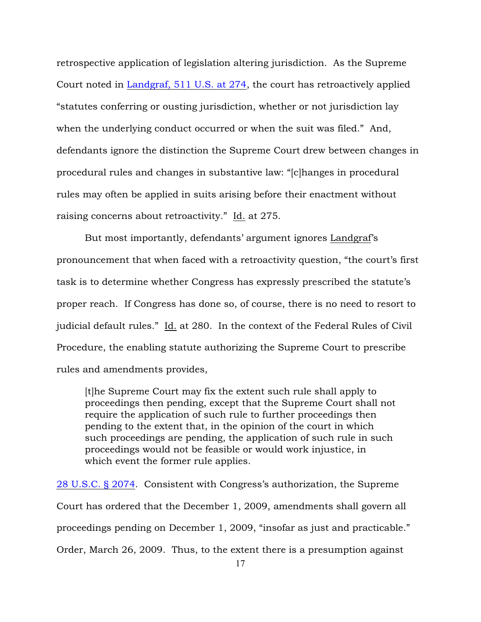retrospective application of legislation altering jurisdiction. As the Supreme Court noted in [Landgraf, 511 U.S. at 274](http://www.westlaw.com/find/default.wl?rs=ap2.0&ifm=NotSet&forceto=web2.westlaw.com&fn=_top&findtype=Y&ft=Y&db=0000780&vr=2.0&rp=%2ffind%2fdefault.wl&cite=511+U.S.at+274&HistoryType=F), the court has retroactively applied "statutes conferring or ousting jurisdiction, whether or not jurisdiction lay when the underlying conduct occurred or when the suit was filed." And, defendants ignore the distinction the Supreme Court drew between changes in procedural rules and changes in substantive law: "[c]hanges in procedural rules may often be applied in suits arising before their enactment without raising concerns about retroactivity." Id. at 275.

But most importantly, defendants' argument ignores Landgraf's pronouncement that when faced with a retroactivity question, "the court's first task is to determine whether Congress has expressly prescribed the statute's proper reach. If Congress has done so, of course, there is no need to resort to judicial default rules." Id. at 280. In the context of the Federal Rules of Civil Procedure, the enabling statute authorizing the Supreme Court to prescribe rules and amendments provides,

[t]he Supreme Court may fix the extent such rule shall apply to proceedings then pending, except that the Supreme Court shall not require the application of such rule to further proceedings then pending to the extent that, in the opinion of the court in which such proceedings are pending, the application of such rule in such proceedings would not be feasible or would work injustice, in which event the former rule applies.

[28 U.S.C. § 2074](http://www.westlaw.com/find/default.wl?rs=ap2.0&ifm=NotSet&forceto=web2.westlaw.com&fn=_top&findtype=L&ft=L&docname=28USCAS2074&db=1000546&vr=2.0&rp=%2ffind%2fdefault.wl&wbtoolsId=28USCAS2074&HistoryType=F). Consistent with Congress's authorization, the Supreme Court has ordered that the December 1, 2009, amendments shall govern all proceedings pending on December 1, 2009, "insofar as just and practicable." Order, March 26, 2009. Thus, to the extent there is a presumption against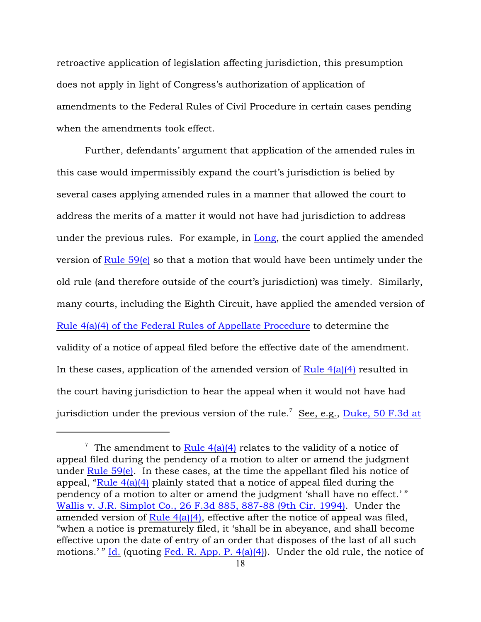retroactive application of legislation affecting jurisdiction, this presumption does not apply in light of Congress's authorization of application of amendments to the Federal Rules of Civil Procedure in certain cases pending when the amendments took effect.

Further, defendants' argument that application of the amended rules in this case would impermissibly expand the court's jurisdiction is belied by several cases applying amended rules in a manner that allowed the court to address the merits of a matter it would not have had jurisdiction to address under the previous rules. For example, in [Long](http://www.westlaw.com/find/default.wl?rs=ap2.0&ifm=NotSet&forceto=web2.westlaw.com&fn=_top&serialnum=1996064109&ft=Y&findtype=Y&db=0000506&vr=2.0&rp=%2ffind%2fdefault.wl&wbtoolsId=1996064109&HistoryType=F), the court applied the amended version of [Rule 59\(e\)](http://www.westlaw.com/find/default.wl?rs=ap2.0&ifm=NotSet&forceto=web2.westlaw.com&fn=_top&findtype=L&ft=L&docname=USFRCPR59&db=1000600&vr=2.0&rp=%2ffind%2fdefault.wl&wbtoolsId=USFRCPR59&HistoryType=F) so that a motion that would have been untimely under the old rule (and therefore outside of the court's jurisdiction) was timely. Similarly, many courts, including the Eighth Circuit, have applied the amended version of [Rule 4\(a\)\(4\) of the Federal Rules of Appellate Procedure](http://www.westlaw.com/find/default.wl?rs=ap2.0&ifm=NotSet&forceto=web2.westlaw.com&fn=_top&findtype=L&ft=L&docname=USFRAPR4&db=1000599&vr=2.0&rp=%2ffind%2fdefault.wl&wbtoolsId=USFRAPR4&HistoryType=F) to determine the validity of a notice of appeal filed before the effective date of the amendment. In these cases, application of the amended version of Rule  $4(a)(4)$  resulted in the court having jurisdiction to hear the appeal when it would not have had jurisdiction under the previous version of the rule.<sup>7</sup> See, e.g., [Duke, 50 F.3d at](http://www.westlaw.com/find/default.wl?rs=ap2.0&ifm=NotSet&forceto=web2.westlaw.com&fn=_top&serialnum=1995068423&ft=Y&findtype=Y&db=0000506&vr=2.0&rp=%2ffind%2fdefault.wl&wbtoolsId=1995068423&HistoryType=F)

<sup>&</sup>lt;sup>7</sup> The amendment to Rule  $4(a)(4)$  relates to the validity of a notice of appeal filed during the pendency of a motion to alter or amend the judgment under Rule  $59(e)$ . In these cases, at the time the appellant filed his notice of appeal, ["Rule 4\(a\)\(4\)](http://www.westlaw.com/find/default.wl?rs=ap2.0&ifm=NotSet&forceto=web2.westlaw.com&fn=_top&findtype=L&ft=L&docname=USFRAPR4&db=1000599&vr=2.0&rp=%2ffind%2fdefault.wl&wbtoolsId=USFRAPR4&HistoryType=F) plainly stated that a notice of appeal filed during the pendency of a motion to alter or amend the judgment 'shall have no effect.' " [Wallis v. J.R. Simplot Co., 26 F.3d 885, 887-88 \(9th Cir. 1994\)](http://www.westlaw.com/find/default.wl?rs=ap2.0&ifm=NotSet&forceto=web2.westlaw.com&fn=_top&serialnum=1994116913&ft=Y&findtype=Y&db=0000506&vr=2.0&rp=%2ffind%2fdefault.wl&wbtoolsId=1994116913&HistoryType=F). Under the amended version of Rule  $4(a)(4)$ , effective after the notice of appeal was filed, "when a notice is prematurely filed, it 'shall be in abeyance, and shall become effective upon the date of entry of an order that disposes of the last of all such motions.'" [Id.](http://www.westlaw.com/find/default.wl?rs=ap2.0&ifm=NotSet&forceto=web2.westlaw.com&fn=_top&serialnum=1994116913&ft=Y&findtype=Y&db=0000506&vr=2.0&rp=%2ffind%2fdefault.wl&wbtoolsId=1994116913&HistoryType=F) (quoting Fed. R. App. P.  $4(a)(4)$ ). Under the old rule, the notice of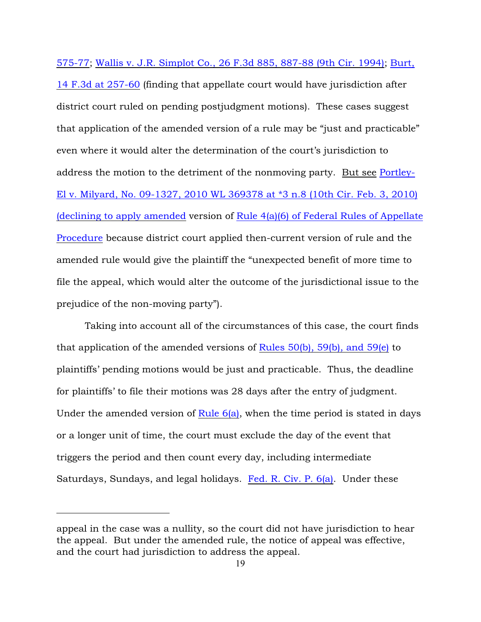575-77; [Wallis v. J.R. Simplot Co., 26 F.3d 885, 887-88 \(9th Cir. 1994\)](http://www.westlaw.com/find/default.wl?rs=ap2.0&ifm=NotSet&forceto=web2.westlaw.com&fn=_top&serialnum=1994116913&ft=Y&findtype=Y&db=0000506&vr=2.0&rp=%2ffind%2fdefault.wl&wbtoolsId=1994116913&HistoryType=F); [Burt,](http://www.westlaw.com/find/default.wl?rs=ap2.0&ifm=NotSet&forceto=web2.westlaw.com&fn=_top&serialnum=1994038773&ft=Y&findtype=Y&db=0000506&vr=2.0&rp=%2ffind%2fdefault.wl&wbtoolsId=1994038773&HistoryType=F) [14 F.3d at 257-60](http://www.westlaw.com/find/default.wl?rs=ap2.0&ifm=NotSet&forceto=web2.westlaw.com&fn=_top&serialnum=1994038773&ft=Y&findtype=Y&db=0000506&vr=2.0&rp=%2ffind%2fdefault.wl&wbtoolsId=1994038773&HistoryType=F) (finding that appellate court would have jurisdiction after district court ruled on pending postjudgment motions). These cases suggest that application of the amended version of a rule may be "just and practicable" even where it would alter the determination of the court's jurisdiction to address the motion to the detriment of the nonmoving party. But see [Portley-](http://www.westlaw.com/find/default.wl?rs=ap2.0&ifm=NotSet&forceto=web2.westlaw.com&fn=_top&serialnum=2021272491&ft=Y&findtype=Y&db=0000999&vr=2.0&rp=%2ffind%2fdefault.wl&wbtoolsId=2021272491&HistoryType=F)[El v. Milyard, No. 09-1327, 2010 WL 369378 at \\*3 n.8 \(10th Cir. Feb. 3, 2010\)](http://www.westlaw.com/find/default.wl?rs=ap2.0&ifm=NotSet&forceto=web2.westlaw.com&fn=_top&serialnum=2021272491&ft=Y&findtype=Y&db=0000999&vr=2.0&rp=%2ffind%2fdefault.wl&wbtoolsId=2021272491&HistoryType=F) [\(declining to apply amended](http://www.westlaw.com/find/default.wl?rs=ap2.0&ifm=NotSet&forceto=web2.westlaw.com&fn=_top&serialnum=2021272491&ft=Y&findtype=Y&db=0000999&vr=2.0&rp=%2ffind%2fdefault.wl&wbtoolsId=2021272491&HistoryType=F) version of [Rule 4\(a\)\(6\) of Federal Rules of Appellate](http://www.westlaw.com/find/default.wl?rs=ap2.0&ifm=NotSet&forceto=web2.westlaw.com&fn=_top&findtype=L&ft=L&docname=USFRAPR4&db=1000599&vr=2.0&rp=%2ffind%2fdefault.wl&wbtoolsId=USFRAPR4&HistoryType=F) [Procedure](http://www.westlaw.com/find/default.wl?rs=ap2.0&ifm=NotSet&forceto=web2.westlaw.com&fn=_top&findtype=L&ft=L&docname=USFRAPR4&db=1000599&vr=2.0&rp=%2ffind%2fdefault.wl&wbtoolsId=USFRAPR4&HistoryType=F) because district court applied then-current version of rule and the amended rule would give the plaintiff the "unexpected benefit of more time to file the appeal, which would alter the outcome of the jurisdictional issue to the prejudice of the non-moving party").

Taking into account all of the circumstances of this case, the court finds that application of the amended versions of Rules  $50(b)$ ,  $59(b)$ , and  $59(e)$  to plaintiffs' pending motions would be just and practicable. Thus, the deadline for plaintiffs' to file their motions was 28 days after the entry of judgment. Under the amended version of Rule  $6(a)$ , when the time period is stated in days or a longer unit of time, the court must exclude the day of the event that triggers the period and then count every day, including intermediate Saturdays, Sundays, and legal holidays. [Fed. R. Civ. P. 6\(a\)](http://www.westlaw.com/find/default.wl?rs=ap2.0&ifm=NotSet&forceto=web2.westlaw.com&fn=_top&findtype=L&ft=L&docname=USFRCPR6&db=1000600&vr=2.0&rp=%2ffind%2fdefault.wl&wbtoolsId=USFRCPR6&HistoryType=F). Under these

appeal in the case was a nullity, so the court did not have jurisdiction to hear the appeal. But under the amended rule, the notice of appeal was effective, and the court had jurisdiction to address the appeal.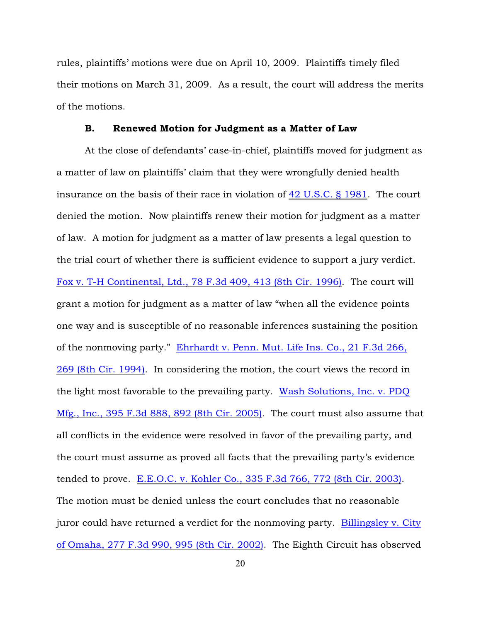rules, plaintiffs' motions were due on April 10, 2009. Plaintiffs timely filed their motions on March 31, 2009. As a result, the court will address the merits of the motions.

### B. Renewed Motion for Judgment as a Matter of Law

At the close of defendants' case-in-chief, plaintiffs moved for judgment as a matter of law on plaintiffs' claim that they were wrongfully denied health insurance on the basis of their race in violation of [42 U.S.C. § 1981](http://www.westlaw.com/find/default.wl?rs=ap2.0&ifm=NotSet&forceto=web2.westlaw.com&fn=_top&findtype=L&ft=L&docname=42USCAS1981&db=1000546&vr=2.0&rp=%2ffind%2fdefault.wl&wbtoolsId=42USCAS1981&HistoryType=F). The court denied the motion. Now plaintiffs renew their motion for judgment as a matter of law. A motion for judgment as a matter of law presents a legal question to the trial court of whether there is sufficient evidence to support a jury verdict. [Fox v. T-H Continental, Ltd., 78 F.3d 409, 413 \(8th Cir. 1996\)](http://www.westlaw.com/find/default.wl?rs=ap2.0&ifm=NotSet&forceto=web2.westlaw.com&fn=_top&serialnum=1996070114&ft=Y&findtype=Y&db=0000506&vr=2.0&rp=%2ffind%2fdefault.wl&wbtoolsId=1996070114&HistoryType=F). The court will grant a motion for judgment as a matter of law "when all the evidence points one way and is susceptible of no reasonable inferences sustaining the position of the nonmoving party." [Ehrhardt v. Penn. Mut. Life Ins. Co., 21 F.3d 266,](http://www.westlaw.com/find/default.wl?rs=ap2.0&ifm=NotSet&forceto=web2.westlaw.com&fn=_top&serialnum=1994080359&ft=Y&findtype=Y&db=0000506&vr=2.0&rp=%2ffind%2fdefault.wl&wbtoolsId=1994080359&HistoryType=F) [269 \(8th Cir. 1994\)](http://www.westlaw.com/find/default.wl?rs=ap2.0&ifm=NotSet&forceto=web2.westlaw.com&fn=_top&serialnum=1994080359&ft=Y&findtype=Y&db=0000506&vr=2.0&rp=%2ffind%2fdefault.wl&wbtoolsId=1994080359&HistoryType=F). In considering the motion, the court views the record in the light most favorable to the prevailing party. [Wash Solutions, Inc. v. PDQ](http://www.westlaw.com/find/default.wl?rs=ap2.0&ifm=NotSet&forceto=web2.westlaw.com&fn=_top&serialnum=2006088439&ft=Y&findtype=Y&db=0000506&vr=2.0&rp=%2ffind%2fdefault.wl&wbtoolsId=2006088439&HistoryType=F) [Mfg., Inc., 395 F.3d 888, 892 \(8th Cir. 2005\)](http://www.westlaw.com/find/default.wl?rs=ap2.0&ifm=NotSet&forceto=web2.westlaw.com&fn=_top&serialnum=2006088439&ft=Y&findtype=Y&db=0000506&vr=2.0&rp=%2ffind%2fdefault.wl&wbtoolsId=2006088439&HistoryType=F). The court must also assume that all conflicts in the evidence were resolved in favor of the prevailing party, and the court must assume as proved all facts that the prevailing party's evidence tended to prove. [E.E.O.C. v. Kohler Co., 335 F.3d 766, 772 \(8th Cir. 2003\)](http://www.westlaw.com/find/default.wl?rs=ap2.0&ifm=NotSet&forceto=web2.westlaw.com&fn=_top&serialnum=2003482861&ft=Y&findtype=Y&db=0000506&vr=2.0&rp=%2ffind%2fdefault.wl&wbtoolsId=2003482861&HistoryType=F). The motion must be denied unless the court concludes that no reasonable juror could have returned a verdict for the nonmoving party. [Billingsley v. City](http://www.westlaw.com/find/default.wl?rs=ap2.0&ifm=NotSet&forceto=web2.westlaw.com&fn=_top&serialnum=2002074455&ft=Y&findtype=Y&db=0000506&vr=2.0&rp=%2ffind%2fdefault.wl&wbtoolsId=2002074455&HistoryType=F) [of Omaha, 277 F.3d 990, 995 \(8th Cir. 2002\)](http://www.westlaw.com/find/default.wl?rs=ap2.0&ifm=NotSet&forceto=web2.westlaw.com&fn=_top&serialnum=2002074455&ft=Y&findtype=Y&db=0000506&vr=2.0&rp=%2ffind%2fdefault.wl&wbtoolsId=2002074455&HistoryType=F). The Eighth Circuit has observed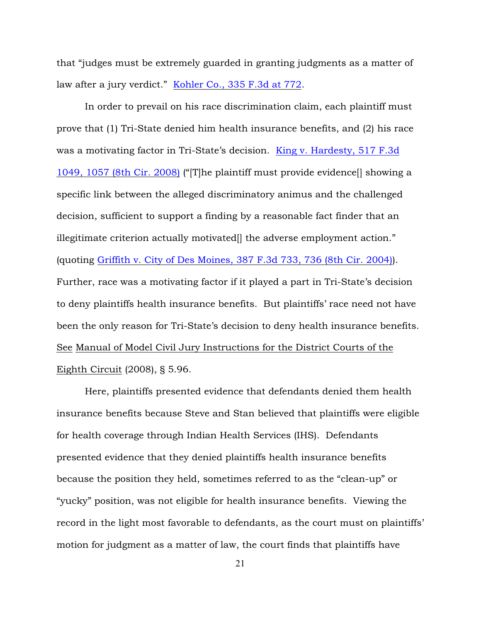that "judges must be extremely guarded in granting judgments as a matter of law after a jury verdict." [Kohler Co., 335 F.3d at 772](http://www.westlaw.com/find/default.wl?rs=ap2.0&ifm=NotSet&forceto=web2.westlaw.com&fn=_top&serialnum=2003482861&ft=Y&findtype=Y&db=0000506&vr=2.0&rp=%2ffind%2fdefault.wl&wbtoolsId=2003482861&HistoryType=F).

In order to prevail on his race discrimination claim, each plaintiff must prove that (1) Tri-State denied him health insurance benefits, and (2) his race was a motivating factor in Tri-State's decision. [King v. Hardesty, 517 F.3d](http://www.westlaw.com/find/default.wl?rs=ap2.0&ifm=NotSet&forceto=web2.westlaw.com&fn=_top&serialnum=2015367232&ft=Y&findtype=Y&db=0000506&vr=2.0&rp=%2ffind%2fdefault.wl&wbtoolsId=2015367232&HistoryType=F) [1049, 1057 \(8th Cir. 2008\)](http://www.westlaw.com/find/default.wl?rs=ap2.0&ifm=NotSet&forceto=web2.westlaw.com&fn=_top&serialnum=2015367232&ft=Y&findtype=Y&db=0000506&vr=2.0&rp=%2ffind%2fdefault.wl&wbtoolsId=2015367232&HistoryType=F) ("[T]he plaintiff must provide evidence[] showing a specific link between the alleged discriminatory animus and the challenged decision, sufficient to support a finding by a reasonable fact finder that an illegitimate criterion actually motivated<sup>[]</sup> the adverse employment action." (quoting [Griffith v. City of Des Moines, 387 F.3d 733, 736 \(8th Cir. 2004\)](http://www.westlaw.com/find/default.wl?rs=ap2.0&ifm=NotSet&forceto=web2.westlaw.com&fn=_top&serialnum=2005324823&ft=Y&findtype=Y&db=0000506&vr=2.0&rp=%2ffind%2fdefault.wl&wbtoolsId=2005324823&HistoryType=F)). Further, race was a motivating factor if it played a part in Tri-State's decision to deny plaintiffs health insurance benefits. But plaintiffs' race need not have been the only reason for Tri-State's decision to deny health insurance benefits. See Manual of Model Civil Jury Instructions for the District Courts of the Eighth Circuit (2008), § 5.96.

Here, plaintiffs presented evidence that defendants denied them health insurance benefits because Steve and Stan believed that plaintiffs were eligible for health coverage through Indian Health Services (IHS). Defendants presented evidence that they denied plaintiffs health insurance benefits because the position they held, sometimes referred to as the "clean-up" or "yucky" position, was not eligible for health insurance benefits. Viewing the record in the light most favorable to defendants, as the court must on plaintiffs' motion for judgment as a matter of law, the court finds that plaintiffs have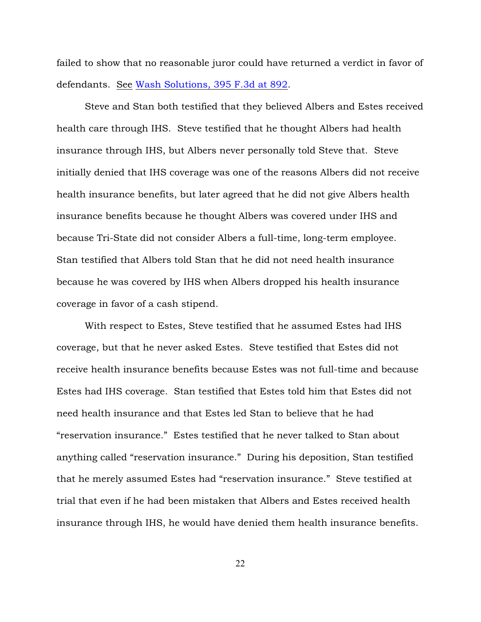failed to show that no reasonable juror could have returned a verdict in favor of defendants. See [Wash Solutions, 395 F.3d at 892](http://www.westlaw.com/find/default.wl?rs=ap2.0&ifm=NotSet&forceto=web2.westlaw.com&fn=_top&serialnum=2006088439&ft=Y&findtype=Y&db=0000506&vr=2.0&rp=%2ffind%2fdefault.wl&wbtoolsId=2006088439&HistoryType=F).

Steve and Stan both testified that they believed Albers and Estes received health care through IHS. Steve testified that he thought Albers had health insurance through IHS, but Albers never personally told Steve that. Steve initially denied that IHS coverage was one of the reasons Albers did not receive health insurance benefits, but later agreed that he did not give Albers health insurance benefits because he thought Albers was covered under IHS and because Tri-State did not consider Albers a full-time, long-term employee. Stan testified that Albers told Stan that he did not need health insurance because he was covered by IHS when Albers dropped his health insurance coverage in favor of a cash stipend.

With respect to Estes, Steve testified that he assumed Estes had IHS coverage, but that he never asked Estes. Steve testified that Estes did not receive health insurance benefits because Estes was not full-time and because Estes had IHS coverage. Stan testified that Estes told him that Estes did not need health insurance and that Estes led Stan to believe that he had "reservation insurance." Estes testified that he never talked to Stan about anything called "reservation insurance." During his deposition, Stan testified that he merely assumed Estes had "reservation insurance." Steve testified at trial that even if he had been mistaken that Albers and Estes received health insurance through IHS, he would have denied them health insurance benefits.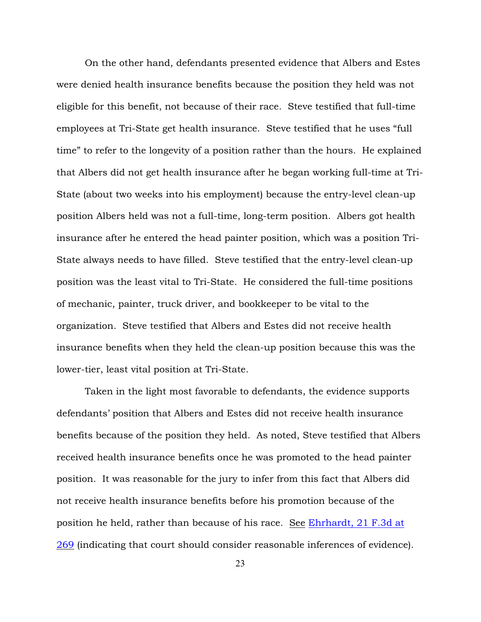On the other hand, defendants presented evidence that Albers and Estes were denied health insurance benefits because the position they held was not eligible for this benefit, not because of their race. Steve testified that full-time employees at Tri-State get health insurance. Steve testified that he uses "full time" to refer to the longevity of a position rather than the hours. He explained that Albers did not get health insurance after he began working full-time at Tri-State (about two weeks into his employment) because the entry-level clean-up position Albers held was not a full-time, long-term position. Albers got health insurance after he entered the head painter position, which was a position Tri-State always needs to have filled. Steve testified that the entry-level clean-up position was the least vital to Tri-State. He considered the full-time positions of mechanic, painter, truck driver, and bookkeeper to be vital to the organization. Steve testified that Albers and Estes did not receive health insurance benefits when they held the clean-up position because this was the lower-tier, least vital position at Tri-State.

Taken in the light most favorable to defendants, the evidence supports defendants' position that Albers and Estes did not receive health insurance benefits because of the position they held. As noted, Steve testified that Albers received health insurance benefits once he was promoted to the head painter position. It was reasonable for the jury to infer from this fact that Albers did not receive health insurance benefits before his promotion because of the position he held, rather than because of his race. See [Ehrhardt, 21 F.3d at](http://www.westlaw.com/find/default.wl?rs=ap2.0&ifm=NotSet&forceto=web2.westlaw.com&fn=_top&serialnum=1994080359&ft=Y&findtype=Y&db=0000506&vr=2.0&rp=%2ffind%2fdefault.wl&wbtoolsId=1994080359&HistoryType=F) [269](http://www.westlaw.com/find/default.wl?rs=ap2.0&ifm=NotSet&forceto=web2.westlaw.com&fn=_top&serialnum=1994080359&ft=Y&findtype=Y&db=0000506&vr=2.0&rp=%2ffind%2fdefault.wl&wbtoolsId=1994080359&HistoryType=F) (indicating that court should consider reasonable inferences of evidence).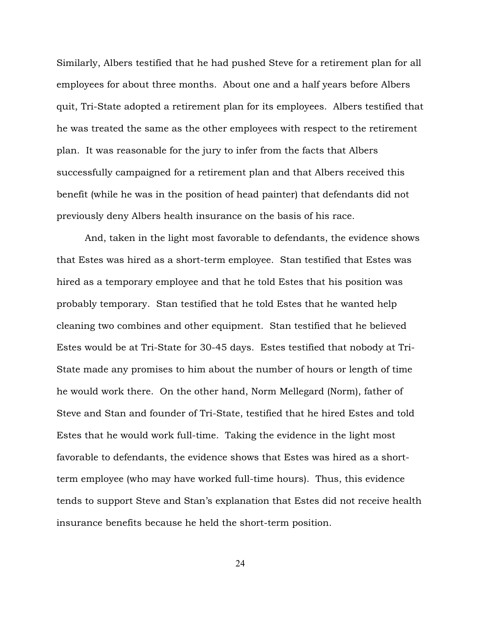Similarly, Albers testified that he had pushed Steve for a retirement plan for all employees for about three months. About one and a half years before Albers quit, Tri-State adopted a retirement plan for its employees. Albers testified that he was treated the same as the other employees with respect to the retirement plan. It was reasonable for the jury to infer from the facts that Albers successfully campaigned for a retirement plan and that Albers received this benefit (while he was in the position of head painter) that defendants did not previously deny Albers health insurance on the basis of his race.

And, taken in the light most favorable to defendants, the evidence shows that Estes was hired as a short-term employee. Stan testified that Estes was hired as a temporary employee and that he told Estes that his position was probably temporary. Stan testified that he told Estes that he wanted help cleaning two combines and other equipment. Stan testified that he believed Estes would be at Tri-State for 30-45 days. Estes testified that nobody at Tri-State made any promises to him about the number of hours or length of time he would work there. On the other hand, Norm Mellegard (Norm), father of Steve and Stan and founder of Tri-State, testified that he hired Estes and told Estes that he would work full-time. Taking the evidence in the light most favorable to defendants, the evidence shows that Estes was hired as a shortterm employee (who may have worked full-time hours). Thus, this evidence tends to support Steve and Stan's explanation that Estes did not receive health insurance benefits because he held the short-term position.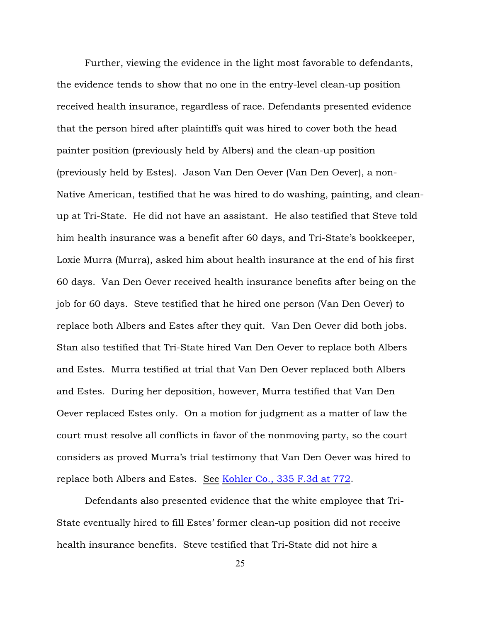Further, viewing the evidence in the light most favorable to defendants, the evidence tends to show that no one in the entry-level clean-up position received health insurance, regardless of race. Defendants presented evidence that the person hired after plaintiffs quit was hired to cover both the head painter position (previously held by Albers) and the clean-up position (previously held by Estes). Jason Van Den Oever (Van Den Oever), a non-Native American, testified that he was hired to do washing, painting, and cleanup at Tri-State. He did not have an assistant. He also testified that Steve told him health insurance was a benefit after 60 days, and Tri-State's bookkeeper, Loxie Murra (Murra), asked him about health insurance at the end of his first 60 days. Van Den Oever received health insurance benefits after being on the job for 60 days. Steve testified that he hired one person (Van Den Oever) to replace both Albers and Estes after they quit. Van Den Oever did both jobs. Stan also testified that Tri-State hired Van Den Oever to replace both Albers and Estes. Murra testified at trial that Van Den Oever replaced both Albers and Estes. During her deposition, however, Murra testified that Van Den Oever replaced Estes only. On a motion for judgment as a matter of law the court must resolve all conflicts in favor of the nonmoving party, so the court considers as proved Murra's trial testimony that Van Den Oever was hired to replace both Albers and Estes. See [Kohler Co., 335 F.3d at 772](http://www.westlaw.com/find/default.wl?rs=ap2.0&ifm=NotSet&forceto=web2.westlaw.com&fn=_top&serialnum=2003482861&ft=Y&findtype=Y&db=0000506&vr=2.0&rp=%2ffind%2fdefault.wl&wbtoolsId=2003482861&HistoryType=F).

Defendants also presented evidence that the white employee that Tri-State eventually hired to fill Estes' former clean-up position did not receive health insurance benefits. Steve testified that Tri-State did not hire a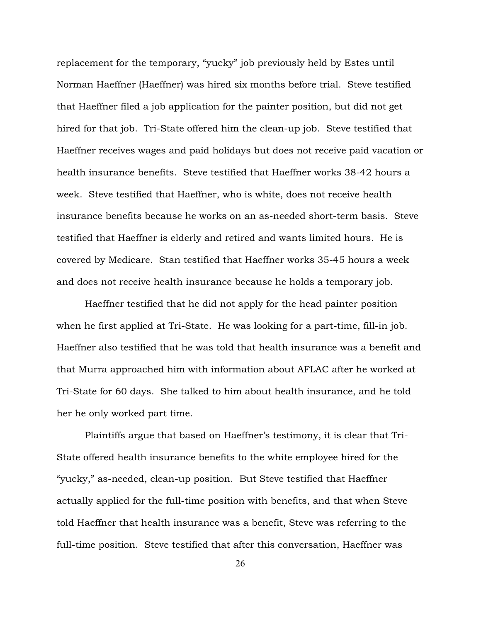replacement for the temporary, "yucky" job previously held by Estes until Norman Haeffner (Haeffner) was hired six months before trial. Steve testified that Haeffner filed a job application for the painter position, but did not get hired for that job. Tri-State offered him the clean-up job. Steve testified that Haeffner receives wages and paid holidays but does not receive paid vacation or health insurance benefits. Steve testified that Haeffner works 38-42 hours a week. Steve testified that Haeffner, who is white, does not receive health insurance benefits because he works on an as-needed short-term basis. Steve testified that Haeffner is elderly and retired and wants limited hours. He is covered by Medicare. Stan testified that Haeffner works 35-45 hours a week and does not receive health insurance because he holds a temporary job.

Haeffner testified that he did not apply for the head painter position when he first applied at Tri-State. He was looking for a part-time, fill-in job. Haeffner also testified that he was told that health insurance was a benefit and that Murra approached him with information about AFLAC after he worked at Tri-State for 60 days. She talked to him about health insurance, and he told her he only worked part time.

Plaintiffs argue that based on Haeffner's testimony, it is clear that Tri-State offered health insurance benefits to the white employee hired for the "yucky," as-needed, clean-up position. But Steve testified that Haeffner actually applied for the full-time position with benefits, and that when Steve told Haeffner that health insurance was a benefit, Steve was referring to the full-time position. Steve testified that after this conversation, Haeffner was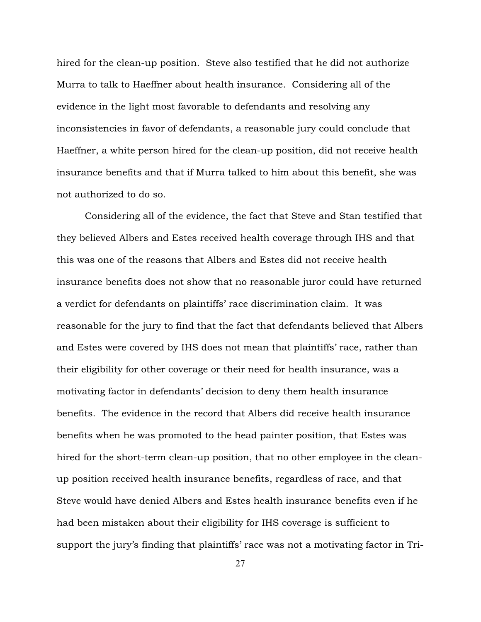hired for the clean-up position. Steve also testified that he did not authorize Murra to talk to Haeffner about health insurance. Considering all of the evidence in the light most favorable to defendants and resolving any inconsistencies in favor of defendants, a reasonable jury could conclude that Haeffner, a white person hired for the clean-up position, did not receive health insurance benefits and that if Murra talked to him about this benefit, she was not authorized to do so.

Considering all of the evidence, the fact that Steve and Stan testified that they believed Albers and Estes received health coverage through IHS and that this was one of the reasons that Albers and Estes did not receive health insurance benefits does not show that no reasonable juror could have returned a verdict for defendants on plaintiffs' race discrimination claim. It was reasonable for the jury to find that the fact that defendants believed that Albers and Estes were covered by IHS does not mean that plaintiffs' race, rather than their eligibility for other coverage or their need for health insurance, was a motivating factor in defendants' decision to deny them health insurance benefits. The evidence in the record that Albers did receive health insurance benefits when he was promoted to the head painter position, that Estes was hired for the short-term clean-up position, that no other employee in the cleanup position received health insurance benefits, regardless of race, and that Steve would have denied Albers and Estes health insurance benefits even if he had been mistaken about their eligibility for IHS coverage is sufficient to support the jury's finding that plaintiffs' race was not a motivating factor in Tri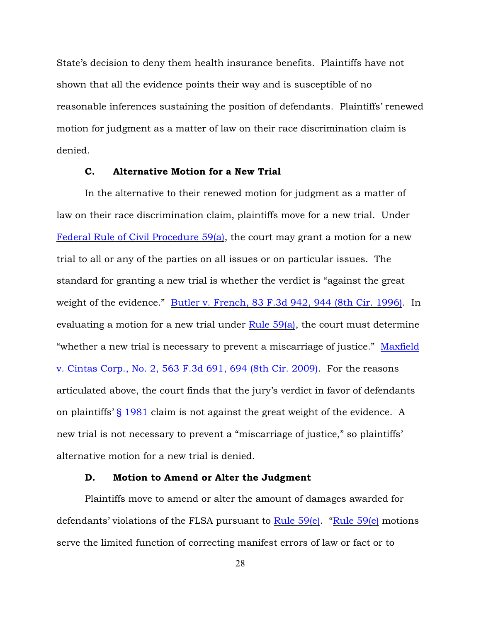State's decision to deny them health insurance benefits. Plaintiffs have not shown that all the evidence points their way and is susceptible of no reasonable inferences sustaining the position of defendants. Plaintiffs' renewed motion for judgment as a matter of law on their race discrimination claim is denied.

## C. Alternative Motion for a New Trial

In the alternative to their renewed motion for judgment as a matter of law on their race discrimination claim, plaintiffs move for a new trial. Under [Federal Rule of Civil Procedure 59\(a\)](http://www.westlaw.com/find/default.wl?rs=ap2.0&ifm=NotSet&forceto=web2.westlaw.com&fn=_top&findtype=L&ft=L&docname=USFRCPR59&db=1000600&vr=2.0&rp=%2ffind%2fdefault.wl&wbtoolsId=USFRCPR59&HistoryType=F), the court may grant a motion for a new trial to all or any of the parties on all issues or on particular issues. The standard for granting a new trial is whether the verdict is "against the great weight of the evidence." [Butler v. French, 83 F.3d 942, 944 \(8th Cir. 1996\)](http://www.westlaw.com/find/default.wl?rs=ap2.0&ifm=NotSet&forceto=web2.westlaw.com&fn=_top&serialnum=1996101365&ft=Y&findtype=Y&db=0000506&vr=2.0&rp=%2ffind%2fdefault.wl&wbtoolsId=1996101365&HistoryType=F). In evaluating a motion for a new trial under Rule  $59(a)$ , the court must determine "whether a new trial is necessary to prevent a miscarriage of justice." [Maxfield](http://www.westlaw.com/find/default.wl?rs=ap2.0&ifm=NotSet&forceto=web2.westlaw.com&fn=_top&serialnum=2018652269&ft=Y&findtype=Y&db=0000506&vr=2.0&rp=%2ffind%2fdefault.wl&wbtoolsId=2018652269&HistoryType=F) [v. Cintas Corp., No. 2, 563 F.3d 691, 694 \(8th Cir. 2009\)](http://www.westlaw.com/find/default.wl?rs=ap2.0&ifm=NotSet&forceto=web2.westlaw.com&fn=_top&serialnum=2018652269&ft=Y&findtype=Y&db=0000506&vr=2.0&rp=%2ffind%2fdefault.wl&wbtoolsId=2018652269&HistoryType=F). For the reasons articulated above, the court finds that the jury's verdict in favor of defendants on plaintiffs' [§ 1981](http://www.westlaw.com/find/default.wl?rs=ap2.0&ifm=NotSet&forceto=web2.westlaw.com&fn=_top&findtype=L&ft=L&docname=42USCAS1981&db=1000546&vr=2.0&rp=%2ffind%2fdefault.wl&wbtoolsId=42USCAS1981&HistoryType=F) claim is not against the great weight of the evidence. A new trial is not necessary to prevent a "miscarriage of justice," so plaintiffs' alternative motion for a new trial is denied.

## D. Motion to Amend or Alter the Judgment

Plaintiffs move to amend or alter the amount of damages awarded for defendants' violations of the FLSA pursuant to [Rule 59\(e\)](http://www.westlaw.com/find/default.wl?forceto=web2.westlaw.com&ifm=NotSet&rp=%2ffind%2fdefault.wl&rs=ap2.0&db=1000600&findtype=L&fn=_top&docname=USFRCPR59&vr=2.0&ft=L&wbtoolsId=USFRCPR59&HistoryType=F). ["Rule 59\(e\)](http://www.westlaw.com/find/default.wl?forceto=web2.westlaw.com&ifm=NotSet&rp=%2ffind%2fdefault.wl&rs=ap2.0&db=1000600&findtype=L&fn=_top&docname=USFRCPR59&vr=2.0&ft=L&wbtoolsId=USFRCPR59&HistoryType=F) motions serve the limited function of correcting manifest errors of law or fact or to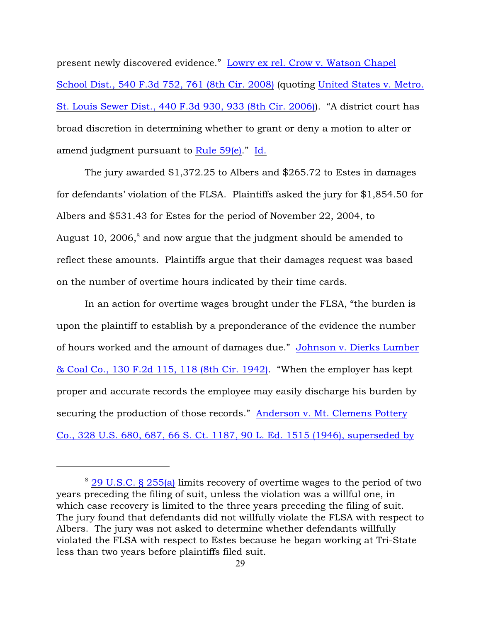present newly discovered evidence." [Lowry ex rel. Crow v. Watson Chapel](http://www.westlaw.com/find/default.wl?forceto=web2.westlaw.com&ifm=NotSet&rp=%2ffind%2fdefault.wl&rs=ap2.0&serialnum=2016882248&findtype=Y&fn=_top&vr=2.0&ft=Y&db=0000506&wbtoolsId=2016882248&HistoryType=F) [School Dist., 540 F.3d 752, 761 \(8th Cir. 2008\)](http://www.westlaw.com/find/default.wl?forceto=web2.westlaw.com&ifm=NotSet&rp=%2ffind%2fdefault.wl&rs=ap2.0&serialnum=2016882248&findtype=Y&fn=_top&vr=2.0&ft=Y&db=0000506&wbtoolsId=2016882248&HistoryType=F) (quoting [United States v. Metro.](http://www.westlaw.com/find/default.wl?rs=ap2.0&ifm=NotSet&forceto=web2.westlaw.com&fn=_top&serialnum=2008596331&ft=Y&findtype=Y&db=0000506&vr=2.0&rp=%2ffind%2fdefault.wl&wbtoolsId=2008596331&HistoryType=F) [St. Louis Sewer Dist., 440 F.3d 930, 933 \(8th Cir. 2006\)](http://www.westlaw.com/find/default.wl?rs=ap2.0&ifm=NotSet&forceto=web2.westlaw.com&fn=_top&serialnum=2008596331&ft=Y&findtype=Y&db=0000506&vr=2.0&rp=%2ffind%2fdefault.wl&wbtoolsId=2008596331&HistoryType=F)). "A district court has broad discretion in determining whether to grant or deny a motion to alter or amend judgment pursuant to [Rule 59\(e\)](http://www.westlaw.com/find/default.wl?rs=ap2.0&ifm=NotSet&forceto=web2.westlaw.com&fn=_top&findtype=L&ft=L&docname=USFRCPR59&db=1000600&vr=2.0&rp=%2ffind%2fdefault.wl&wbtoolsId=USFRCPR59&HistoryType=F)." [Id.](http://www.westlaw.com/find/default.wl?rs=ap2.0&ifm=NotSet&forceto=web2.westlaw.com&fn=_top&serialnum=2008596331&ft=Y&findtype=Y&db=0000506&vr=2.0&rp=%2ffind%2fdefault.wl&wbtoolsId=2008596331&HistoryType=F)

The jury awarded \$1,372.25 to Albers and \$265.72 to Estes in damages for defendants' violation of the FLSA. Plaintiffs asked the jury for \$1,854.50 for Albers and \$531.43 for Estes for the period of November 22, 2004, to August 10, 2006, $\delta$  and now argue that the judgment should be amended to reflect these amounts. Plaintiffs argue that their damages request was based on the number of overtime hours indicated by their time cards.

In an action for overtime wages brought under the FLSA, "the burden is upon the plaintiff to establish by a preponderance of the evidence the number of hours worked and the amount of damages due." [Johnson v. Dierks Lumber](http://www.westlaw.com/find/default.wl?rs=ap2.0&ifm=NotSet&forceto=web2.westlaw.com&fn=_top&serialnum=1942119341&ft=Y&findtype=Y&db=0000350&vr=2.0&rp=%2ffind%2fdefault.wl&wbtoolsId=1942119341&HistoryType=F) [& Coal Co., 130 F.2d 115, 118 \(8th Cir. 1942\)](http://www.westlaw.com/find/default.wl?rs=ap2.0&ifm=NotSet&forceto=web2.westlaw.com&fn=_top&serialnum=1942119341&ft=Y&findtype=Y&db=0000350&vr=2.0&rp=%2ffind%2fdefault.wl&wbtoolsId=1942119341&HistoryType=F). "When the employer has kept proper and accurate records the employee may easily discharge his burden by securing the production of those records." [Anderson v. Mt. Clemens Pottery](http://www.westlaw.com/find/default.wl?rs=ap2.0&ifm=NotSet&forceto=web2.westlaw.com&fn=_top&serialnum=1946112671&ft=Y&findtype=Y&vr=2.0&rp=%2ffind%2fdefault.wl&wbtoolsId=1946112671&HistoryType=F) [Co., 328 U.S. 680, 687, 66 S. Ct. 1187, 90 L. Ed. 1515 \(1946\), superseded by](http://www.westlaw.com/find/default.wl?rs=ap2.0&ifm=NotSet&forceto=web2.westlaw.com&fn=_top&serialnum=1946112671&ft=Y&findtype=Y&vr=2.0&rp=%2ffind%2fdefault.wl&wbtoolsId=1946112671&HistoryType=F)

<sup>8</sup> [29 U.S.C. § 255\(a\)](http://www.westlaw.com/find/default.wl?rs=ap2.0&ifm=NotSet&forceto=web2.westlaw.com&fn=_top&findtype=L&ft=L&docname=29USCAS255&db=1000546&vr=2.0&rp=%2ffind%2fdefault.wl&wbtoolsId=29USCAS255&HistoryType=F) limits recovery of overtime wages to the period of two years preceding the filing of suit, unless the violation was a willful one, in which case recovery is limited to the three years preceding the filing of suit. The jury found that defendants did not willfully violate the FLSA with respect to Albers. The jury was not asked to determine whether defendants willfully violated the FLSA with respect to Estes because he began working at Tri-State less than two years before plaintiffs filed suit.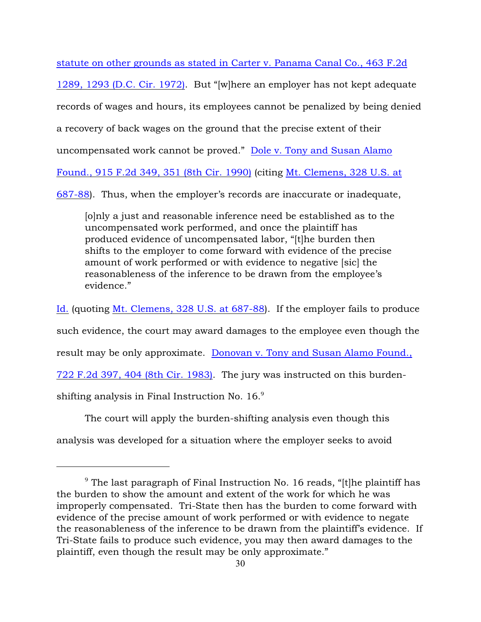statute on other grounds as stated in Carter v. Panama Canal Co., 463 F.2d

1289, 1293 (D.C. Cir. 1972). But "[w]here an employer has not kept adequate records of wages and hours, its employees cannot be penalized by being denied a recovery of back wages on the ground that the precise extent of their uncompensated work cannot be proved." [Dole v. Tony and Susan Alamo](http://www.westlaw.com/find/default.wl?rs=ap2.0&ifm=NotSet&forceto=web2.westlaw.com&fn=_top&serialnum=1990137537&ft=Y&findtype=Y&db=0000350&vr=2.0&rp=%2ffind%2fdefault.wl&wbtoolsId=1990137537&HistoryType=F) [Found., 915 F.2d 349, 351 \(8th Cir. 1990\)](http://www.westlaw.com/find/default.wl?rs=ap2.0&ifm=NotSet&forceto=web2.westlaw.com&fn=_top&serialnum=1990137537&ft=Y&findtype=Y&db=0000350&vr=2.0&rp=%2ffind%2fdefault.wl&wbtoolsId=1990137537&HistoryType=F) (citing [Mt. Clemens, 328 U.S. at](http://www.westlaw.com/find/default.wl?rs=ap2.0&ifm=NotSet&forceto=web2.westlaw.com&fn=_top&serialnum=1946112671&ft=Y&findtype=Y&db=0000780&vr=2.0&rp=%2ffind%2fdefault.wl&wbtoolsId=1946112671&HistoryType=F) [687-88](http://www.westlaw.com/find/default.wl?rs=ap2.0&ifm=NotSet&forceto=web2.westlaw.com&fn=_top&serialnum=1946112671&ft=Y&findtype=Y&db=0000780&vr=2.0&rp=%2ffind%2fdefault.wl&wbtoolsId=1946112671&HistoryType=F)). Thus, when the employer's records are inaccurate or inadequate,

[o]nly a just and reasonable inference need be established as to the uncompensated work performed, and once the plaintiff has produced evidence of uncompensated labor, "[t]he burden then shifts to the employer to come forward with evidence of the precise amount of work performed or with evidence to negative [sic] the reasonableness of the inference to be drawn from the employee's evidence."

[Id.](http://www.westlaw.com/find/default.wl?rs=ap2.0&ifm=NotSet&forceto=web2.westlaw.com&fn=_top&serialnum=1946112671&ft=Y&findtype=Y&db=0000780&vr=2.0&rp=%2ffind%2fdefault.wl&wbtoolsId=1946112671&HistoryType=F) (quoting [Mt. Clemens, 328 U.S. at 687-88](http://www.westlaw.com/find/default.wl?rs=ap2.0&ifm=NotSet&forceto=web2.westlaw.com&fn=_top&serialnum=1946112671&ft=Y&findtype=Y&db=0000780&vr=2.0&rp=%2ffind%2fdefault.wl&wbtoolsId=1946112671&HistoryType=F)). If the employer fails to produce such evidence, the court may award damages to the employee even though the result may be only approximate. [Donovan v. Tony and Susan Alamo Found.,](http://www.westlaw.com/find/default.wl?rs=ap2.0&ifm=NotSet&forceto=web2.westlaw.com&fn=_top&serialnum=1983154017&ft=Y&findtype=Y&db=0000350&vr=2.0&rp=%2ffind%2fdefault.wl&wbtoolsId=1983154017&HistoryType=F) [722 F.2d 397, 404 \(8th Cir. 1983\)](http://www.westlaw.com/find/default.wl?rs=ap2.0&ifm=NotSet&forceto=web2.westlaw.com&fn=_top&serialnum=1983154017&ft=Y&findtype=Y&db=0000350&vr=2.0&rp=%2ffind%2fdefault.wl&wbtoolsId=1983154017&HistoryType=F). The jury was instructed on this burdenshifting analysis in Final Instruction No.  $16.^9$ 

The court will apply the burden-shifting analysis even though this analysis was developed for a situation where the employer seeks to avoid

 $9$  The last paragraph of Final Instruction No. 16 reads, "[t]he plaintiff has the burden to show the amount and extent of the work for which he was improperly compensated. Tri-State then has the burden to come forward with evidence of the precise amount of work performed or with evidence to negate the reasonableness of the inference to be drawn from the plaintiff's evidence. If Tri-State fails to produce such evidence, you may then award damages to the plaintiff, even though the result may be only approximate."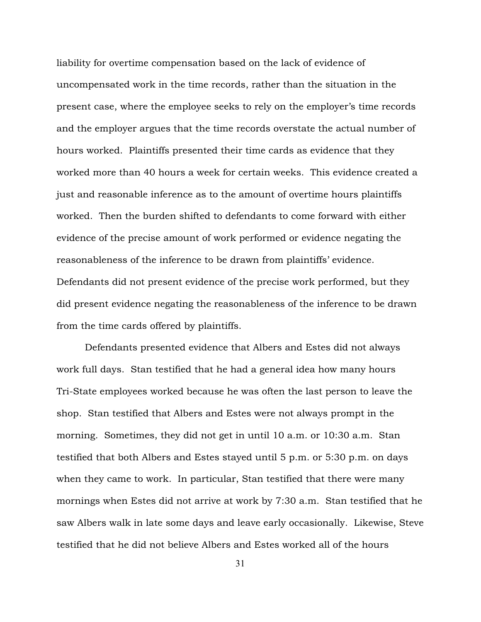liability for overtime compensation based on the lack of evidence of uncompensated work in the time records, rather than the situation in the present case, where the employee seeks to rely on the employer's time records and the employer argues that the time records overstate the actual number of hours worked. Plaintiffs presented their time cards as evidence that they worked more than 40 hours a week for certain weeks. This evidence created a just and reasonable inference as to the amount of overtime hours plaintiffs worked. Then the burden shifted to defendants to come forward with either evidence of the precise amount of work performed or evidence negating the reasonableness of the inference to be drawn from plaintiffs' evidence. Defendants did not present evidence of the precise work performed, but they did present evidence negating the reasonableness of the inference to be drawn from the time cards offered by plaintiffs.

Defendants presented evidence that Albers and Estes did not always work full days. Stan testified that he had a general idea how many hours Tri-State employees worked because he was often the last person to leave the shop. Stan testified that Albers and Estes were not always prompt in the morning. Sometimes, they did not get in until 10 a.m. or 10:30 a.m. Stan testified that both Albers and Estes stayed until 5 p.m. or 5:30 p.m. on days when they came to work. In particular, Stan testified that there were many mornings when Estes did not arrive at work by 7:30 a.m. Stan testified that he saw Albers walk in late some days and leave early occasionally. Likewise, Steve testified that he did not believe Albers and Estes worked all of the hours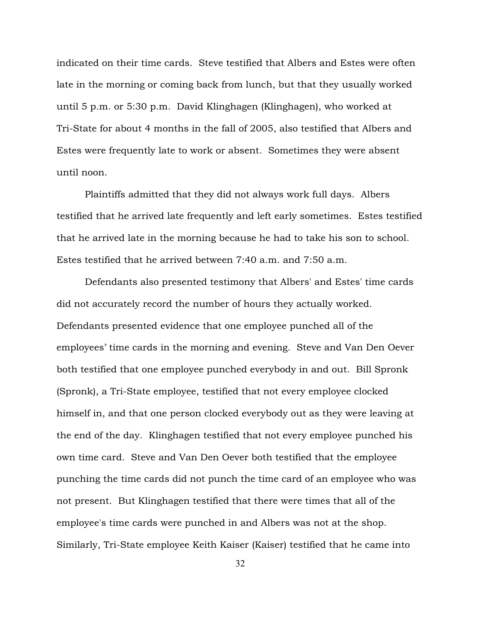indicated on their time cards. Steve testified that Albers and Estes were often late in the morning or coming back from lunch, but that they usually worked until 5 p.m. or 5:30 p.m. David Klinghagen (Klinghagen), who worked at Tri-State for about 4 months in the fall of 2005, also testified that Albers and Estes were frequently late to work or absent. Sometimes they were absent until noon.

Plaintiffs admitted that they did not always work full days. Albers testified that he arrived late frequently and left early sometimes. Estes testified that he arrived late in the morning because he had to take his son to school. Estes testified that he arrived between 7:40 a.m. and 7:50 a.m.

Defendants also presented testimony that Albers' and Estes' time cards did not accurately record the number of hours they actually worked. Defendants presented evidence that one employee punched all of the employees' time cards in the morning and evening. Steve and Van Den Oever both testified that one employee punched everybody in and out. Bill Spronk (Spronk), a Tri-State employee, testified that not every employee clocked himself in, and that one person clocked everybody out as they were leaving at the end of the day. Klinghagen testified that not every employee punched his own time card. Steve and Van Den Oever both testified that the employee punching the time cards did not punch the time card of an employee who was not present. But Klinghagen testified that there were times that all of the employee's time cards were punched in and Albers was not at the shop. Similarly, Tri-State employee Keith Kaiser (Kaiser) testified that he came into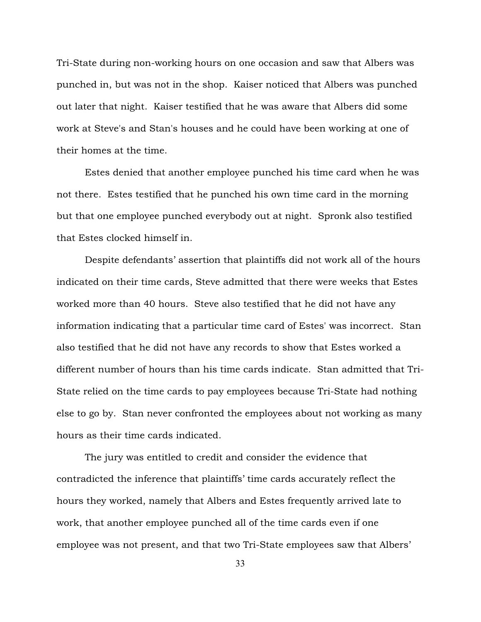Tri-State during non-working hours on one occasion and saw that Albers was punched in, but was not in the shop. Kaiser noticed that Albers was punched out later that night. Kaiser testified that he was aware that Albers did some work at Steve's and Stan's houses and he could have been working at one of their homes at the time.

Estes denied that another employee punched his time card when he was not there. Estes testified that he punched his own time card in the morning but that one employee punched everybody out at night. Spronk also testified that Estes clocked himself in.

Despite defendants' assertion that plaintiffs did not work all of the hours indicated on their time cards, Steve admitted that there were weeks that Estes worked more than 40 hours. Steve also testified that he did not have any information indicating that a particular time card of Estes' was incorrect. Stan also testified that he did not have any records to show that Estes worked a different number of hours than his time cards indicate. Stan admitted that Tri-State relied on the time cards to pay employees because Tri-State had nothing else to go by. Stan never confronted the employees about not working as many hours as their time cards indicated.

The jury was entitled to credit and consider the evidence that contradicted the inference that plaintiffs' time cards accurately reflect the hours they worked, namely that Albers and Estes frequently arrived late to work, that another employee punched all of the time cards even if one employee was not present, and that two Tri-State employees saw that Albers'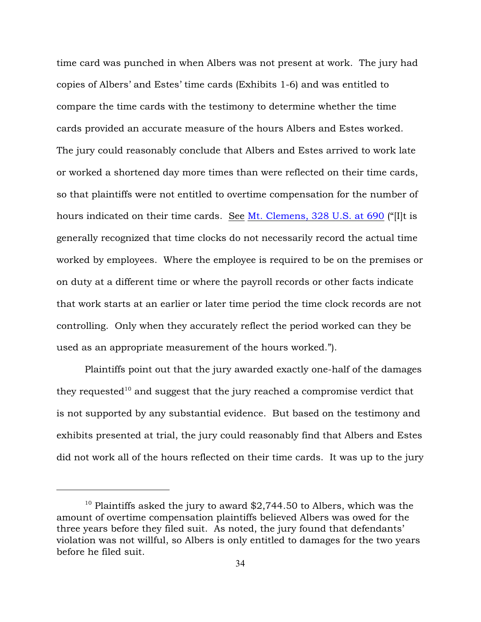time card was punched in when Albers was not present at work. The jury had copies of Albers' and Estes' time cards (Exhibits 1-6) and was entitled to compare the time cards with the testimony to determine whether the time cards provided an accurate measure of the hours Albers and Estes worked. The jury could reasonably conclude that Albers and Estes arrived to work late or worked a shortened day more times than were reflected on their time cards, so that plaintiffs were not entitled to overtime compensation for the number of hours indicated on their time cards. See [Mt. Clemens, 328 U.S. at 690](http://www.westlaw.com/find/default.wl?rs=ap2.0&ifm=NotSet&forceto=web2.westlaw.com&fn=_top&serialnum=1946112671&ft=Y&findtype=Y&db=0000780&vr=2.0&rp=%2ffind%2fdefault.wl&wbtoolsId=1946112671&HistoryType=F) ("[I]t is generally recognized that time clocks do not necessarily record the actual time worked by employees. Where the employee is required to be on the premises or on duty at a different time or where the payroll records or other facts indicate that work starts at an earlier or later time period the time clock records are not controlling. Only when they accurately reflect the period worked can they be used as an appropriate measurement of the hours worked.").

Plaintiffs point out that the jury awarded exactly one-half of the damages they requested<sup>10</sup> and suggest that the jury reached a compromise verdict that is not supported by any substantial evidence. But based on the testimony and exhibits presented at trial, the jury could reasonably find that Albers and Estes did not work all of the hours reflected on their time cards. It was up to the jury

 $^{10}$  Plaintiffs asked the jury to award \$2,744.50 to Albers, which was the amount of overtime compensation plaintiffs believed Albers was owed for the three years before they filed suit. As noted, the jury found that defendants' violation was not willful, so Albers is only entitled to damages for the two years before he filed suit.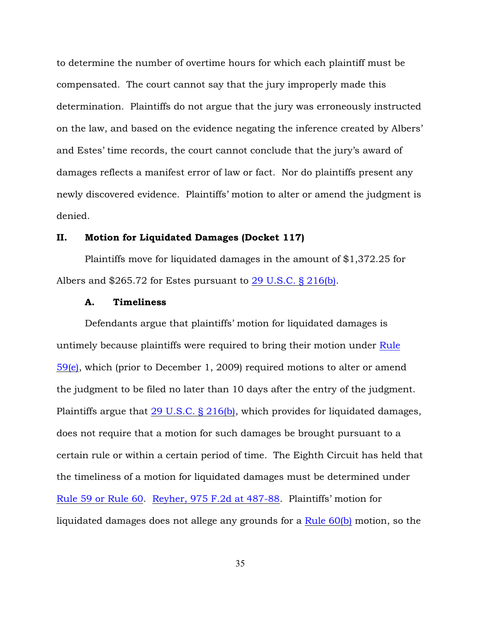to determine the number of overtime hours for which each plaintiff must be compensated. The court cannot say that the jury improperly made this determination. Plaintiffs do not argue that the jury was erroneously instructed on the law, and based on the evidence negating the inference created by Albers' and Estes' time records, the court cannot conclude that the jury's award of damages reflects a manifest error of law or fact. Nor do plaintiffs present any newly discovered evidence. Plaintiffs' motion to alter or amend the judgment is denied.

## II. Motion for Liquidated Damages (Docket 117)

Plaintiffs move for liquidated damages in the amount of \$1,372.25 for Albers and \$265.72 for Estes pursuant to [29 U.S.C. § 216\(b\)](http://www.westlaw.com/find/default.wl?rs=ap2.0&ifm=NotSet&forceto=web2.westlaw.com&fn=_top&findtype=L&ft=L&docname=29USCAS216&db=1000546&vr=2.0&rp=%2ffind%2fdefault.wl&wbtoolsId=29USCAS216&HistoryType=F).

## A. Timeliness

Defendants argue that plaintiffs' motion for liquidated damages is untimely because plaintiffs were required to bring their motion under [Rule](http://www.westlaw.com/find/default.wl?rs=ap2.0&ifm=NotSet&forceto=web2.westlaw.com&fn=_top&findtype=L&ft=L&docname=USFRCPR59&db=1000600&vr=2.0&rp=%2ffind%2fdefault.wl&wbtoolsId=USFRCPR59&HistoryType=F) [59\(e\)](http://www.westlaw.com/find/default.wl?rs=ap2.0&ifm=NotSet&forceto=web2.westlaw.com&fn=_top&findtype=L&ft=L&docname=USFRCPR59&db=1000600&vr=2.0&rp=%2ffind%2fdefault.wl&wbtoolsId=USFRCPR59&HistoryType=F), which (prior to December 1, 2009) required motions to alter or amend the judgment to be filed no later than 10 days after the entry of the judgment. Plaintiffs argue that [29 U.S.C. § 216\(b\)](http://www.westlaw.com/find/default.wl?rs=ap2.0&ifm=NotSet&forceto=web2.westlaw.com&fn=_top&findtype=L&ft=L&docname=29USCAS216&db=1000546&vr=2.0&rp=%2ffind%2fdefault.wl&wbtoolsId=29USCAS216&HistoryType=F), which provides for liquidated damages, does not require that a motion for such damages be brought pursuant to a certain rule or within a certain period of time. The Eighth Circuit has held that the timeliness of a motion for liquidated damages must be determined under [Rule 59 or Rule 60](http://www.westlaw.com/find/default.wl?rs=ap2.0&ifm=NotSet&forceto=web2.westlaw.com&fn=_top&findtype=L&ft=L&docname=USFRCPR60&db=1000600&vr=2.0&rp=%2ffind%2fdefault.wl&wbtoolsId=USFRCPR60&HistoryType=F). [Reyher, 975 F.2d at 487-88](http://www.westlaw.com/find/default.wl?rs=ap2.0&ifm=NotSet&forceto=web2.westlaw.com&fn=_top&serialnum=1992159672&ft=Y&findtype=Y&db=0000350&vr=2.0&rp=%2ffind%2fdefault.wl&wbtoolsId=1992159672&HistoryType=F). Plaintiffs' motion for liquidated damages does not allege any grounds for a [Rule 60\(b\)](http://www.westlaw.com/find/default.wl?rs=ap2.0&ifm=NotSet&forceto=web2.westlaw.com&fn=_top&findtype=L&ft=L&docname=USFRCPR60&db=1000600&vr=2.0&rp=%2ffind%2fdefault.wl&wbtoolsId=USFRCPR60&HistoryType=F) motion, so the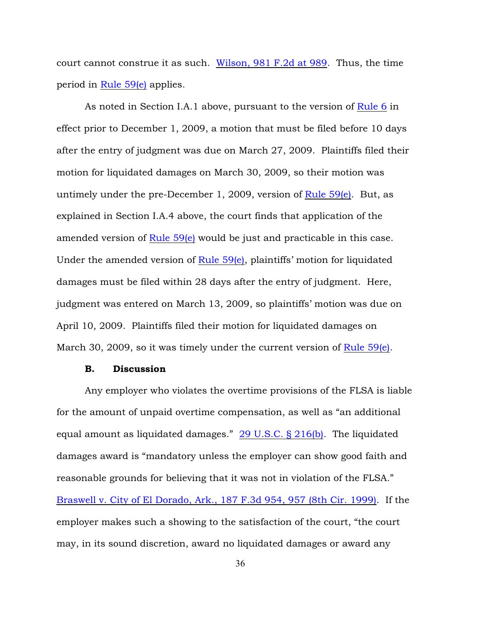court cannot construe it as such. [Wilson, 981 F.2d at 989](http://www.westlaw.com/find/default.wl?rs=ap2.0&ifm=NotSet&forceto=web2.westlaw.com&fn=_top&serialnum=1992215224&ft=Y&findtype=Y&db=0000350&vr=2.0&rp=%2ffind%2fdefault.wl&wbtoolsId=1992215224&HistoryType=F). Thus, the time period in [Rule 59\(e\)](http://www.westlaw.com/find/default.wl?rs=ap2.0&ifm=NotSet&forceto=web2.westlaw.com&fn=_top&findtype=L&ft=L&docname=USFRCPR59&db=1000600&vr=2.0&rp=%2ffind%2fdefault.wl&wbtoolsId=USFRCPR59&HistoryType=F) applies.

As noted in Section I.A.1 above, pursuant to the version of [Rule 6](http://www.westlaw.com/find/default.wl?rs=ap2.0&ifm=NotSet&forceto=web2.westlaw.com&fn=_top&findtype=L&ft=L&docname=USFRCPR6&db=1000600&vr=2.0&rp=%2ffind%2fdefault.wl&wbtoolsId=USFRCPR6&HistoryType=F) in effect prior to December 1, 2009, a motion that must be filed before 10 days after the entry of judgment was due on March 27, 2009. Plaintiffs filed their motion for liquidated damages on March 30, 2009, so their motion was untimely under the pre-December 1, 2009, version of Rule  $59(e)$ . But, as explained in Section I.A.4 above, the court finds that application of the amended version of [Rule 59\(e\)](http://www.westlaw.com/find/default.wl?rs=ap2.0&ifm=NotSet&forceto=web2.westlaw.com&fn=_top&findtype=L&ft=L&docname=USFRCPR59&db=1000600&vr=2.0&rp=%2ffind%2fdefault.wl&wbtoolsId=USFRCPR59&HistoryType=F) would be just and practicable in this case. Under the amended version of [Rule 59\(e\)](http://www.westlaw.com/find/default.wl?rs=ap2.0&ifm=NotSet&forceto=web2.westlaw.com&fn=_top&findtype=L&ft=L&docname=USFRCPR59&db=1000600&vr=2.0&rp=%2ffind%2fdefault.wl&wbtoolsId=USFRCPR59&HistoryType=F), plaintiffs' motion for liquidated damages must be filed within 28 days after the entry of judgment. Here, judgment was entered on March 13, 2009, so plaintiffs' motion was due on April 10, 2009. Plaintiffs filed their motion for liquidated damages on March 30, 2009, so it was timely under the current version of [Rule 59\(e\)](http://www.westlaw.com/find/default.wl?rs=ap2.0&ifm=NotSet&forceto=web2.westlaw.com&fn=_top&findtype=L&ft=L&docname=USFRCPR59&db=1000600&vr=2.0&rp=%2ffind%2fdefault.wl&wbtoolsId=USFRCPR59&HistoryType=F).

### B. Discussion

Any employer who violates the overtime provisions of the FLSA is liable for the amount of unpaid overtime compensation, as well as "an additional equal amount as liquidated damages." [29 U.S.C. § 216\(b\)](http://www.westlaw.com/find/default.wl?rs=ap2.0&ifm=NotSet&forceto=web2.westlaw.com&fn=_top&findtype=L&ft=L&docname=29USCAS216&db=1000546&vr=2.0&rp=%2ffind%2fdefault.wl&wbtoolsId=29USCAS216&HistoryType=F). The liquidated damages award is "mandatory unless the employer can show good faith and reasonable grounds for believing that it was not in violation of the FLSA." [Braswell v. City of El Dorado, Ark., 187 F.3d 954, 957 \(8th Cir. 1999\)](http://www.westlaw.com/find/default.wl?rs=ap2.0&ifm=NotSet&forceto=web2.westlaw.com&fn=_top&serialnum=1999188252&ft=Y&findtype=Y&db=0000506&vr=2.0&rp=%2ffind%2fdefault.wl&wbtoolsId=1999188252&HistoryType=F). If the employer makes such a showing to the satisfaction of the court, "the court may, in its sound discretion, award no liquidated damages or award any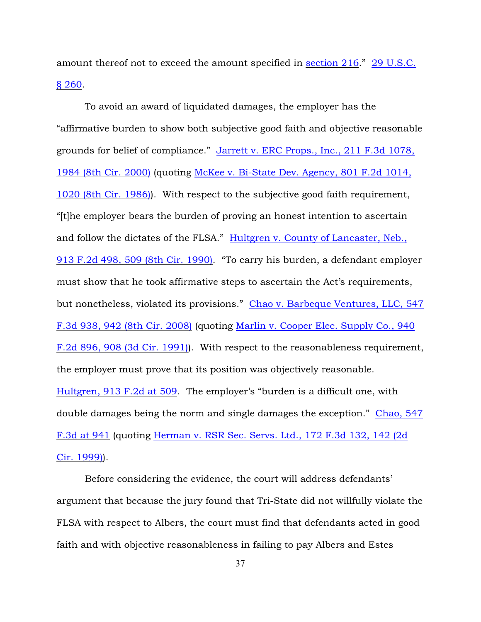amount thereof not to exceed the amount specified in [section 216](http://www.westlaw.com/find/default.wl?rs=ap2.0&ifm=NotSet&forceto=web2.westlaw.com&fn=_top&findtype=L&ft=L&docname=29USCAS216&db=1000546&vr=2.0&rp=%2ffind%2fdefault.wl&wbtoolsId=29USCAS216&HistoryType=F)." [29 U.S.C.](http://www.westlaw.com/find/default.wl?rs=ap2.0&ifm=NotSet&forceto=web2.westlaw.com&fn=_top&findtype=L&ft=L&docname=29USCAS260&db=1000546&vr=2.0&rp=%2ffind%2fdefault.wl&wbtoolsId=29USCAS260&HistoryType=F) [§ 260](http://www.westlaw.com/find/default.wl?rs=ap2.0&ifm=NotSet&forceto=web2.westlaw.com&fn=_top&findtype=L&ft=L&docname=29USCAS260&db=1000546&vr=2.0&rp=%2ffind%2fdefault.wl&wbtoolsId=29USCAS260&HistoryType=F).

To avoid an award of liquidated damages, the employer has the "affirmative burden to show both subjective good faith and objective reasonable grounds for belief of compliance." [Jarrett v. ERC Props., Inc., 211 F.3d 1078,](http://www.westlaw.com/find/default.wl?rs=ap2.0&ifm=NotSet&forceto=web2.westlaw.com&fn=_top&serialnum=2000304100&ft=Y&findtype=Y&db=0000506&vr=2.0&rp=%2ffind%2fdefault.wl&wbtoolsId=2000304100&HistoryType=F) [1984 \(8th Cir. 2000\)](http://www.westlaw.com/find/default.wl?rs=ap2.0&ifm=NotSet&forceto=web2.westlaw.com&fn=_top&serialnum=2000304100&ft=Y&findtype=Y&db=0000506&vr=2.0&rp=%2ffind%2fdefault.wl&wbtoolsId=2000304100&HistoryType=F) (quoting [McKee v. Bi-State Dev. Agency, 801 F.2d 1014,](http://www.westlaw.com/find/default.wl?rs=ap2.0&ifm=NotSet&forceto=web2.westlaw.com&fn=_top&serialnum=1986147489&ft=Y&findtype=Y&db=0000350&vr=2.0&rp=%2ffind%2fdefault.wl&wbtoolsId=1986147489&HistoryType=F) [1020 \(8th Cir. 1986\)](http://www.westlaw.com/find/default.wl?rs=ap2.0&ifm=NotSet&forceto=web2.westlaw.com&fn=_top&serialnum=1986147489&ft=Y&findtype=Y&db=0000350&vr=2.0&rp=%2ffind%2fdefault.wl&wbtoolsId=1986147489&HistoryType=F)). With respect to the subjective good faith requirement, "[t]he employer bears the burden of proving an honest intention to ascertain and follow the dictates of the FLSA." [Hultgren v. County of Lancaster, Neb.,](http://www.westlaw.com/find/default.wl?rs=ap2.0&ifm=NotSet&forceto=web2.westlaw.com&fn=_top&serialnum=1990129034&ft=Y&findtype=Y&db=0000350&vr=2.0&rp=%2ffind%2fdefault.wl&wbtoolsId=1990129034&HistoryType=F) [913 F.2d 498, 509 \(8th Cir. 1990\)](http://www.westlaw.com/find/default.wl?rs=ap2.0&ifm=NotSet&forceto=web2.westlaw.com&fn=_top&serialnum=1990129034&ft=Y&findtype=Y&db=0000350&vr=2.0&rp=%2ffind%2fdefault.wl&wbtoolsId=1990129034&HistoryType=F). "To carry his burden, a defendant employer must show that he took affirmative steps to ascertain the Act's requirements, but nonetheless, violated its provisions." [Chao v. Barbeque Ventures, LLC, 547](http://www.westlaw.com/find/default.wl?rs=ap2.0&ifm=NotSet&forceto=web2.westlaw.com&fn=_top&serialnum=2017556790&ft=Y&findtype=Y&db=0000506&vr=2.0&rp=%2ffind%2fdefault.wl&wbtoolsId=2017556790&HistoryType=F) [F.3d 938, 942 \(8th Cir. 2008\)](http://www.westlaw.com/find/default.wl?rs=ap2.0&ifm=NotSet&forceto=web2.westlaw.com&fn=_top&serialnum=2017556790&ft=Y&findtype=Y&db=0000506&vr=2.0&rp=%2ffind%2fdefault.wl&wbtoolsId=2017556790&HistoryType=F) (quoting [Marlin v. Cooper Elec. Supply Co., 940](http://www.westlaw.com/find/default.wl?rs=ap2.0&ifm=NotSet&forceto=web2.westlaw.com&fn=_top&serialnum=1991137379&ft=Y&findtype=Y&db=0000350&vr=2.0&rp=%2ffind%2fdefault.wl&wbtoolsId=1991137379&HistoryType=F) [F.2d 896, 908 \(3d Cir. 1991\)](http://www.westlaw.com/find/default.wl?rs=ap2.0&ifm=NotSet&forceto=web2.westlaw.com&fn=_top&serialnum=1991137379&ft=Y&findtype=Y&db=0000350&vr=2.0&rp=%2ffind%2fdefault.wl&wbtoolsId=1991137379&HistoryType=F)). With respect to the reasonableness requirement, the employer must prove that its position was objectively reasonable. [Hultgren, 913 F.2d at 509](http://www.westlaw.com/find/default.wl?rs=ap2.0&ifm=NotSet&forceto=web2.westlaw.com&fn=_top&serialnum=1990129034&ft=Y&findtype=Y&db=0000350&vr=2.0&rp=%2ffind%2fdefault.wl&wbtoolsId=1990129034&HistoryType=F). The employer's "burden is a difficult one, with double damages being the norm and single damages the exception." [Chao, 547](http://www.westlaw.com/find/default.wl?rs=ap2.0&ifm=NotSet&forceto=web2.westlaw.com&fn=_top&serialnum=2017556790&ft=Y&findtype=Y&db=0000506&vr=2.0&rp=%2ffind%2fdefault.wl&wbtoolsId=2017556790&HistoryType=F) [F.3d at 941](http://www.westlaw.com/find/default.wl?rs=ap2.0&ifm=NotSet&forceto=web2.westlaw.com&fn=_top&serialnum=2017556790&ft=Y&findtype=Y&db=0000506&vr=2.0&rp=%2ffind%2fdefault.wl&wbtoolsId=2017556790&HistoryType=F) (quoting [Herman v. RSR Sec. Servs. Ltd., 172 F.3d 132, 142 \(2d](http://www.westlaw.com/find/default.wl?rs=ap2.0&ifm=NotSet&forceto=web2.westlaw.com&fn=_top&serialnum=1999091231&ft=Y&findtype=Y&db=0000506&vr=2.0&rp=%2ffind%2fdefault.wl&wbtoolsId=1999091231&HistoryType=F) [Cir. 1999\)](http://www.westlaw.com/find/default.wl?rs=ap2.0&ifm=NotSet&forceto=web2.westlaw.com&fn=_top&serialnum=1999091231&ft=Y&findtype=Y&db=0000506&vr=2.0&rp=%2ffind%2fdefault.wl&wbtoolsId=1999091231&HistoryType=F)).

Before considering the evidence, the court will address defendants' argument that because the jury found that Tri-State did not willfully violate the FLSA with respect to Albers, the court must find that defendants acted in good faith and with objective reasonableness in failing to pay Albers and Estes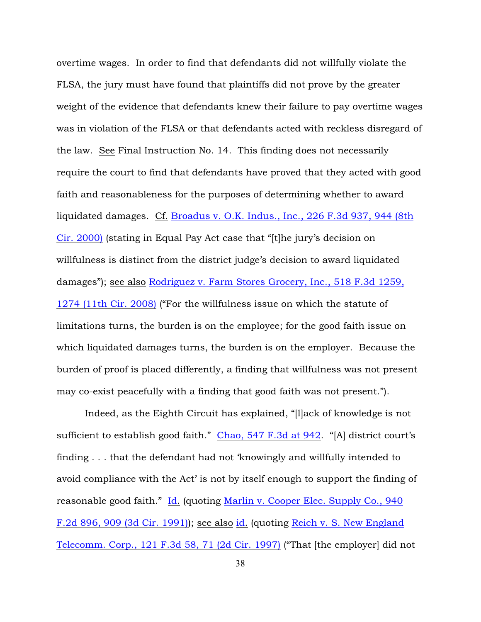overtime wages. In order to find that defendants did not willfully violate the FLSA, the jury must have found that plaintiffs did not prove by the greater weight of the evidence that defendants knew their failure to pay overtime wages was in violation of the FLSA or that defendants acted with reckless disregard of the law. See Final Instruction No. 14. This finding does not necessarily require the court to find that defendants have proved that they acted with good faith and reasonableness for the purposes of determining whether to award liquidated damages. Cf. [Broadus v. O.K. Indus., Inc., 226 F.3d 937, 944 \(8th](http://www.westlaw.com/find/default.wl?rs=ap2.0&ifm=NotSet&forceto=web2.westlaw.com&fn=_top&serialnum=2000516122&ft=Y&findtype=Y&db=0000506&vr=2.0&rp=%2ffind%2fdefault.wl&wbtoolsId=2000516122&HistoryType=F) [Cir. 2000\)](http://www.westlaw.com/find/default.wl?rs=ap2.0&ifm=NotSet&forceto=web2.westlaw.com&fn=_top&serialnum=2000516122&ft=Y&findtype=Y&db=0000506&vr=2.0&rp=%2ffind%2fdefault.wl&wbtoolsId=2000516122&HistoryType=F) (stating in Equal Pay Act case that "[t]he jury's decision on willfulness is distinct from the district judge's decision to award liquidated damages"); see also [Rodriguez v. Farm Stores Grocery, Inc., 518 F.3d 1259,](http://www.westlaw.com/find/default.wl?rs=ap2.0&ifm=NotSet&forceto=web2.westlaw.com&fn=_top&serialnum=2015416051&ft=Y&findtype=Y&db=0000506&vr=2.0&rp=%2ffind%2fdefault.wl&wbtoolsId=2015416051&HistoryType=F) [1274 \(11th Cir. 2008\)](http://www.westlaw.com/find/default.wl?rs=ap2.0&ifm=NotSet&forceto=web2.westlaw.com&fn=_top&serialnum=2015416051&ft=Y&findtype=Y&db=0000506&vr=2.0&rp=%2ffind%2fdefault.wl&wbtoolsId=2015416051&HistoryType=F) ("For the willfulness issue on which the statute of limitations turns, the burden is on the employee; for the good faith issue on which liquidated damages turns, the burden is on the employer. Because the burden of proof is placed differently, a finding that willfulness was not present may co-exist peacefully with a finding that good faith was not present.").

Indeed, as the Eighth Circuit has explained, "[l]ack of knowledge is not sufficient to establish good faith." [Chao, 547 F.3d at 942](http://www.westlaw.com/find/default.wl?forceto=web2.westlaw.com&ifm=NotSet&rp=%2ffind%2fdefault.wl&rs=ap2.0&serialnum=2017556790&findtype=Y&fn=_top&vr=2.0&ft=Y&db=0000506&wbtoolsId=2017556790&HistoryType=F). "[A] district court's finding . . . that the defendant had not 'knowingly and willfully intended to avoid compliance with the Act' is not by itself enough to support the finding of reasonable good faith." [Id](http://www.westlaw.com/find/default.wl?rs=ap2.0&ifm=NotSet&forceto=web2.westlaw.com&fn=_top&serialnum=2017556790&ft=Y&findtype=Y&db=0000506&vr=2.0&rp=%2ffind%2fdefault.wl&wbtoolsId=2017556790&HistoryType=F). (quoting [Marlin v. Cooper Elec. Supply Co., 940](http://www.westlaw.com/find/default.wl?rs=ap2.0&ifm=NotSet&forceto=web2.westlaw.com&fn=_top&serialnum=1991137379&ft=Y&findtype=Y&db=0000350&vr=2.0&rp=%2ffind%2fdefault.wl&wbtoolsId=1991137379&HistoryType=F) [F.2d 896, 909 \(3d Cir. 1991\)](http://www.westlaw.com/find/default.wl?rs=ap2.0&ifm=NotSet&forceto=web2.westlaw.com&fn=_top&serialnum=1991137379&ft=Y&findtype=Y&db=0000350&vr=2.0&rp=%2ffind%2fdefault.wl&wbtoolsId=1991137379&HistoryType=F)); see also [id](http://www.westlaw.com/find/default.wl?rs=ap2.0&ifm=NotSet&forceto=web2.westlaw.com&fn=_top&serialnum=1991137379&ft=Y&findtype=Y&db=0000350&vr=2.0&rp=%2ffind%2fdefault.wl&wbtoolsId=1991137379&HistoryType=F). (quoting [Reich v. S. New England](http://www.westlaw.com/find/default.wl?forceto=web2.westlaw.com&ifm=NotSet&rp=%2ffind%2fdefault.wl&rs=ap2.0&serialnum=1997161418&findtype=Y&fn=_top&vr=2.0&ft=Y&db=0000506&wbtoolsId=1997161418&HistoryType=F) [Telecomm. Corp., 121 F.3d 58, 71 \(2d Cir. 1997\)](http://www.westlaw.com/find/default.wl?forceto=web2.westlaw.com&ifm=NotSet&rp=%2ffind%2fdefault.wl&rs=ap2.0&serialnum=1997161418&findtype=Y&fn=_top&vr=2.0&ft=Y&db=0000506&wbtoolsId=1997161418&HistoryType=F) ("That [the employer] did not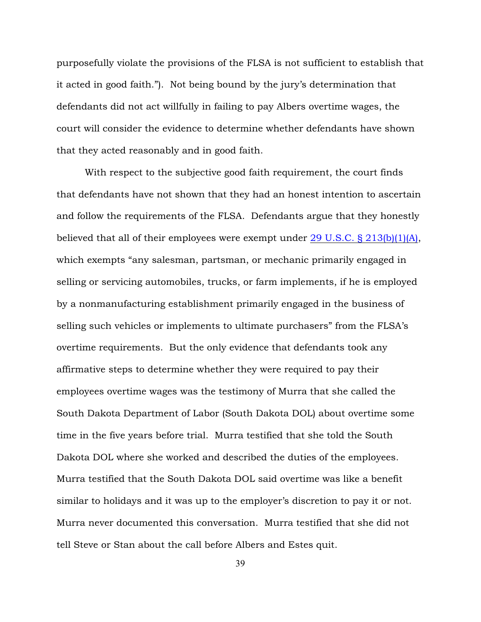purposefully violate the provisions of the FLSA is not sufficient to establish that it acted in good faith."). Not being bound by the jury's determination that defendants did not act willfully in failing to pay Albers overtime wages, the court will consider the evidence to determine whether defendants have shown that they acted reasonably and in good faith.

With respect to the subjective good faith requirement, the court finds that defendants have not shown that they had an honest intention to ascertain and follow the requirements of the FLSA. Defendants argue that they honestly believed that all of their employees were exempt under 29 U.S.C.  $\S 213(b)(1)(A)$ , which exempts "any salesman, partsman, or mechanic primarily engaged in selling or servicing automobiles, trucks, or farm implements, if he is employed by a nonmanufacturing establishment primarily engaged in the business of selling such vehicles or implements to ultimate purchasers" from the FLSA's overtime requirements. But the only evidence that defendants took any affirmative steps to determine whether they were required to pay their employees overtime wages was the testimony of Murra that she called the South Dakota Department of Labor (South Dakota DOL) about overtime some time in the five years before trial. Murra testified that she told the South Dakota DOL where she worked and described the duties of the employees. Murra testified that the South Dakota DOL said overtime was like a benefit similar to holidays and it was up to the employer's discretion to pay it or not. Murra never documented this conversation. Murra testified that she did not tell Steve or Stan about the call before Albers and Estes quit.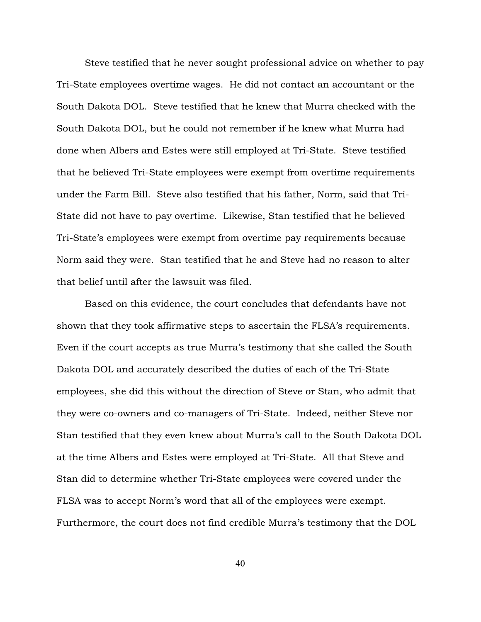Steve testified that he never sought professional advice on whether to pay Tri-State employees overtime wages. He did not contact an accountant or the South Dakota DOL. Steve testified that he knew that Murra checked with the South Dakota DOL, but he could not remember if he knew what Murra had done when Albers and Estes were still employed at Tri-State. Steve testified that he believed Tri-State employees were exempt from overtime requirements under the Farm Bill. Steve also testified that his father, Norm, said that Tri-State did not have to pay overtime. Likewise, Stan testified that he believed Tri-State's employees were exempt from overtime pay requirements because Norm said they were. Stan testified that he and Steve had no reason to alter that belief until after the lawsuit was filed.

Based on this evidence, the court concludes that defendants have not shown that they took affirmative steps to ascertain the FLSA's requirements. Even if the court accepts as true Murra's testimony that she called the South Dakota DOL and accurately described the duties of each of the Tri-State employees, she did this without the direction of Steve or Stan, who admit that they were co-owners and co-managers of Tri-State. Indeed, neither Steve nor Stan testified that they even knew about Murra's call to the South Dakota DOL at the time Albers and Estes were employed at Tri-State. All that Steve and Stan did to determine whether Tri-State employees were covered under the FLSA was to accept Norm's word that all of the employees were exempt. Furthermore, the court does not find credible Murra's testimony that the DOL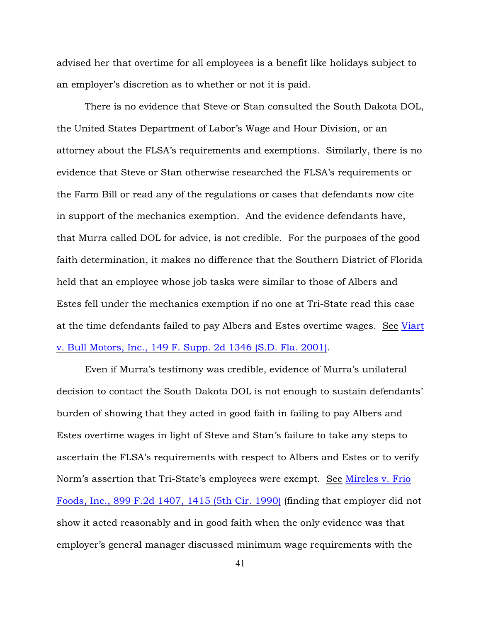advised her that overtime for all employees is a benefit like holidays subject to an employer's discretion as to whether or not it is paid.

There is no evidence that Steve or Stan consulted the South Dakota DOL, the United States Department of Labor's Wage and Hour Division, or an attorney about the FLSA's requirements and exemptions. Similarly, there is no evidence that Steve or Stan otherwise researched the FLSA's requirements or the Farm Bill or read any of the regulations or cases that defendants now cite in support of the mechanics exemption. And the evidence defendants have, that Murra called DOL for advice, is not credible. For the purposes of the good faith determination, it makes no difference that the Southern District of Florida held that an employee whose job tasks were similar to those of Albers and Estes fell under the mechanics exemption if no one at Tri-State read this case at the time defendants failed to pay Albers and Estes overtime wages. See [Viart](http://www.westlaw.com/find/default.wl?rs=ap2.0&ifm=NotSet&forceto=web2.westlaw.com&fn=_top&serialnum=2001554434&ft=Y&findtype=Y&db=0004637&vr=2.0&rp=%2ffind%2fdefault.wl&wbtoolsId=2001554434&HistoryType=F) [v. Bull Motors, Inc., 149 F. Supp. 2d 1346 \(S.D. Fla. 2001\)](http://www.westlaw.com/find/default.wl?rs=ap2.0&ifm=NotSet&forceto=web2.westlaw.com&fn=_top&serialnum=2001554434&ft=Y&findtype=Y&db=0004637&vr=2.0&rp=%2ffind%2fdefault.wl&wbtoolsId=2001554434&HistoryType=F).

Even if Murra's testimony was credible, evidence of Murra's unilateral decision to contact the South Dakota DOL is not enough to sustain defendants' burden of showing that they acted in good faith in failing to pay Albers and Estes overtime wages in light of Steve and Stan's failure to take any steps to ascertain the FLSA's requirements with respect to Albers and Estes or to verify Norm's assertion that Tri-State's employees were exempt. See [Mireles v. Frio](http://www.westlaw.com/find/default.wl?rs=ap2.0&ifm=NotSet&forceto=web2.westlaw.com&fn=_top&serialnum=1990065931&ft=Y&findtype=Y&db=0000350&vr=2.0&rp=%2ffind%2fdefault.wl&wbtoolsId=1990065931&HistoryType=F) [Foods, Inc., 899 F.2d 1407, 1415 \(5th Cir. 1990\)](http://www.westlaw.com/find/default.wl?rs=ap2.0&ifm=NotSet&forceto=web2.westlaw.com&fn=_top&serialnum=1990065931&ft=Y&findtype=Y&db=0000350&vr=2.0&rp=%2ffind%2fdefault.wl&wbtoolsId=1990065931&HistoryType=F) (finding that employer did not show it acted reasonably and in good faith when the only evidence was that employer's general manager discussed minimum wage requirements with the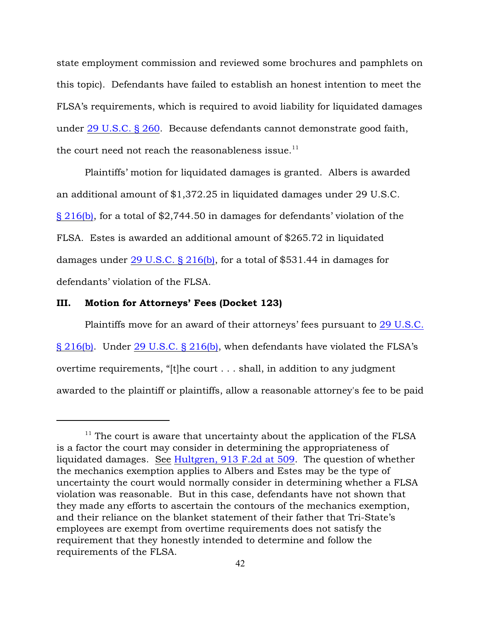state employment commission and reviewed some brochures and pamphlets on this topic). Defendants have failed to establish an honest intention to meet the FLSA's requirements, which is required to avoid liability for liquidated damages under [29 U.S.C. § 260](http://www.westlaw.com/find/default.wl?rs=ap2.0&ifm=NotSet&forceto=web2.westlaw.com&fn=_top&findtype=L&ft=L&docname=29USCAS260&db=1000546&vr=2.0&rp=%2ffind%2fdefault.wl&wbtoolsId=29USCAS260&HistoryType=F). Because defendants cannot demonstrate good faith, the court need not reach the reasonableness issue.<sup>11</sup>

Plaintiffs' motion for liquidated damages is granted. Albers is awarded an additional amount of \$1,372.25 in liquidated damages under 29 U.S.C. [§ 216\(b\)](http://www.westlaw.com/find/default.wl?rs=ap2.0&ifm=NotSet&forceto=web2.westlaw.com&fn=_top&findtype=L&ft=L&docname=29USCAS216&db=1000546&vr=2.0&rp=%2ffind%2fdefault.wl&wbtoolsId=29USCAS216&HistoryType=F), for a total of \$2,744.50 in damages for defendants' violation of the FLSA. Estes is awarded an additional amount of \$265.72 in liquidated damages under [29 U.S.C. § 216\(b\)](http://www.westlaw.com/find/default.wl?rs=ap2.0&ifm=NotSet&forceto=web2.westlaw.com&fn=_top&findtype=L&ft=L&docname=29USCAS216&db=1000546&vr=2.0&rp=%2ffind%2fdefault.wl&wbtoolsId=29USCAS216&HistoryType=F), for a total of \$531.44 in damages for defendants' violation of the FLSA.

#### III. Motion for Attorneys' Fees (Docket 123)

Plaintiffs move for an award of their attorneys' fees pursuant to [29 U.S.C.](http://www.westlaw.com/find/default.wl?rs=ap2.0&ifm=NotSet&forceto=web2.westlaw.com&fn=_top&findtype=L&ft=L&docname=29USCAS216&db=1000546&vr=2.0&rp=%2ffind%2fdefault.wl&wbtoolsId=29USCAS216&HistoryType=F) [§ 216\(b\)](http://www.westlaw.com/find/default.wl?rs=ap2.0&ifm=NotSet&forceto=web2.westlaw.com&fn=_top&findtype=L&ft=L&docname=29USCAS216&db=1000546&vr=2.0&rp=%2ffind%2fdefault.wl&wbtoolsId=29USCAS216&HistoryType=F). Under [29 U.S.C. § 216\(b\)](http://www.westlaw.com/find/default.wl?rs=ap2.0&ifm=NotSet&forceto=web2.westlaw.com&fn=_top&findtype=L&ft=L&docname=29USCAS216&db=1000546&vr=2.0&rp=%2ffind%2fdefault.wl&wbtoolsId=29USCAS216&HistoryType=F), when defendants have violated the FLSA's overtime requirements, "[t]he court . . . shall, in addition to any judgment awarded to the plaintiff or plaintiffs, allow a reasonable attorney's fee to be paid

 $11$  The court is aware that uncertainty about the application of the FLSA is a factor the court may consider in determining the appropriateness of liquidated damages. See [Hultgren, 913 F.2d at 509](http://www.westlaw.com/find/default.wl?rs=ap2.0&ifm=NotSet&forceto=web2.westlaw.com&fn=_top&serialnum=1990129034&ft=Y&findtype=Y&db=0000350&vr=2.0&rp=%2ffind%2fdefault.wl&wbtoolsId=1990129034&HistoryType=F). The question of whether the mechanics exemption applies to Albers and Estes may be the type of uncertainty the court would normally consider in determining whether a FLSA violation was reasonable. But in this case, defendants have not shown that they made any efforts to ascertain the contours of the mechanics exemption, and their reliance on the blanket statement of their father that Tri-State's employees are exempt from overtime requirements does not satisfy the requirement that they honestly intended to determine and follow the requirements of the FLSA.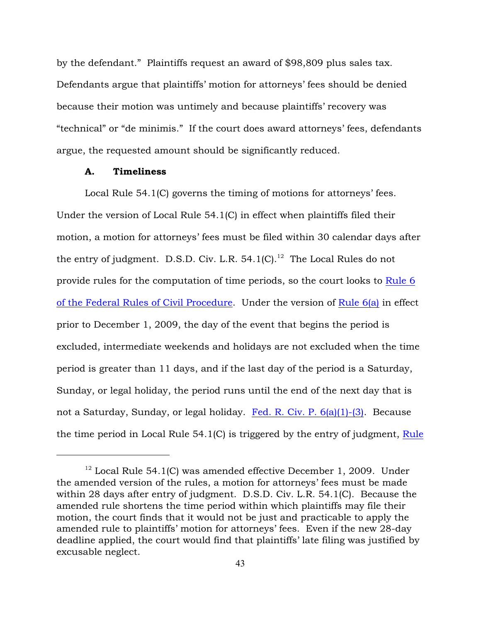by the defendant." Plaintiffs request an award of \$98,809 plus sales tax. Defendants argue that plaintiffs' motion for attorneys' fees should be denied because their motion was untimely and because plaintiffs' recovery was "technical" or "de minimis." If the court does award attorneys' fees, defendants argue, the requested amount should be significantly reduced.

## A. Timeliness

Local Rule 54.1(C) governs the timing of motions for attorneys' fees. Under the version of Local Rule 54.1(C) in effect when plaintiffs filed their motion, a motion for attorneys' fees must be filed within 30 calendar days after the entry of judgment. D.S.D. Civ. L.R.  $54.1$ (C).<sup>12</sup> The Local Rules do not provide rules for the computation of time periods, so the court looks to [Rule 6](http://www.westlaw.com/find/default.wl?rs=ap2.0&ifm=NotSet&forceto=web2.westlaw.com&fn=_top&findtype=L&ft=L&docname=USFRCPR6&db=1000600&vr=2.0&rp=%2ffind%2fdefault.wl&wbtoolsId=USFRCPR6&HistoryType=F) [of the Federal Rules of Civil Procedure](http://www.westlaw.com/find/default.wl?rs=ap2.0&ifm=NotSet&forceto=web2.westlaw.com&fn=_top&findtype=L&ft=L&docname=USFRCPR6&db=1000600&vr=2.0&rp=%2ffind%2fdefault.wl&wbtoolsId=USFRCPR6&HistoryType=F). Under the version of [Rule 6\(a\)](http://www.westlaw.com/find/default.wl?rs=ap2.0&ifm=NotSet&forceto=web2.westlaw.com&fn=_top&findtype=L&ft=L&docname=USFRCPR6&db=1000600&vr=2.0&rp=%2ffind%2fdefault.wl&wbtoolsId=USFRCPR6&HistoryType=F) in effect prior to December 1, 2009, the day of the event that begins the period is excluded, intermediate weekends and holidays are not excluded when the time period is greater than 11 days, and if the last day of the period is a Saturday, Sunday, or legal holiday, the period runs until the end of the next day that is not a Saturday, Sunday, or legal holiday. [Fed. R. Civ. P. 6\(a\)\(1\)-\(3\)](http://www.westlaw.com/find/default.wl?rs=ap2.0&ifm=NotSet&forceto=web2.westlaw.com&fn=_top&findtype=L&ft=L&docname=USFRCPR6&db=1000600&vr=2.0&rp=%2ffind%2fdefault.wl&wbtoolsId=USFRCPR6&HistoryType=F). Because the time period in Local Rule 54.1(C) is triggered by the entry of judgment, [Rule](http://www.westlaw.com/find/default.wl?rs=ap2.0&ifm=NotSet&forceto=web2.westlaw.com&fn=_top&findtype=L&ft=L&docname=USFRCPR6&db=1000600&vr=2.0&rp=%2ffind%2fdefault.wl&wbtoolsId=USFRCPR6&HistoryType=F)

 $12$  Local Rule 54.1(C) was amended effective December 1, 2009. Under the amended version of the rules, a motion for attorneys' fees must be made within 28 days after entry of judgment. D.S.D. Civ. L.R. 54.1(C). Because the amended rule shortens the time period within which plaintiffs may file their motion, the court finds that it would not be just and practicable to apply the amended rule to plaintiffs' motion for attorneys' fees. Even if the new 28-day deadline applied, the court would find that plaintiffs' late filing was justified by excusable neglect.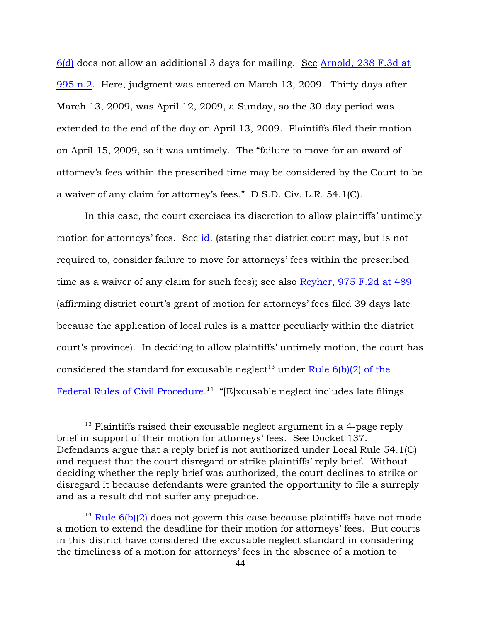6(d) does not allow an additional 3 days for mailing. See [Arnold, 238 F.3d at](http://www.westlaw.com/find/default.wl?rs=ap2.0&ifm=NotSet&forceto=web2.westlaw.com&fn=_top&serialnum=2001093765&ft=Y&findtype=Y&db=0000506&vr=2.0&rp=%2ffind%2fdefault.wl&wbtoolsId=2001093765&HistoryType=F) [995 n.2](http://www.westlaw.com/find/default.wl?rs=ap2.0&ifm=NotSet&forceto=web2.westlaw.com&fn=_top&serialnum=2001093765&ft=Y&findtype=Y&db=0000506&vr=2.0&rp=%2ffind%2fdefault.wl&wbtoolsId=2001093765&HistoryType=F). Here, judgment was entered on March 13, 2009. Thirty days after March 13, 2009, was April 12, 2009, a Sunday, so the 30-day period was extended to the end of the day on April 13, 2009. Plaintiffs filed their motion on April 15, 2009, so it was untimely. The "failure to move for an award of attorney's fees within the prescribed time may be considered by the Court to be a waiver of any claim for attorney's fees." D.S.D. Civ. L.R. 54.1(C).

In this case, the court exercises its discretion to allow plaintiffs' untimely motion for attorneys' fees. See [id.](http://www.westlaw.com/find/default.wl?rs=ap2.0&ifm=NotSet&forceto=web2.westlaw.com&fn=_top&serialnum=2001093765&ft=Y&findtype=Y&db=0000506&vr=2.0&rp=%2ffind%2fdefault.wl&wbtoolsId=2001093765&HistoryType=F) (stating that district court may, but is not required to, consider failure to move for attorneys' fees within the prescribed time as a waiver of any claim for such fees); see also [Reyher, 975 F.2d at 489](http://www.westlaw.com/find/default.wl?rs=ap2.0&ifm=NotSet&forceto=web2.westlaw.com&fn=_top&serialnum=1992159672&ft=Y&findtype=Y&db=0000350&vr=2.0&rp=%2ffind%2fdefault.wl&wbtoolsId=1992159672&HistoryType=F) (affirming district court's grant of motion for attorneys' fees filed 39 days late because the application of local rules is a matter peculiarly within the district court's province). In deciding to allow plaintiffs' untimely motion, the court has considered the standard for excusable neglect<sup>13</sup> under Rule  $6(b)(2)$  of the [Federal Rules of Civil Procedure](http://www.westlaw.com/find/default.wl?rs=ap2.0&ifm=NotSet&forceto=web2.westlaw.com&fn=_top&findtype=L&ft=L&docname=USFRCPR6&db=1000600&vr=2.0&rp=%2ffind%2fdefault.wl&wbtoolsId=USFRCPR6&HistoryType=F).<sup>14</sup> "[E]xcusable neglect includes late filings

 $13$  Plaintiffs raised their excusable neglect argument in a 4-page reply brief in support of their motion for attorneys' fees. See Docket 137. Defendants argue that a reply brief is not authorized under Local Rule 54.1(C) and request that the court disregard or strike plaintiffs' reply brief. Without deciding whether the reply brief was authorized, the court declines to strike or disregard it because defendants were granted the opportunity to file a surreply and as a result did not suffer any prejudice.

<sup>&</sup>lt;sup>14</sup> Rule  $6(b)(2)$  does not govern this case because plaintiffs have not made a motion to extend the deadline for their motion for attorneys' fees. But courts in this district have considered the excusable neglect standard in considering the timeliness of a motion for attorneys' fees in the absence of a motion to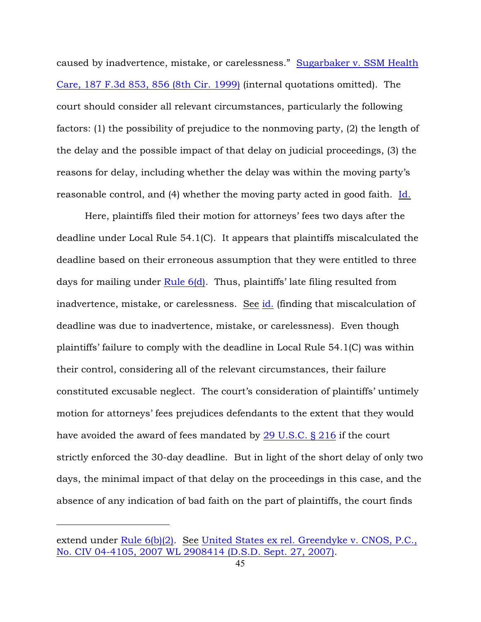caused by inadvertence, mistake, or carelessness." [Sugarbaker v. SSM Health](http://www.westlaw.com/find/default.wl?rs=ap2.0&ifm=NotSet&forceto=web2.westlaw.com&fn=_top&serialnum=1999197756&ft=Y&findtype=Y&db=0000506&vr=2.0&rp=%2ffind%2fdefault.wl&wbtoolsId=1999197756&HistoryType=F) [Care, 187 F.3d 853, 856 \(8th Cir. 1999\)](http://www.westlaw.com/find/default.wl?rs=ap2.0&ifm=NotSet&forceto=web2.westlaw.com&fn=_top&serialnum=1999197756&ft=Y&findtype=Y&db=0000506&vr=2.0&rp=%2ffind%2fdefault.wl&wbtoolsId=1999197756&HistoryType=F) (internal quotations omitted). The court should consider all relevant circumstances, particularly the following factors: (1) the possibility of prejudice to the nonmoving party, (2) the length of the delay and the possible impact of that delay on judicial proceedings, (3) the reasons for delay, including whether the delay was within the moving party's reasonable control, and (4) whether the moving party acted in good faith. [Id.](http://www.westlaw.com/find/default.wl?rs=ap2.0&ifm=NotSet&forceto=web2.westlaw.com&fn=_top&serialnum=1999197756&ft=Y&findtype=Y&db=0000506&vr=2.0&rp=%2ffind%2fdefault.wl&wbtoolsId=1999197756&HistoryType=F)

Here, plaintiffs filed their motion for attorneys' fees two days after the deadline under Local Rule 54.1(C). It appears that plaintiffs miscalculated the deadline based on their erroneous assumption that they were entitled to three days for mailing under [Rule 6\(d\)](http://www.westlaw.com/find/default.wl?rs=ap2.0&ifm=NotSet&forceto=web2.westlaw.com&fn=_top&findtype=L&ft=L&docname=USFRCPR6&db=1000600&vr=2.0&rp=%2ffind%2fdefault.wl&wbtoolsId=USFRCPR6&HistoryType=F). Thus, plaintiffs' late filing resulted from inadvertence, mistake, or carelessness. See [id.](http://www.westlaw.com/find/default.wl?rs=ap2.0&ifm=NotSet&forceto=web2.westlaw.com&fn=_top&serialnum=1999197756&ft=Y&findtype=Y&db=0000506&vr=2.0&rp=%2ffind%2fdefault.wl&wbtoolsId=1999197756&HistoryType=F) (finding that miscalculation of deadline was due to inadvertence, mistake, or carelessness). Even though plaintiffs' failure to comply with the deadline in Local Rule 54.1(C) was within their control, considering all of the relevant circumstances, their failure constituted excusable neglect. The court's consideration of plaintiffs' untimely motion for attorneys' fees prejudices defendants to the extent that they would have avoided the award of fees mandated by  $29$  U.S.C.  $\S$  216 if the court strictly enforced the 30-day deadline. But in light of the short delay of only two days, the minimal impact of that delay on the proceedings in this case, and the absence of any indication of bad faith on the part of plaintiffs, the court finds

extend under [Rule 6\(b\)\(2\)](http://www.westlaw.com/find/default.wl?rs=ap2.0&ifm=NotSet&forceto=web2.westlaw.com&fn=_top&findtype=L&ft=L&docname=USFRCPR6&db=1000600&vr=2.0&rp=%2ffind%2fdefault.wl&wbtoolsId=USFRCPR6&HistoryType=F). See [United States ex rel. Greendyke v. CNOS, P.C.,](http://www.westlaw.com/find/default.wl?rs=ap2.0&ifm=NotSet&forceto=web2.westlaw.com&fn=_top&serialnum=2013502136&ft=Y&findtype=Y&db=0000999&vr=2.0&rp=%2ffind%2fdefault.wl&wbtoolsId=2013502136&HistoryType=F) [No. CIV 04-4105, 2007 WL 2908414 \(D.S.D. Sept. 27, 2007\)](http://www.westlaw.com/find/default.wl?rs=ap2.0&ifm=NotSet&forceto=web2.westlaw.com&fn=_top&serialnum=2013502136&ft=Y&findtype=Y&db=0000999&vr=2.0&rp=%2ffind%2fdefault.wl&wbtoolsId=2013502136&HistoryType=F).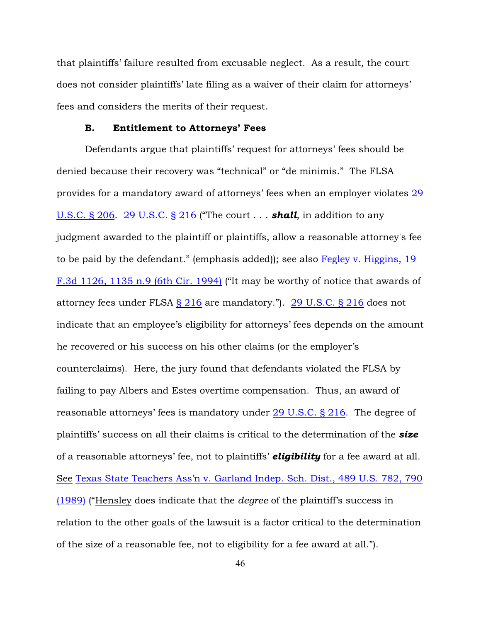that plaintiffs' failure resulted from excusable neglect. As a result, the court does not consider plaintiffs' late filing as a waiver of their claim for attorneys' fees and considers the merits of their request.

#### B. Entitlement to Attorneys' Fees

Defendants argue that plaintiffs' request for attorneys' fees should be denied because their recovery was "technical" or "de minimis." The FLSA provides for a mandatory award of attorneys' fees when an employer violates [29](http://www.westlaw.com/find/default.wl?rs=ap2.0&ifm=NotSet&forceto=web2.westlaw.com&fn=_top&findtype=L&ft=L&docname=29USCAS206&db=1000546&vr=2.0&rp=%2ffind%2fdefault.wl&wbtoolsId=29USCAS206&HistoryType=F) [U.S.C. § 206](http://www.westlaw.com/find/default.wl?rs=ap2.0&ifm=NotSet&forceto=web2.westlaw.com&fn=_top&findtype=L&ft=L&docname=29USCAS206&db=1000546&vr=2.0&rp=%2ffind%2fdefault.wl&wbtoolsId=29USCAS206&HistoryType=F). [29 U.S.C. § 216](http://www.westlaw.com/find/default.wl?rs=ap2.0&ifm=NotSet&forceto=web2.westlaw.com&fn=_top&findtype=L&ft=L&docname=29USCAS216&db=1000546&vr=2.0&rp=%2ffind%2fdefault.wl&wbtoolsId=29USCAS216&HistoryType=F) ("The court . . . *shall*, in addition to any judgment awarded to the plaintiff or plaintiffs, allow a reasonable attorney's fee to be paid by the defendant." (emphasis added)); see also [Fegley v. Higgins, 19](http://www.westlaw.com/find/default.wl?rs=ap2.0&ifm=NotSet&forceto=web2.westlaw.com&fn=_top&serialnum=1994092540&ft=Y&findtype=Y&db=0000506&vr=2.0&rp=%2ffind%2fdefault.wl&wbtoolsId=1994092540&HistoryType=F) [F.3d 1126, 1135 n.9 \(6th Cir. 1994\)](http://www.westlaw.com/find/default.wl?rs=ap2.0&ifm=NotSet&forceto=web2.westlaw.com&fn=_top&serialnum=1994092540&ft=Y&findtype=Y&db=0000506&vr=2.0&rp=%2ffind%2fdefault.wl&wbtoolsId=1994092540&HistoryType=F) ("It may be worthy of notice that awards of attorney fees under FLSA [§ 216](http://www.westlaw.com/find/default.wl?rs=ap2.0&ifm=NotSet&forceto=web2.westlaw.com&fn=_top&findtype=L&ft=L&docname=29USCAS216&db=1000546&vr=2.0&rp=%2ffind%2fdefault.wl&wbtoolsId=29USCAS216&HistoryType=F) are mandatory."). [29 U.S.C. § 216](http://www.westlaw.com/find/default.wl?rs=ap2.0&ifm=NotSet&forceto=web2.westlaw.com&fn=_top&findtype=L&ft=L&docname=29USCAS216&db=1000546&vr=2.0&rp=%2ffind%2fdefault.wl&wbtoolsId=29USCAS216&HistoryType=F) does not indicate that an employee's eligibility for attorneys' fees depends on the amount he recovered or his success on his other claims (or the employer's counterclaims). Here, the jury found that defendants violated the FLSA by failing to pay Albers and Estes overtime compensation. Thus, an award of reasonable attorneys' fees is mandatory under [29 U.S.C. § 216](http://www.westlaw.com/find/default.wl?rs=ap2.0&ifm=NotSet&forceto=web2.westlaw.com&fn=_top&findtype=L&ft=L&docname=29USCAS216&db=1000546&vr=2.0&rp=%2ffind%2fdefault.wl&wbtoolsId=29USCAS216&HistoryType=F). The degree of plaintiffs' success on all their claims is critical to the determination of the *size* of a reasonable attorneys' fee, not to plaintiffs' *eligibility* for a fee award at all. See [Texas State Teachers Ass'n v. Garland Indep. Sch. Dist., 489 U.S. 782, 790](http://www.westlaw.com/find/default.wl?rs=ap2.0&ifm=NotSet&forceto=web2.westlaw.com&fn=_top&serialnum=1989045883&ft=Y&findtype=Y&db=0000780&vr=2.0&rp=%2ffind%2fdefault.wl&wbtoolsId=1989045883&HistoryType=F) [\(1989\)](http://www.westlaw.com/find/default.wl?rs=ap2.0&ifm=NotSet&forceto=web2.westlaw.com&fn=_top&serialnum=1989045883&ft=Y&findtype=Y&db=0000780&vr=2.0&rp=%2ffind%2fdefault.wl&wbtoolsId=1989045883&HistoryType=F) ("Hensley does indicate that the *degree* of the plaintiff's success in relation to the other goals of the lawsuit is a factor critical to the determination of the size of a reasonable fee, not to eligibility for a fee award at all.").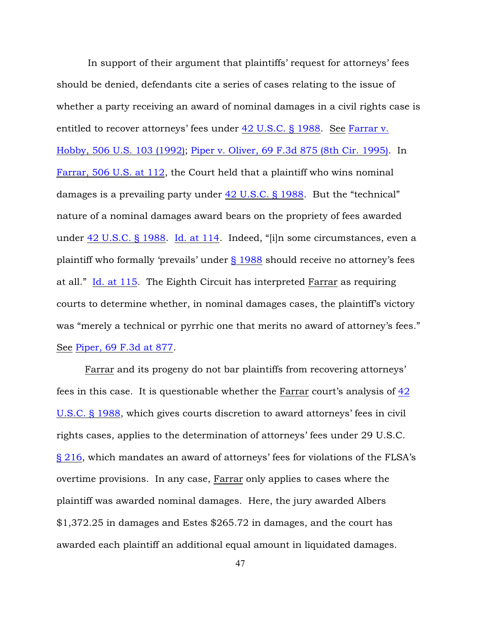In support of their argument that plaintiffs' request for attorneys' fees should be denied, defendants cite a series of cases relating to the issue of whether a party receiving an award of nominal damages in a civil rights case is entitled to recover attorneys' fees under [42 U.S.C. § 1988](http://www.westlaw.com/find/default.wl?rs=ap2.0&ifm=NotSet&forceto=web2.westlaw.com&fn=_top&findtype=L&ft=L&docname=42USCAS1988&db=1000546&vr=2.0&rp=%2ffind%2fdefault.wl&wbtoolsId=42USCAS1988&HistoryType=F). See [Farrar v.](http://www.westlaw.com/find/default.wl?rs=ap2.0&ifm=NotSet&forceto=web2.westlaw.com&fn=_top&serialnum=1992213087&ft=Y&findtype=Y&db=0000780&vr=2.0&rp=%2ffind%2fdefault.wl&wbtoolsId=1992213087&HistoryType=F) [Hobby, 506 U.S. 103 \(1992\)](http://www.westlaw.com/find/default.wl?rs=ap2.0&ifm=NotSet&forceto=web2.westlaw.com&fn=_top&serialnum=1992213087&ft=Y&findtype=Y&db=0000780&vr=2.0&rp=%2ffind%2fdefault.wl&wbtoolsId=1992213087&HistoryType=F); [Piper v. Oliver, 69 F.3d 875 \(8th Cir. 1995\)](http://www.westlaw.com/find/default.wl?rs=ap2.0&ifm=NotSet&forceto=web2.westlaw.com&fn=_top&serialnum=1995222921&ft=Y&findtype=Y&db=0000506&vr=2.0&rp=%2ffind%2fdefault.wl&wbtoolsId=1995222921&HistoryType=F). In [Farrar, 506 U.S. at 112](http://www.westlaw.com/find/default.wl?rs=ap2.0&ifm=NotSet&forceto=web2.westlaw.com&fn=_top&serialnum=1992213087&ft=Y&findtype=Y&db=0000780&vr=2.0&rp=%2ffind%2fdefault.wl&wbtoolsId=1992213087&HistoryType=F), the Court held that a plaintiff who wins nominal damages is a prevailing party under [42 U.S.C. § 1988](http://www.westlaw.com/find/default.wl?rs=ap2.0&ifm=NotSet&forceto=web2.westlaw.com&fn=_top&findtype=L&ft=L&docname=42USCAS1988&db=1000546&vr=2.0&rp=%2ffind%2fdefault.wl&wbtoolsId=42USCAS1988&HistoryType=F). But the "technical" nature of a nominal damages award bears on the propriety of fees awarded under [42 U.S.C. § 1988](http://www.westlaw.com/find/default.wl?rs=ap2.0&ifm=NotSet&forceto=web2.westlaw.com&fn=_top&findtype=L&ft=L&docname=42USCAS1988&db=1000546&vr=2.0&rp=%2ffind%2fdefault.wl&wbtoolsId=42USCAS1988&HistoryType=F). [Id. at 114](http://www.westlaw.com/find/default.wl?rs=ap2.0&ifm=NotSet&forceto=web2.westlaw.com&fn=_top&serialnum=1992213087&ft=Y&findtype=Y&db=0000780&vr=2.0&rp=%2ffind%2fdefault.wl&wbtoolsId=1992213087&HistoryType=F). Indeed, "[i]n some circumstances, even a plaintiff who formally 'prevails' under [§ 1988](http://www.westlaw.com/find/default.wl?rs=ap2.0&ifm=NotSet&forceto=web2.westlaw.com&fn=_top&findtype=L&ft=L&docname=42USCAS1988&db=1000546&vr=2.0&rp=%2ffind%2fdefault.wl&wbtoolsId=42USCAS1988&HistoryType=F) should receive no attorney's fees at all." [Id. at 115](http://www.westlaw.com/find/default.wl?rs=ap2.0&ifm=NotSet&forceto=web2.westlaw.com&fn=_top&serialnum=1992213087&ft=Y&findtype=Y&db=0000780&vr=2.0&rp=%2ffind%2fdefault.wl&wbtoolsId=1992213087&HistoryType=F). The Eighth Circuit has interpreted Farrar as requiring courts to determine whether, in nominal damages cases, the plaintiff's victory was "merely a technical or pyrrhic one that merits no award of attorney's fees." See [Piper, 69 F.3d at 877](http://www.westlaw.com/find/default.wl?rs=ap2.0&ifm=NotSet&forceto=web2.westlaw.com&fn=_top&serialnum=1995222921&ft=Y&findtype=Y&db=0000506&vr=2.0&rp=%2ffind%2fdefault.wl&wbtoolsId=1995222921&HistoryType=F).

Farrar and its progeny do not bar plaintiffs from recovering attorneys' fees in this case. It is questionable whether the Farrar court's analysis of [42](http://www.westlaw.com/find/default.wl?forceto=web2.westlaw.com&ifm=NotSet&rp=%2ffind%2fdefault.wl&rs=ap2.0&db=1000546&findtype=L&fn=_top&docname=42USCAS1988&vr=2.0&ft=L&wbtoolsId=42USCAS1988&HistoryType=F) [U.S.C. § 1988](http://www.westlaw.com/find/default.wl?forceto=web2.westlaw.com&ifm=NotSet&rp=%2ffind%2fdefault.wl&rs=ap2.0&db=1000546&findtype=L&fn=_top&docname=42USCAS1988&vr=2.0&ft=L&wbtoolsId=42USCAS1988&HistoryType=F), which gives courts discretion to award attorneys' fees in civil rights cases, applies to the determination of attorneys' fees under 29 U.S.C. [§ 216](http://www.westlaw.com/find/default.wl?forceto=web2.westlaw.com&ifm=NotSet&rp=%2ffind%2fdefault.wl&rs=ap2.0&db=1000546&findtype=L&fn=_top&docname=29USCAS216&vr=2.0&ft=L&wbtoolsId=29USCAS216&HistoryType=F), which mandates an award of attorneys' fees for violations of the FLSA's overtime provisions. In any case, Farrar only applies to cases where the plaintiff was awarded nominal damages. Here, the jury awarded Albers \$1,372.25 in damages and Estes \$265.72 in damages, and the court has awarded each plaintiff an additional equal amount in liquidated damages.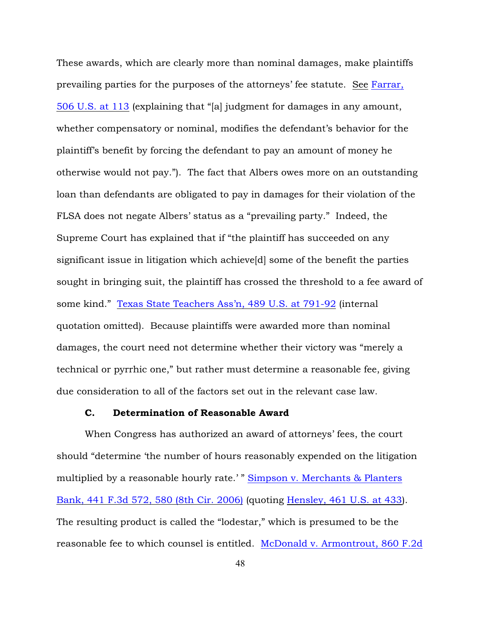These awards, which are clearly more than nominal damages, make plaintiffs prevailing parties for the purposes of the attorneys' fee statute. See [Farrar,](http://www.westlaw.com/find/default.wl?forceto=web2.westlaw.com&ifm=NotSet&rp=%2ffind%2fdefault.wl&rs=ap2.0&serialnum=1992213087&findtype=Y&fn=_top&vr=2.0&ft=Y&db=0000780&wbtoolsId=1992213087&HistoryType=F) [506 U.S. at 113](http://www.westlaw.com/find/default.wl?forceto=web2.westlaw.com&ifm=NotSet&rp=%2ffind%2fdefault.wl&rs=ap2.0&serialnum=1992213087&findtype=Y&fn=_top&vr=2.0&ft=Y&db=0000780&wbtoolsId=1992213087&HistoryType=F) (explaining that "[a] judgment for damages in any amount, whether compensatory or nominal, modifies the defendant's behavior for the plaintiff's benefit by forcing the defendant to pay an amount of money he otherwise would not pay."). The fact that Albers owes more on an outstanding loan than defendants are obligated to pay in damages for their violation of the FLSA does not negate Albers' status as a "prevailing party." Indeed, the Supreme Court has explained that if "the plaintiff has succeeded on any significant issue in litigation which achieve[d] some of the benefit the parties sought in bringing suit, the plaintiff has crossed the threshold to a fee award of some kind." [Texas State Teachers Ass'n, 489 U.S. at 791-92](http://www.westlaw.com/find/default.wl?forceto=web2.westlaw.com&ifm=NotSet&rp=%2ffind%2fdefault.wl&rs=ap2.0&serialnum=1989045883&findtype=Y&fn=_top&vr=2.0&ft=Y&db=0000780&wbtoolsId=1989045883&HistoryType=F) (internal quotation omitted). Because plaintiffs were awarded more than nominal damages, the court need not determine whether their victory was "merely a technical or pyrrhic one," but rather must determine a reasonable fee, giving due consideration to all of the factors set out in the relevant case law.

### C. Determination of Reasonable Award

When Congress has authorized an award of attorneys' fees, the court should "determine 'the number of hours reasonably expended on the litigation multiplied by a reasonable hourly rate.' " [Simpson v. Merchants & Planters](http://www.westlaw.com/find/default.wl?forceto=web2.westlaw.com&ifm=NotSet&rp=%2ffind%2fdefault.wl&rs=ap2.0&serialnum=2008721056&findtype=Y&fn=_top&vr=2.0&ft=Y&db=0000506&wbtoolsId=2008721056&HistoryType=F) [Bank, 441 F.3d 572, 580 \(8th Cir. 2006\)](http://www.westlaw.com/find/default.wl?forceto=web2.westlaw.com&ifm=NotSet&rp=%2ffind%2fdefault.wl&rs=ap2.0&serialnum=2008721056&findtype=Y&fn=_top&vr=2.0&ft=Y&db=0000506&wbtoolsId=2008721056&HistoryType=F) (quoting [Hensley, 461 U.S. at 433](http://www.westlaw.com/find/default.wl?forceto=web2.westlaw.com&ifm=NotSet&rp=%2ffind%2fdefault.wl&rs=ap2.0&serialnum=1983122905&findtype=Y&fn=_top&vr=2.0&ft=Y&db=0000780&wbtoolsId=1983122905&HistoryType=F)). The resulting product is called the "lodestar," which is presumed to be the reasonable fee to which counsel is entitled. [McDonald v. Armontrout, 860 F.2d](http://www.westlaw.com/find/default.wl?rs=ap2.0&ifm=NotSet&forceto=web2.westlaw.com&fn=_top&serialnum=1988143997&ft=Y&findtype=Y&db=0000350&vr=2.0&rp=%2ffind%2fdefault.wl&wbtoolsId=1988143997&HistoryType=F)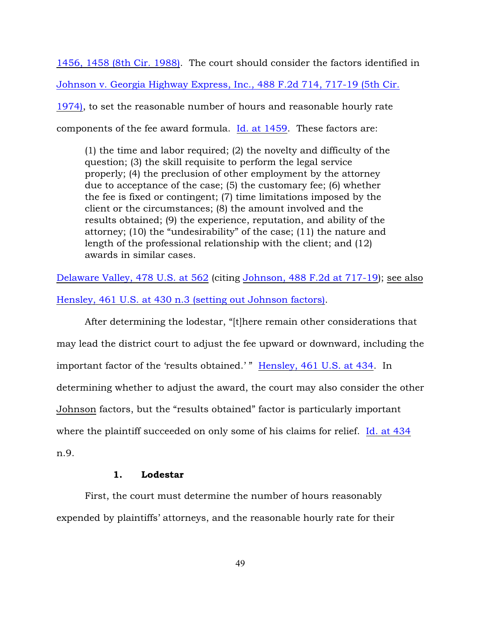1456, 1458 (8th Cir. 1988). The court should consider the factors identified in [Johnson v. Georgia Highway Express, Inc., 488 F.2d 714, 717-19 \(5th Cir.](http://www.westlaw.com/find/default.wl?rs=ap2.0&ifm=NotSet&forceto=web2.westlaw.com&fn=_top&serialnum=1974108744&ft=Y&findtype=Y&db=0000350&vr=2.0&rp=%2ffind%2fdefault.wl&wbtoolsId=1974108744&HistoryType=F) [1974\)](http://www.westlaw.com/find/default.wl?rs=ap2.0&ifm=NotSet&forceto=web2.westlaw.com&fn=_top&serialnum=1974108744&ft=Y&findtype=Y&db=0000350&vr=2.0&rp=%2ffind%2fdefault.wl&wbtoolsId=1974108744&HistoryType=F), to set the reasonable number of hours and reasonable hourly rate components of the fee award formula. [Id. at 1459](http://www.westlaw.com/find/default.wl?rs=ap2.0&ifm=NotSet&forceto=web2.westlaw.com&fn=_top&serialnum=1988143997&ft=Y&findtype=Y&db=0000350&vr=2.0&rp=%2ffind%2fdefault.wl&wbtoolsId=1988143997&HistoryType=F). These factors are:

(1) the time and labor required; (2) the novelty and difficulty of the question; (3) the skill requisite to perform the legal service properly; (4) the preclusion of other employment by the attorney due to acceptance of the case; (5) the customary fee; (6) whether the fee is fixed or contingent; (7) time limitations imposed by the client or the circumstances; (8) the amount involved and the results obtained; (9) the experience, reputation, and ability of the attorney; (10) the "undesirability" of the case; (11) the nature and length of the professional relationship with the client; and (12) awards in similar cases.

[Delaware Valley, 478 U.S. at 562](http://www.westlaw.com/find/default.wl?rs=ap2.0&ifm=NotSet&forceto=web2.westlaw.com&fn=_top&serialnum=1986134011&ft=Y&findtype=Y&db=0000780&vr=2.0&rp=%2ffind%2fdefault.wl&wbtoolsId=1986134011&HistoryType=F) (citing [Johnson, 488 F.2d at 717-19](http://www.westlaw.com/find/default.wl?rs=ap2.0&ifm=NotSet&forceto=web2.westlaw.com&fn=_top&serialnum=1974108744&ft=Y&findtype=Y&db=0000350&vr=2.0&rp=%2ffind%2fdefault.wl&wbtoolsId=1974108744&HistoryType=F)); see also [Hensley, 461 U.S. at 430 n.3 \(setting out Johnson factors\)](http://www.westlaw.com/find/default.wl?rs=ap2.0&ifm=NotSet&forceto=web2.westlaw.com&fn=_top&serialnum=1983122905&ft=Y&findtype=Y&db=0000780&vr=2.0&rp=%2ffind%2fdefault.wl&wbtoolsId=1983122905&HistoryType=F).

After determining the lodestar, "[t]here remain other considerations that may lead the district court to adjust the fee upward or downward, including the important factor of the 'results obtained.' " [Hensley, 461 U.S. at 434](http://www.westlaw.com/find/default.wl?rs=ap2.0&ifm=NotSet&forceto=web2.westlaw.com&fn=_top&serialnum=1983122905&ft=Y&findtype=Y&db=0000780&vr=2.0&rp=%2ffind%2fdefault.wl&wbtoolsId=1983122905&HistoryType=F). In determining whether to adjust the award, the court may also consider the other Johnson factors, but the "results obtained" factor is particularly important where the plaintiff succeeded on only some of his claims for relief. [Id. at 434](http://www.westlaw.com/find/default.wl?rs=ap2.0&ifm=NotSet&forceto=web2.westlaw.com&fn=_top&serialnum=1983122905&ft=Y&findtype=Y&db=0000780&vr=2.0&rp=%2ffind%2fdefault.wl&wbtoolsId=1983122905&HistoryType=F) n.9.

## 1. Lodestar

First, the court must determine the number of hours reasonably expended by plaintiffs' attorneys, and the reasonable hourly rate for their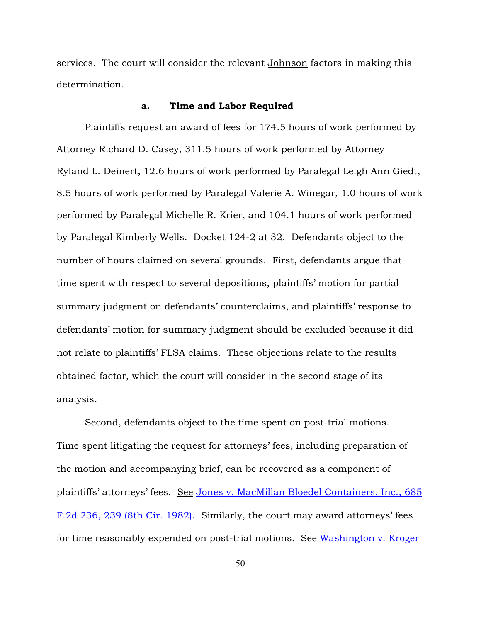services. The court will consider the relevant Johnson factors in making this determination.

#### a. Time and Labor Required

Plaintiffs request an award of fees for 174.5 hours of work performed by Attorney Richard D. Casey, 311.5 hours of work performed by Attorney Ryland L. Deinert, 12.6 hours of work performed by Paralegal Leigh Ann Giedt, 8.5 hours of work performed by Paralegal Valerie A. Winegar, 1.0 hours of work performed by Paralegal Michelle R. Krier, and 104.1 hours of work performed by Paralegal Kimberly Wells. Docket 124-2 at 32. Defendants object to the number of hours claimed on several grounds. First, defendants argue that time spent with respect to several depositions, plaintiffs' motion for partial summary judgment on defendants' counterclaims, and plaintiffs' response to defendants' motion for summary judgment should be excluded because it did not relate to plaintiffs' FLSA claims. These objections relate to the results obtained factor, which the court will consider in the second stage of its analysis.

Second, defendants object to the time spent on post-trial motions. Time spent litigating the request for attorneys' fees, including preparation of the motion and accompanying brief, can be recovered as a component of plaintiffs' attorneys' fees. See [Jones v. MacMillan Bloedel Containers, Inc., 685](http://www.westlaw.com/find/default.wl?rs=ap2.0&ifm=NotSet&forceto=web2.westlaw.com&fn=_top&serialnum=1982137507&ft=Y&findtype=Y&db=0000350&vr=2.0&rp=%2ffind%2fdefault.wl&wbtoolsId=1982137507&HistoryType=F) [F.2d 236, 239 \(8th Cir. 1982\)](http://www.westlaw.com/find/default.wl?rs=ap2.0&ifm=NotSet&forceto=web2.westlaw.com&fn=_top&serialnum=1982137507&ft=Y&findtype=Y&db=0000350&vr=2.0&rp=%2ffind%2fdefault.wl&wbtoolsId=1982137507&HistoryType=F). Similarly, the court may award attorneys' fees for time reasonably expended on post-trial motions. See [Washington v. Kroger](http://www.westlaw.com/find/default.wl?rs=ap2.0&ifm=NotSet&forceto=web2.westlaw.com&fn=_top&serialnum=1982106084&ft=Y&findtype=Y&db=0000350&vr=2.0&rp=%2ffind%2fdefault.wl&wbtoolsId=1982106084&HistoryType=F)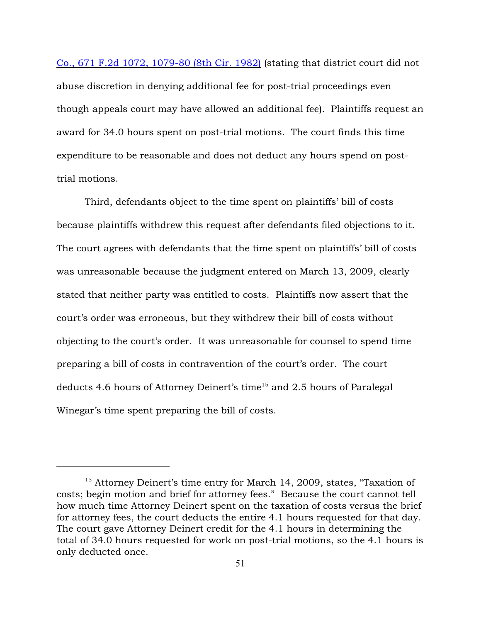Co., 671 F.2d 1072, 1079-80 (8th Cir. 1982) (stating that district court did not abuse discretion in denying additional fee for post-trial proceedings even though appeals court may have allowed an additional fee). Plaintiffs request an award for 34.0 hours spent on post-trial motions. The court finds this time expenditure to be reasonable and does not deduct any hours spend on posttrial motions.

Third, defendants object to the time spent on plaintiffs' bill of costs because plaintiffs withdrew this request after defendants filed objections to it. The court agrees with defendants that the time spent on plaintiffs' bill of costs was unreasonable because the judgment entered on March 13, 2009, clearly stated that neither party was entitled to costs. Plaintiffs now assert that the court's order was erroneous, but they withdrew their bill of costs without objecting to the court's order. It was unreasonable for counsel to spend time preparing a bill of costs in contravention of the court's order. The court deducts 4.6 hours of Attorney Deinert's time<sup>15</sup> and 2.5 hours of Paralegal Winegar's time spent preparing the bill of costs.

 $15$  Attorney Deinert's time entry for March 14, 2009, states, "Taxation of costs; begin motion and brief for attorney fees." Because the court cannot tell how much time Attorney Deinert spent on the taxation of costs versus the brief for attorney fees, the court deducts the entire 4.1 hours requested for that day. The court gave Attorney Deinert credit for the 4.1 hours in determining the total of 34.0 hours requested for work on post-trial motions, so the 4.1 hours is only deducted once.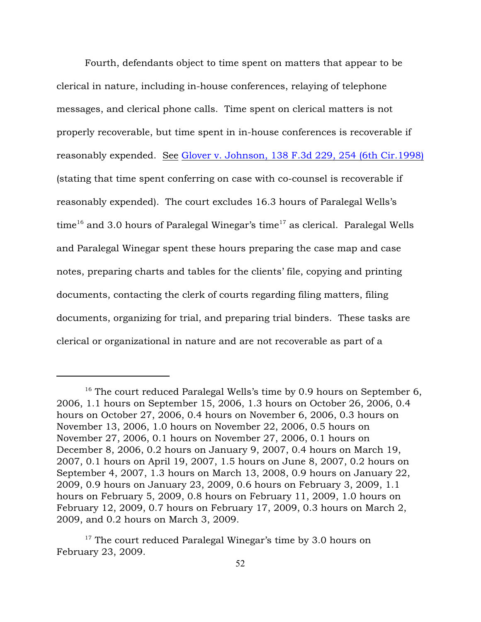Fourth, defendants object to time spent on matters that appear to be clerical in nature, including in-house conferences, relaying of telephone messages, and clerical phone calls. Time spent on clerical matters is not properly recoverable, but time spent in in-house conferences is recoverable if reasonably expended. See [Glover v. Johnson, 138 F.3d 229, 254 \(6th Cir.1998\)](http://www.westlaw.com/find/default.wl?rs=ap2.0&ifm=NotSet&forceto=web2.westlaw.com&fn=_top&serialnum=1998060799&ft=Y&findtype=Y&db=0000506&vr=2.0&rp=%2ffind%2fdefault.wl&wbtoolsId=1998060799&HistoryType=F) (stating that time spent conferring on case with co-counsel is recoverable if reasonably expended). The court excludes 16.3 hours of Paralegal Wells's time<sup>16</sup> and 3.0 hours of Paralegal Winegar's time<sup>17</sup> as clerical. Paralegal Wells and Paralegal Winegar spent these hours preparing the case map and case notes, preparing charts and tables for the clients' file, copying and printing documents, contacting the clerk of courts regarding filing matters, filing documents, organizing for trial, and preparing trial binders. These tasks are clerical or organizational in nature and are not recoverable as part of a

<sup>&</sup>lt;sup>16</sup> The court reduced Paralegal Wells's time by 0.9 hours on September 6, 2006, 1.1 hours on September 15, 2006, 1.3 hours on October 26, 2006, 0.4 hours on October 27, 2006, 0.4 hours on November 6, 2006, 0.3 hours on November 13, 2006, 1.0 hours on November 22, 2006, 0.5 hours on November 27, 2006, 0.1 hours on November 27, 2006, 0.1 hours on December 8, 2006, 0.2 hours on January 9, 2007, 0.4 hours on March 19, 2007, 0.1 hours on April 19, 2007, 1.5 hours on June 8, 2007, 0.2 hours on September 4, 2007, 1.3 hours on March 13, 2008, 0.9 hours on January 22, 2009, 0.9 hours on January 23, 2009, 0.6 hours on February 3, 2009, 1.1 hours on February 5, 2009, 0.8 hours on February 11, 2009, 1.0 hours on February 12, 2009, 0.7 hours on February 17, 2009, 0.3 hours on March 2, 2009, and 0.2 hours on March 3, 2009.

 $17$  The court reduced Paralegal Winegar's time by 3.0 hours on February 23, 2009.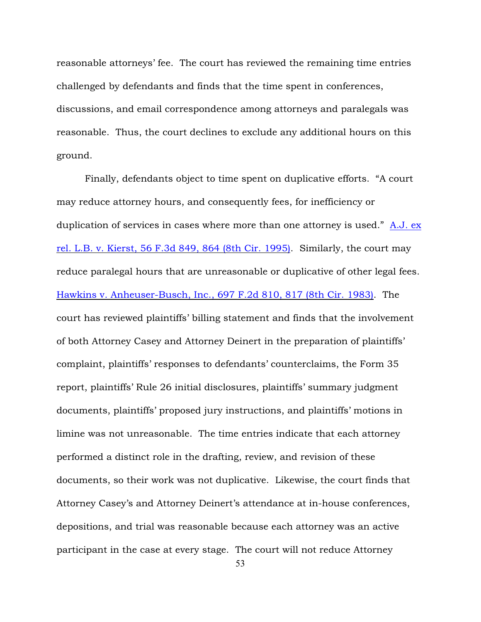reasonable attorneys' fee. The court has reviewed the remaining time entries challenged by defendants and finds that the time spent in conferences, discussions, and email correspondence among attorneys and paralegals was reasonable. Thus, the court declines to exclude any additional hours on this ground.

Finally, defendants object to time spent on duplicative efforts. "A court may reduce attorney hours, and consequently fees, for inefficiency or duplication of services in cases where more than one attorney is used." [A.J. ex](http://www.westlaw.com/find/default.wl?rs=ap2.0&ifm=NotSet&forceto=web2.westlaw.com&fn=_top&serialnum=1995119358&ft=Y&findtype=Y&db=0000506&vr=2.0&rp=%2ffind%2fdefault.wl&wbtoolsId=1995119358&HistoryType=F) [rel. L.B. v. Kierst, 56 F.3d 849, 864 \(8th Cir. 1995\)](http://www.westlaw.com/find/default.wl?rs=ap2.0&ifm=NotSet&forceto=web2.westlaw.com&fn=_top&serialnum=1995119358&ft=Y&findtype=Y&db=0000506&vr=2.0&rp=%2ffind%2fdefault.wl&wbtoolsId=1995119358&HistoryType=F). Similarly, the court may reduce paralegal hours that are unreasonable or duplicative of other legal fees. [Hawkins v. Anheuser-Busch, Inc., 697 F.2d 810, 817 \(8th Cir. 1983\)](http://www.westlaw.com/find/default.wl?rs=ap2.0&ifm=NotSet&forceto=web2.westlaw.com&fn=_top&serialnum=1983101396&ft=Y&findtype=Y&db=0000350&vr=2.0&rp=%2ffind%2fdefault.wl&wbtoolsId=1983101396&HistoryType=F). The court has reviewed plaintiffs' billing statement and finds that the involvement of both Attorney Casey and Attorney Deinert in the preparation of plaintiffs' complaint, plaintiffs' responses to defendants' counterclaims, the Form 35 report, plaintiffs' Rule 26 initial disclosures, plaintiffs' summary judgment documents, plaintiffs' proposed jury instructions, and plaintiffs' motions in limine was not unreasonable. The time entries indicate that each attorney performed a distinct role in the drafting, review, and revision of these documents, so their work was not duplicative. Likewise, the court finds that Attorney Casey's and Attorney Deinert's attendance at in-house conferences, depositions, and trial was reasonable because each attorney was an active participant in the case at every stage. The court will not reduce Attorney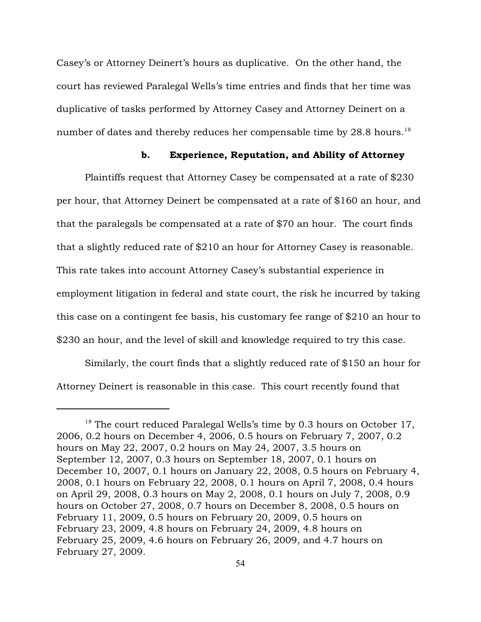Casey's or Attorney Deinert's hours as duplicative. On the other hand, the court has reviewed Paralegal Wells's time entries and finds that her time was duplicative of tasks performed by Attorney Casey and Attorney Deinert on a number of dates and thereby reduces her compensable time by  $28.8$  hours.<sup>18</sup>

### b. Experience, Reputation, and Ability of Attorney

Plaintiffs request that Attorney Casey be compensated at a rate of \$230 per hour, that Attorney Deinert be compensated at a rate of \$160 an hour, and that the paralegals be compensated at a rate of \$70 an hour. The court finds that a slightly reduced rate of \$210 an hour for Attorney Casey is reasonable. This rate takes into account Attorney Casey's substantial experience in employment litigation in federal and state court, the risk he incurred by taking this case on a contingent fee basis, his customary fee range of \$210 an hour to \$230 an hour, and the level of skill and knowledge required to try this case.

Similarly, the court finds that a slightly reduced rate of \$150 an hour for Attorney Deinert is reasonable in this case. This court recently found that

 $18$  The court reduced Paralegal Wells's time by 0.3 hours on October 17, 2006, 0.2 hours on December 4, 2006, 0.5 hours on February 7, 2007, 0.2 hours on May 22, 2007, 0.2 hours on May 24, 2007, 3.5 hours on September 12, 2007, 0.3 hours on September 18, 2007, 0.1 hours on December 10, 2007, 0.1 hours on January 22, 2008, 0.5 hours on February 4, 2008, 0.1 hours on February 22, 2008, 0.1 hours on April 7, 2008, 0.4 hours on April 29, 2008, 0.3 hours on May 2, 2008, 0.1 hours on July 7, 2008, 0.9 hours on October 27, 2008, 0.7 hours on December 8, 2008, 0.5 hours on February 11, 2009, 0.5 hours on February 20, 2009, 0.5 hours on February 23, 2009, 4.8 hours on February 24, 2009, 4.8 hours on February 25, 2009, 4.6 hours on February 26, 2009, and 4.7 hours on February 27, 2009.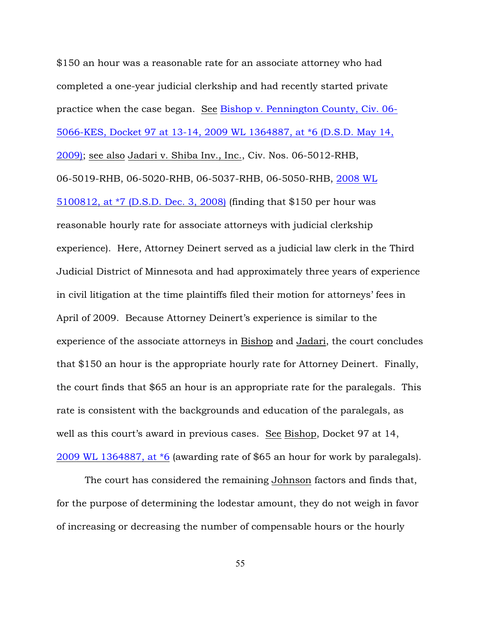\$150 an hour was a reasonable rate for an associate attorney who had completed a one-year judicial clerkship and had recently started private practice when the case began. See [Bishop v. Pennington County, Civ. 06-](http://www.westlaw.com/find/default.wl?rs=ap2.0&ifm=NotSet&forceto=web2.westlaw.com&fn=_top&serialnum=2018849787&ft=Y&findtype=Y&db=0000999&vr=2.0&rp=%2ffind%2fdefault.wl&wbtoolsId=2018849787&HistoryType=F) [5066-KES, Docket 97 at 13-14, 2009 WL 1364887, at \\*6 \(D.S.D. May 14,](http://www.westlaw.com/find/default.wl?rs=ap2.0&ifm=NotSet&forceto=web2.westlaw.com&fn=_top&serialnum=2018849787&ft=Y&findtype=Y&db=0000999&vr=2.0&rp=%2ffind%2fdefault.wl&wbtoolsId=2018849787&HistoryType=F) [2009\)](http://www.westlaw.com/find/default.wl?rs=ap2.0&ifm=NotSet&forceto=web2.westlaw.com&fn=_top&serialnum=2018849787&ft=Y&findtype=Y&db=0000999&vr=2.0&rp=%2ffind%2fdefault.wl&wbtoolsId=2018849787&HistoryType=F); see also Jadari v. Shiba Inv., Inc., Civ. Nos. 06-5012-RHB, 06-5019-RHB, 06-5020-RHB, 06-5037-RHB, 06-5050-RHB, [2008 WL](http://www.westlaw.com/find/default.wl?rs=ap2.0&ifm=NotSet&forceto=web2.westlaw.com&fn=_top&serialnum=2017590269&ft=Y&findtype=Y&db=0000999&vr=2.0&rp=%2ffind%2fdefault.wl&wbtoolsId=2017590269&HistoryType=F) [5100812, at \\*7 \(D.S.D. Dec. 3, 2008\)](http://www.westlaw.com/find/default.wl?rs=ap2.0&ifm=NotSet&forceto=web2.westlaw.com&fn=_top&serialnum=2017590269&ft=Y&findtype=Y&db=0000999&vr=2.0&rp=%2ffind%2fdefault.wl&wbtoolsId=2017590269&HistoryType=F) (finding that \$150 per hour was reasonable hourly rate for associate attorneys with judicial clerkship experience). Here, Attorney Deinert served as a judicial law clerk in the Third Judicial District of Minnesota and had approximately three years of experience in civil litigation at the time plaintiffs filed their motion for attorneys' fees in April of 2009. Because Attorney Deinert's experience is similar to the experience of the associate attorneys in Bishop and Jadari, the court concludes that \$150 an hour is the appropriate hourly rate for Attorney Deinert. Finally, the court finds that \$65 an hour is an appropriate rate for the paralegals. This rate is consistent with the backgrounds and education of the paralegals, as well as this court's award in previous cases. See Bishop, Docket 97 at 14, [2009 WL 1364887, at \\*6](http://www.westlaw.com/find/default.wl?rs=ap2.0&ifm=NotSet&forceto=web2.westlaw.com&fn=_top&serialnum=2018849787&ft=Y&findtype=Y&db=0000999&vr=2.0&rp=%2ffind%2fdefault.wl&wbtoolsId=2018849787&HistoryType=F) (awarding rate of \$65 an hour for work by paralegals).

The court has considered the remaining Johnson factors and finds that, for the purpose of determining the lodestar amount, they do not weigh in favor of increasing or decreasing the number of compensable hours or the hourly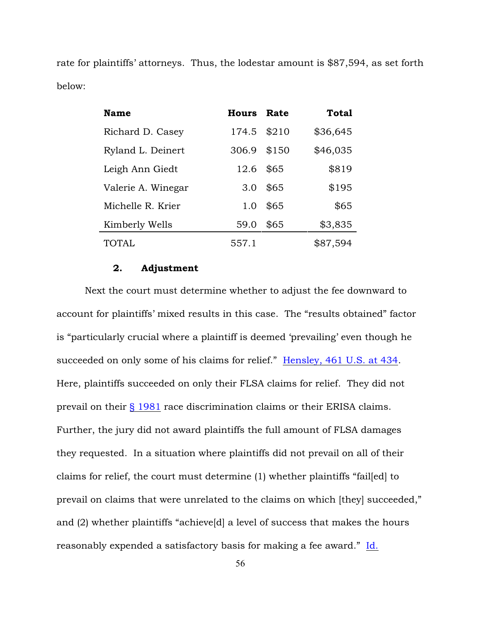rate for plaintiffs' attorneys. Thus, the lodestar amount is \$87,594, as set forth below:

| <b>Name</b>        | Hours Rate |       | Total    |
|--------------------|------------|-------|----------|
| Richard D. Casey   | 174.5      | \$210 | \$36,645 |
| Ryland L. Deinert  | 306.9      | \$150 | \$46,035 |
| Leigh Ann Giedt    | 12.6       | \$65  | \$819    |
| Valerie A. Winegar | 3.0        | \$65  | \$195    |
| Michelle R. Krier  | 1.0        | \$65  | \$65     |
| Kimberly Wells     | 59.0       | \$65  | \$3,835  |
| TOTAL              | 557.1      |       | \$87,594 |

## 2. Adjustment

Next the court must determine whether to adjust the fee downward to account for plaintiffs' mixed results in this case. The "results obtained" factor is "particularly crucial where a plaintiff is deemed 'prevailing' even though he succeeded on only some of his claims for relief." [Hensley, 461 U.S. at 434](http://www.westlaw.com/find/default.wl?rs=ap2.0&ifm=NotSet&forceto=web2.westlaw.com&fn=_top&serialnum=1983122905&ft=Y&findtype=Y&db=0000780&vr=2.0&rp=%2ffind%2fdefault.wl&wbtoolsId=1983122905&HistoryType=F). Here, plaintiffs succeeded on only their FLSA claims for relief. They did not prevail on their [§ 1981](http://www.westlaw.com/find/default.wl?rs=ap2.0&ifm=NotSet&forceto=web2.westlaw.com&fn=_top&findtype=L&ft=L&docname=42USCAS1981&db=1000546&vr=2.0&rp=%2ffind%2fdefault.wl&wbtoolsId=42USCAS1981&HistoryType=F) race discrimination claims or their ERISA claims. Further, the jury did not award plaintiffs the full amount of FLSA damages they requested. In a situation where plaintiffs did not prevail on all of their claims for relief, the court must determine (1) whether plaintiffs "fail[ed] to prevail on claims that were unrelated to the claims on which [they] succeeded," and (2) whether plaintiffs "achieve[d] a level of success that makes the hours reasonably expended a satisfactory basis for making a fee award." [Id.](http://www.westlaw.com/find/default.wl?rs=ap2.0&ifm=NotSet&forceto=web2.westlaw.com&fn=_top&serialnum=1983122905&ft=Y&findtype=Y&db=0000780&vr=2.0&rp=%2ffind%2fdefault.wl&wbtoolsId=1983122905&HistoryType=F)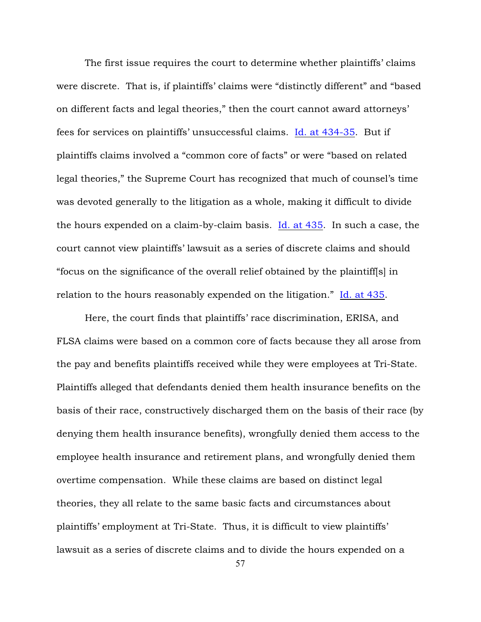The first issue requires the court to determine whether plaintiffs' claims were discrete. That is, if plaintiffs' claims were "distinctly different" and "based on different facts and legal theories," then the court cannot award attorneys' fees for services on plaintiffs' unsuccessful claims. [Id. at 434-35](http://www.westlaw.com/find/default.wl?rs=ap2.0&ifm=NotSet&forceto=web2.westlaw.com&fn=_top&serialnum=1983122905&ft=Y&findtype=Y&db=0000780&vr=2.0&rp=%2ffind%2fdefault.wl&wbtoolsId=1983122905&HistoryType=F). But if plaintiffs claims involved a "common core of facts" or were "based on related legal theories," the Supreme Court has recognized that much of counsel's time was devoted generally to the litigation as a whole, making it difficult to divide the hours expended on a claim-by-claim basis. [Id. at 435](http://www.westlaw.com/find/default.wl?rs=ap2.0&ifm=NotSet&forceto=web2.westlaw.com&fn=_top&serialnum=1983122905&ft=Y&findtype=Y&db=0000780&vr=2.0&rp=%2ffind%2fdefault.wl&wbtoolsId=1983122905&HistoryType=F). In such a case, the court cannot view plaintiffs' lawsuit as a series of discrete claims and should "focus on the significance of the overall relief obtained by the plaintiff[s] in relation to the hours reasonably expended on the litigation." [Id. at 435](http://www.westlaw.com/find/default.wl?rs=ap2.0&ifm=NotSet&forceto=web2.westlaw.com&fn=_top&serialnum=1983122905&ft=Y&findtype=Y&db=0000780&vr=2.0&rp=%2ffind%2fdefault.wl&wbtoolsId=1983122905&HistoryType=F).

Here, the court finds that plaintiffs' race discrimination, ERISA, and FLSA claims were based on a common core of facts because they all arose from the pay and benefits plaintiffs received while they were employees at Tri-State. Plaintiffs alleged that defendants denied them health insurance benefits on the basis of their race, constructively discharged them on the basis of their race (by denying them health insurance benefits), wrongfully denied them access to the employee health insurance and retirement plans, and wrongfully denied them overtime compensation. While these claims are based on distinct legal theories, they all relate to the same basic facts and circumstances about plaintiffs' employment at Tri-State. Thus, it is difficult to view plaintiffs' lawsuit as a series of discrete claims and to divide the hours expended on a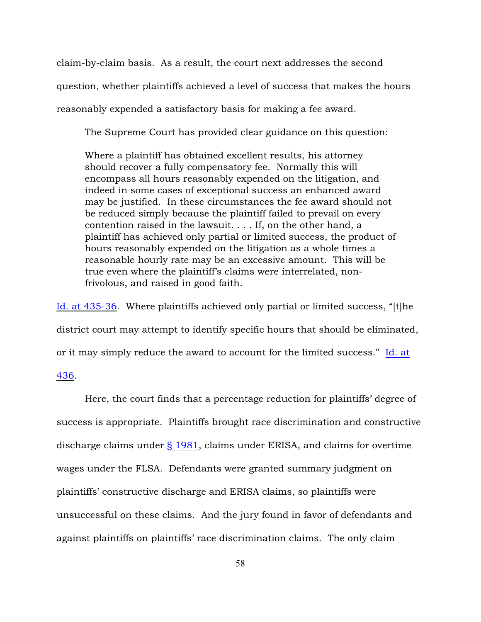claim-by-claim basis. As a result, the court next addresses the second question, whether plaintiffs achieved a level of success that makes the hours reasonably expended a satisfactory basis for making a fee award.

The Supreme Court has provided clear guidance on this question:

Where a plaintiff has obtained excellent results, his attorney should recover a fully compensatory fee. Normally this will encompass all hours reasonably expended on the litigation, and indeed in some cases of exceptional success an enhanced award may be justified. In these circumstances the fee award should not be reduced simply because the plaintiff failed to prevail on every contention raised in the lawsuit. . . . If, on the other hand, a plaintiff has achieved only partial or limited success, the product of hours reasonably expended on the litigation as a whole times a reasonable hourly rate may be an excessive amount. This will be true even where the plaintiff's claims were interrelated, nonfrivolous, and raised in good faith.

[Id. at 435-36](http://www.westlaw.com/find/default.wl?rs=ap2.0&ifm=NotSet&forceto=web2.westlaw.com&fn=_top&serialnum=1983122905&ft=Y&findtype=Y&db=0000780&vr=2.0&rp=%2ffind%2fdefault.wl&wbtoolsId=1983122905&HistoryType=F). Where plaintiffs achieved only partial or limited success, "[t]he district court may attempt to identify specific hours that should be eliminated, or it may simply reduce the award to account for the limited success." [Id. at](http://www.westlaw.com/find/default.wl?rs=ap2.0&ifm=NotSet&forceto=web2.westlaw.com&fn=_top&serialnum=1983122905&ft=Y&findtype=Y&db=0000780&vr=2.0&rp=%2ffind%2fdefault.wl&wbtoolsId=1983122905&HistoryType=F)

## [436](http://www.westlaw.com/find/default.wl?rs=ap2.0&ifm=NotSet&forceto=web2.westlaw.com&fn=_top&serialnum=1983122905&ft=Y&findtype=Y&db=0000780&vr=2.0&rp=%2ffind%2fdefault.wl&wbtoolsId=1983122905&HistoryType=F).

Here, the court finds that a percentage reduction for plaintiffs' degree of success is appropriate. Plaintiffs brought race discrimination and constructive discharge claims under  $\S$  1981, claims under ERISA, and claims for overtime wages under the FLSA. Defendants were granted summary judgment on plaintiffs' constructive discharge and ERISA claims, so plaintiffs were unsuccessful on these claims. And the jury found in favor of defendants and against plaintiffs on plaintiffs' race discrimination claims. The only claim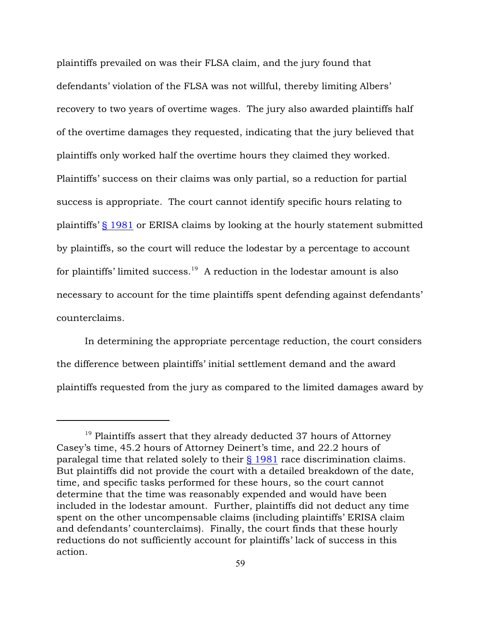plaintiffs prevailed on was their FLSA claim, and the jury found that defendants' violation of the FLSA was not willful, thereby limiting Albers' recovery to two years of overtime wages. The jury also awarded plaintiffs half of the overtime damages they requested, indicating that the jury believed that plaintiffs only worked half the overtime hours they claimed they worked. Plaintiffs' success on their claims was only partial, so a reduction for partial success is appropriate. The court cannot identify specific hours relating to plaintiffs' [§ 1981](http://www.westlaw.com/find/default.wl?rs=ap2.0&ifm=NotSet&forceto=web2.westlaw.com&fn=_top&findtype=L&ft=L&docname=42USCAS1981&db=1000546&vr=2.0&rp=%2ffind%2fdefault.wl&wbtoolsId=42USCAS1981&HistoryType=F) or ERISA claims by looking at the hourly statement submitted by plaintiffs, so the court will reduce the lodestar by a percentage to account for plaintiffs' limited success.<sup>19</sup> A reduction in the lodestar amount is also necessary to account for the time plaintiffs spent defending against defendants' counterclaims.

In determining the appropriate percentage reduction, the court considers the difference between plaintiffs' initial settlement demand and the award plaintiffs requested from the jury as compared to the limited damages award by

 $19$  Plaintiffs assert that they already deducted 37 hours of Attorney Casey's time, 45.2 hours of Attorney Deinert's time, and 22.2 hours of paralegal time that related solely to their [§ 1981](http://www.westlaw.com/find/default.wl?rs=ap2.0&ifm=NotSet&forceto=web2.westlaw.com&fn=_top&findtype=L&ft=L&docname=42USCAS1981&db=1000546&vr=2.0&rp=%2ffind%2fdefault.wl&wbtoolsId=42USCAS1981&HistoryType=F) race discrimination claims. But plaintiffs did not provide the court with a detailed breakdown of the date, time, and specific tasks performed for these hours, so the court cannot determine that the time was reasonably expended and would have been included in the lodestar amount. Further, plaintiffs did not deduct any time spent on the other uncompensable claims (including plaintiffs' ERISA claim and defendants' counterclaims). Finally, the court finds that these hourly reductions do not sufficiently account for plaintiffs' lack of success in this action.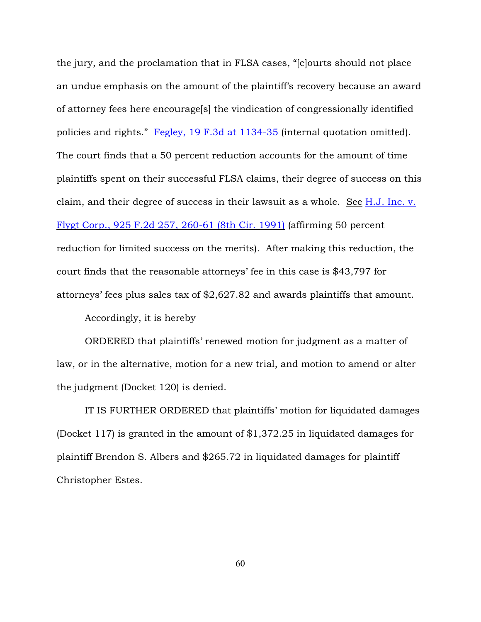the jury, and the proclamation that in FLSA cases, "[c]ourts should not place an undue emphasis on the amount of the plaintiff's recovery because an award of attorney fees here encourage[s] the vindication of congressionally identified policies and rights." [Fegley, 19 F.3d at 1134-35](http://www.westlaw.com/find/default.wl?rs=ap2.0&ifm=NotSet&forceto=web2.westlaw.com&fn=_top&serialnum=1994092540&ft=Y&findtype=Y&db=0000506&vr=2.0&rp=%2ffind%2fdefault.wl&wbtoolsId=1994092540&HistoryType=F) (internal quotation omitted). The court finds that a 50 percent reduction accounts for the amount of time plaintiffs spent on their successful FLSA claims, their degree of success on this claim, and their degree of success in their lawsuit as a whole. See [H.J. Inc. v.](http://www.westlaw.com/find/default.wl?rs=ap2.0&ifm=NotSet&forceto=web2.westlaw.com&fn=_top&serialnum=1991034095&ft=Y&findtype=Y&db=0000350&vr=2.0&rp=%2ffind%2fdefault.wl&wbtoolsId=1991034095&HistoryType=F) [Flygt Corp., 925 F.2d 257, 260-61 \(8th Cir. 1991\)](http://www.westlaw.com/find/default.wl?rs=ap2.0&ifm=NotSet&forceto=web2.westlaw.com&fn=_top&serialnum=1991034095&ft=Y&findtype=Y&db=0000350&vr=2.0&rp=%2ffind%2fdefault.wl&wbtoolsId=1991034095&HistoryType=F) (affirming 50 percent reduction for limited success on the merits). After making this reduction, the court finds that the reasonable attorneys' fee in this case is \$43,797 for attorneys' fees plus sales tax of \$2,627.82 and awards plaintiffs that amount.

Accordingly, it is hereby

ORDERED that plaintiffs' renewed motion for judgment as a matter of law, or in the alternative, motion for a new trial, and motion to amend or alter the judgment (Docket 120) is denied.

IT IS FURTHER ORDERED that plaintiffs' motion for liquidated damages (Docket 117) is granted in the amount of \$1,372.25 in liquidated damages for plaintiff Brendon S. Albers and \$265.72 in liquidated damages for plaintiff Christopher Estes.